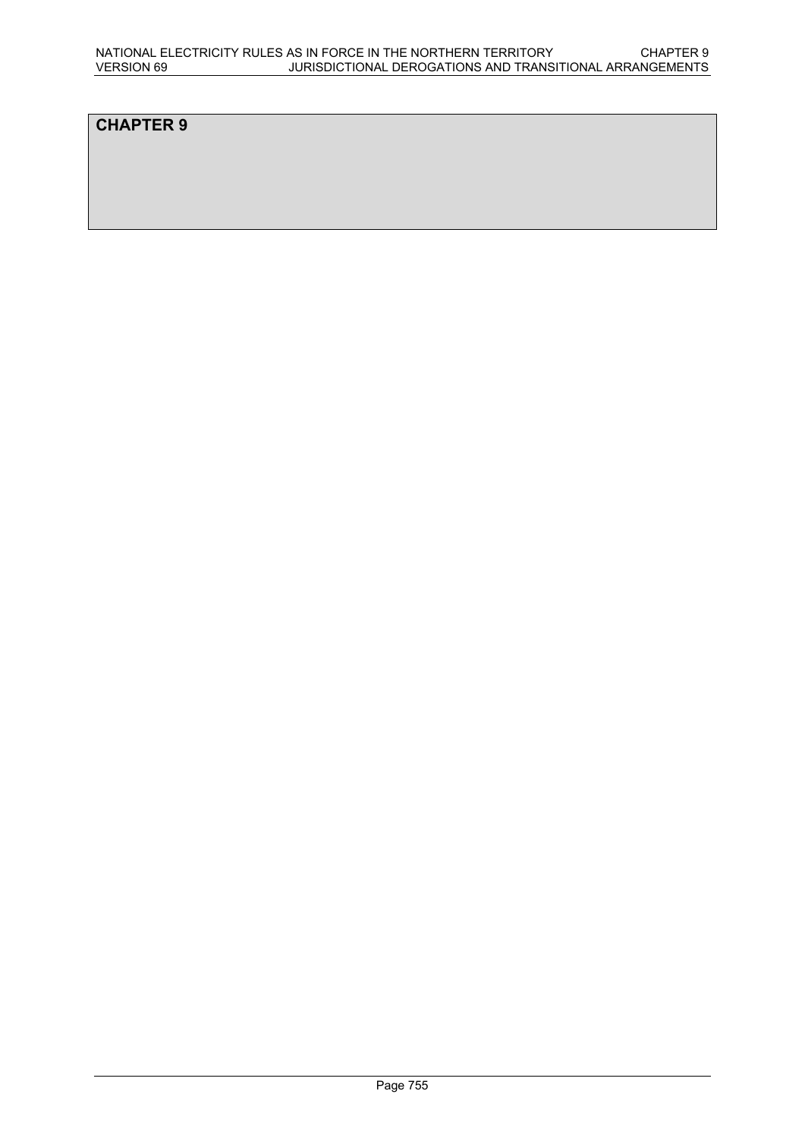# **CHAPTER 9**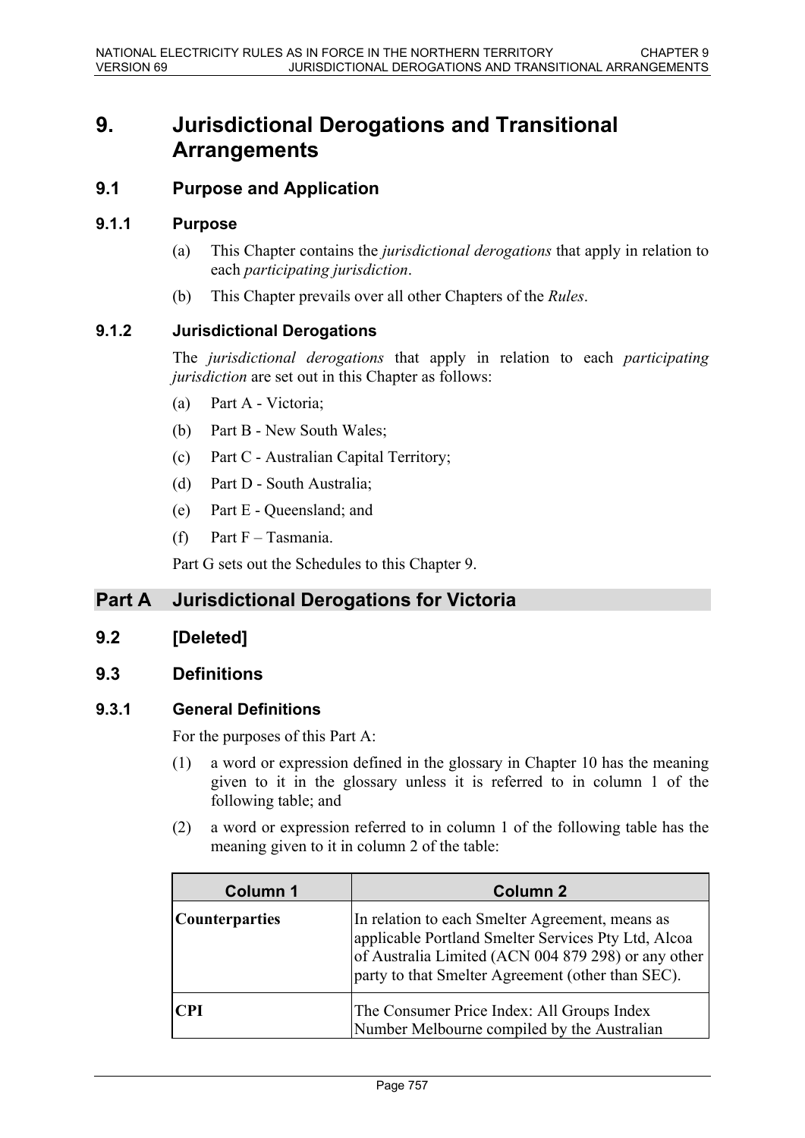# **9. Jurisdictional Derogations and Transitional Arrangements**

### **9.1 Purpose and Application**

#### **9.1.1 Purpose**

- (a) This Chapter contains the *jurisdictional derogations* that apply in relation to each *participating jurisdiction*.
- (b) This Chapter prevails over all other Chapters of the *Rules*.

#### **9.1.2 Jurisdictional Derogations**

The *jurisdictional derogations* that apply in relation to each *participating jurisdiction* are set out in this Chapter as follows:

- (a) Part A Victoria;
- (b) Part B New South Wales;
- (c) Part C Australian Capital Territory;
- (d) Part D South Australia;
- (e) Part E Queensland; and
- (f) Part  $F T$ asmania.

Part G sets out the Schedules to this Chapter 9.

# **Part A Jurisdictional Derogations for Victoria**

### **9.2 [Deleted]**

### **9.3 Definitions**

### **9.3.1 General Definitions**

For the purposes of this Part A:

- (1) a word or expression defined in the glossary in Chapter 10 has the meaning given to it in the glossary unless it is referred to in column 1 of the following table; and
- (2) a word or expression referred to in column 1 of the following table has the meaning given to it in column 2 of the table:

| <b>Column 1</b>       | <b>Column 2</b>                                                                                                                                                                                                    |
|-----------------------|--------------------------------------------------------------------------------------------------------------------------------------------------------------------------------------------------------------------|
| <b>Counterparties</b> | In relation to each Smelter Agreement, means as<br>applicable Portland Smelter Services Pty Ltd, Alcoa<br>of Australia Limited (ACN 004 879 298) or any other<br>party to that Smelter Agreement (other than SEC). |
| CPI                   | The Consumer Price Index: All Groups Index<br>Number Melbourne compiled by the Australian                                                                                                                          |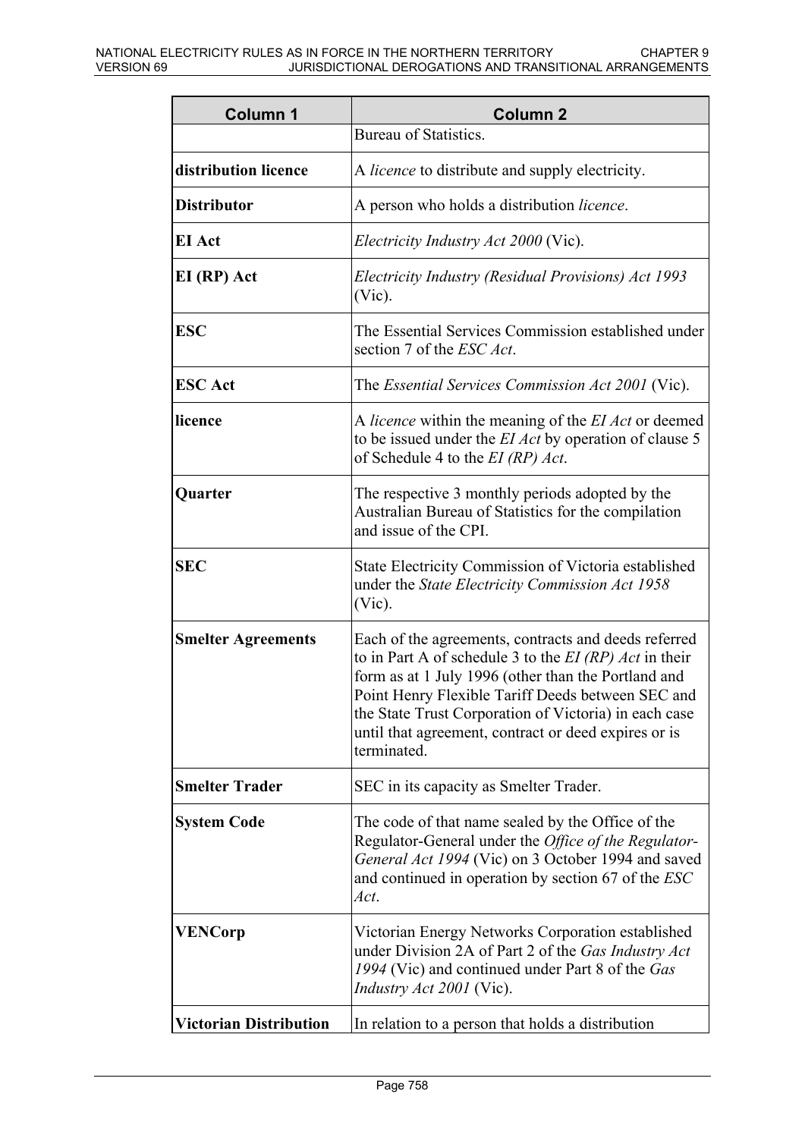| <b>Column 1</b>               | <b>Column 2</b>                                                                                                                                                                                                                                                                                                                                              |
|-------------------------------|--------------------------------------------------------------------------------------------------------------------------------------------------------------------------------------------------------------------------------------------------------------------------------------------------------------------------------------------------------------|
|                               | <b>Bureau of Statistics.</b>                                                                                                                                                                                                                                                                                                                                 |
| distribution licence          | A <i>licence</i> to distribute and supply electricity.                                                                                                                                                                                                                                                                                                       |
| <b>Distributor</b>            | A person who holds a distribution <i>licence</i> .                                                                                                                                                                                                                                                                                                           |
| <b>EI</b> Act                 | <i>Electricity Industry Act 2000 (Vic).</i>                                                                                                                                                                                                                                                                                                                  |
| EI (RP) Act                   | Electricity Industry (Residual Provisions) Act 1993<br>$(Vic)$ .                                                                                                                                                                                                                                                                                             |
| <b>ESC</b>                    | The Essential Services Commission established under<br>section 7 of the <i>ESC Act</i> .                                                                                                                                                                                                                                                                     |
| <b>ESC</b> Act                | The <i>Essential Services Commission Act 2001</i> (Vic).                                                                                                                                                                                                                                                                                                     |
| licence                       | A licence within the meaning of the EI Act or deemed<br>to be issued under the <i>EI Act</i> by operation of clause 5<br>of Schedule 4 to the $EI$ (RP) $Act$ .                                                                                                                                                                                              |
| Quarter                       | The respective 3 monthly periods adopted by the<br>Australian Bureau of Statistics for the compilation<br>and issue of the CPI.                                                                                                                                                                                                                              |
| <b>SEC</b>                    | State Electricity Commission of Victoria established<br>under the State Electricity Commission Act 1958<br>$(Vic)$ .                                                                                                                                                                                                                                         |
| <b>Smelter Agreements</b>     | Each of the agreements, contracts and deeds referred<br>to in Part A of schedule 3 to the $EI$ (RP) Act in their<br>form as at 1 July 1996 (other than the Portland and<br>Point Henry Flexible Tariff Deeds between SEC and<br>the State Trust Corporation of Victoria) in each case<br>until that agreement, contract or deed expires or is<br>terminated. |
| <b>Smelter Trader</b>         | SEC in its capacity as Smelter Trader.                                                                                                                                                                                                                                                                                                                       |
| <b>System Code</b>            | The code of that name sealed by the Office of the<br>Regulator-General under the Office of the Regulator-<br>General Act 1994 (Vic) on 3 October 1994 and saved<br>and continued in operation by section 67 of the ESC<br>Act.                                                                                                                               |
| <b>VENCorp</b>                | Victorian Energy Networks Corporation established<br>under Division 2A of Part 2 of the Gas Industry Act<br>1994 (Vic) and continued under Part 8 of the Gas<br><i>Industry Act 2001</i> (Vic).                                                                                                                                                              |
| <b>Victorian Distribution</b> | In relation to a person that holds a distribution                                                                                                                                                                                                                                                                                                            |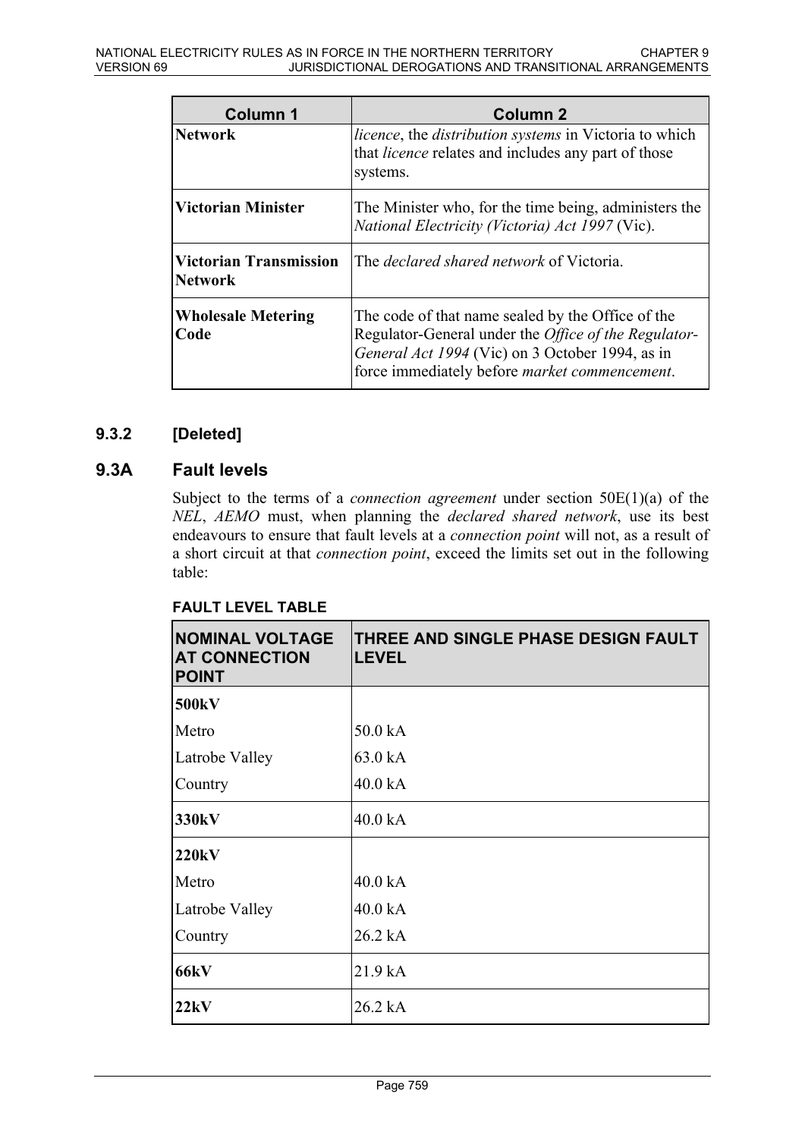| Column 1                                        | Column 2                                                                                                                                                                                                              |
|-------------------------------------------------|-----------------------------------------------------------------------------------------------------------------------------------------------------------------------------------------------------------------------|
| <b>Network</b>                                  | <i>licence</i> , the <i>distribution systems</i> in Victoria to which<br>that <i>licence</i> relates and includes any part of those<br>systems.                                                                       |
| <b>Victorian Minister</b>                       | The Minister who, for the time being, administers the<br>National Electricity (Victoria) Act 1997 (Vic).                                                                                                              |
| <b>Victorian Transmission</b><br><b>Network</b> | The <i>declared shared network</i> of Victoria.                                                                                                                                                                       |
| <b>Wholesale Metering</b><br>Code               | The code of that name sealed by the Office of the<br>Regulator-General under the <i>Office of the Regulator</i> -<br>General Act 1994 (Vic) on 3 October 1994, as in<br>force immediately before market commencement. |

## **9.3.2 [Deleted]**

### **9.3A Fault levels**

Subject to the terms of a *connection agreement* under section 50E(1)(a) of the *NEL*, *AEMO* must, when planning the *declared shared network*, use its best endeavours to ensure that fault levels at a *connection point* will not, as a result of a short circuit at that *connection point*, exceed the limits set out in the following table:

## **FAULT LEVEL TABLE**

| <b>NOMINAL VOLTAGE</b><br><b>AT CONNECTION</b><br><b>POINT</b> | THREE AND SINGLE PHASE DESIGN FAULT<br><b>LEVEL</b> |
|----------------------------------------------------------------|-----------------------------------------------------|
| 500 <sub>k</sub> V                                             |                                                     |
| Metro                                                          | 50.0 kA                                             |
| Latrobe Valley                                                 | 63.0 kA                                             |
| Country                                                        | 40.0 kA                                             |
| 330 <sub>k</sub> V                                             | 40.0 kA                                             |
| 220kV                                                          |                                                     |
| Metro                                                          | 40.0 kA                                             |
| Latrobe Valley                                                 | 40.0 kA                                             |
| Country                                                        | 26.2 kA                                             |
| <b>66kV</b>                                                    | 21.9 kA                                             |
| 22kV                                                           | 26.2 kA                                             |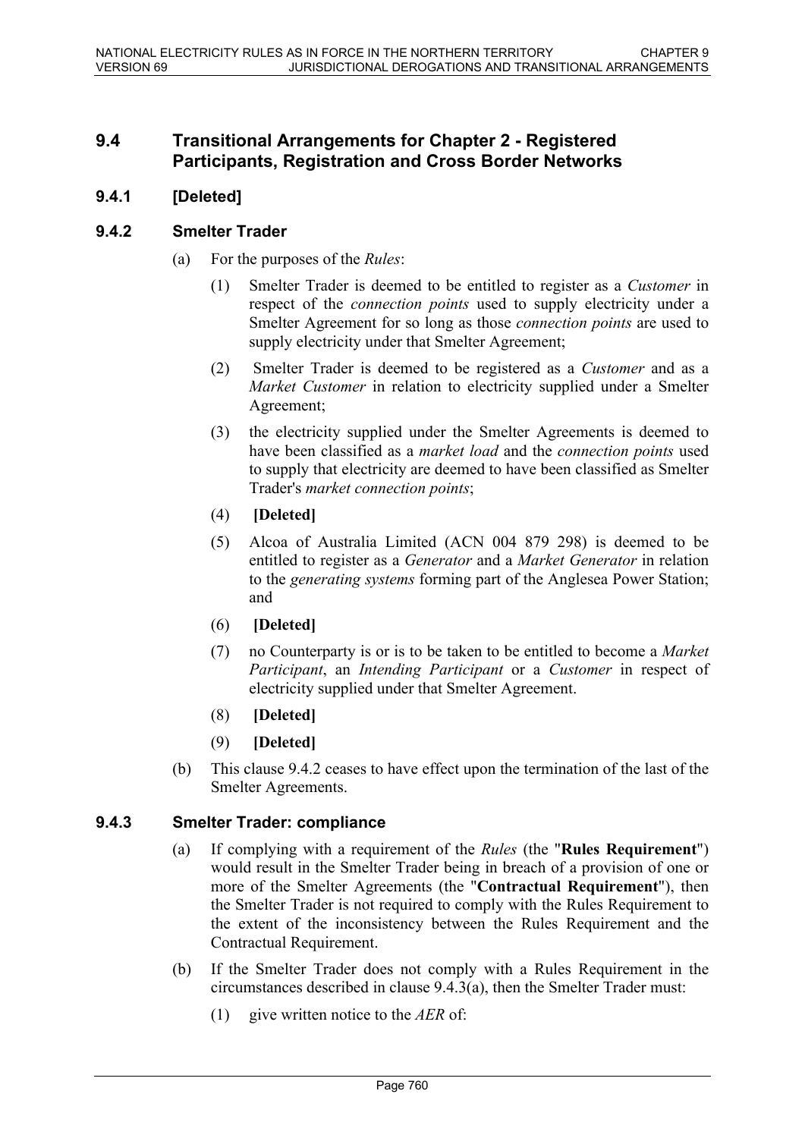### **9.4 Transitional Arrangements for Chapter 2 - Registered Participants, Registration and Cross Border Networks**

### **9.4.1 [Deleted]**

### **9.4.2 Smelter Trader**

- (a) For the purposes of the *Rules*:
	- (1) Smelter Trader is deemed to be entitled to register as a *Customer* in respect of the *connection points* used to supply electricity under a Smelter Agreement for so long as those *connection points* are used to supply electricity under that Smelter Agreement;
	- (2) Smelter Trader is deemed to be registered as a *Customer* and as a *Market Customer* in relation to electricity supplied under a Smelter Agreement;
	- (3) the electricity supplied under the Smelter Agreements is deemed to have been classified as a *market load* and the *connection points* used to supply that electricity are deemed to have been classified as Smelter Trader's *market connection points*;
	- (4) **[Deleted]**
	- (5) Alcoa of Australia Limited (ACN 004 879 298) is deemed to be entitled to register as a *Generator* and a *Market Generator* in relation to the *generating systems* forming part of the Anglesea Power Station; and
	- (6) **[Deleted]**
	- (7) no Counterparty is or is to be taken to be entitled to become a *Market Participant*, an *Intending Participant* or a *Customer* in respect of electricity supplied under that Smelter Agreement.
	- (8) **[Deleted]**
	- (9) **[Deleted]**
- (b) This clause 9.4.2 ceases to have effect upon the termination of the last of the Smelter Agreements.

### **9.4.3 Smelter Trader: compliance**

- (a) If complying with a requirement of the *Rules* (the "**Rules Requirement**") would result in the Smelter Trader being in breach of a provision of one or more of the Smelter Agreements (the "**Contractual Requirement**"), then the Smelter Trader is not required to comply with the Rules Requirement to the extent of the inconsistency between the Rules Requirement and the Contractual Requirement.
- (b) If the Smelter Trader does not comply with a Rules Requirement in the circumstances described in clause 9.4.3(a), then the Smelter Trader must:
	- (1) give written notice to the *AER* of: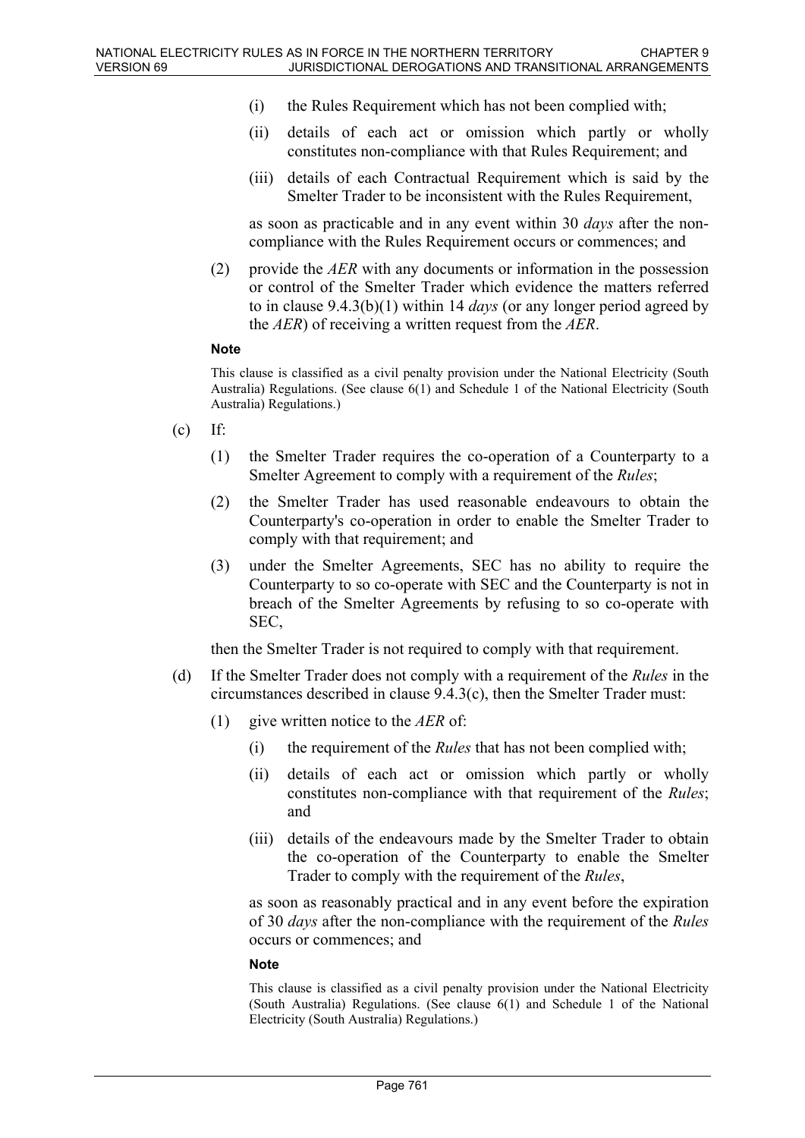- (i) the Rules Requirement which has not been complied with;
- (ii) details of each act or omission which partly or wholly constitutes non-compliance with that Rules Requirement; and
- (iii) details of each Contractual Requirement which is said by the Smelter Trader to be inconsistent with the Rules Requirement,

as soon as practicable and in any event within 30 *days* after the noncompliance with the Rules Requirement occurs or commences; and

(2) provide the *AER* with any documents or information in the possession or control of the Smelter Trader which evidence the matters referred to in clause 9.4.3(b)(1) within 14 *days* (or any longer period agreed by the *AER*) of receiving a written request from the *AER*.

#### **Note**

This clause is classified as a civil penalty provision under the National Electricity (South Australia) Regulations. (See clause 6(1) and Schedule 1 of the National Electricity (South Australia) Regulations.)

- $(c)$  If:
	- (1) the Smelter Trader requires the co-operation of a Counterparty to a Smelter Agreement to comply with a requirement of the *Rules*;
	- (2) the Smelter Trader has used reasonable endeavours to obtain the Counterparty's co-operation in order to enable the Smelter Trader to comply with that requirement; and
	- (3) under the Smelter Agreements, SEC has no ability to require the Counterparty to so co-operate with SEC and the Counterparty is not in breach of the Smelter Agreements by refusing to so co-operate with SEC,

then the Smelter Trader is not required to comply with that requirement.

- (d) If the Smelter Trader does not comply with a requirement of the *Rules* in the circumstances described in clause 9.4.3(c), then the Smelter Trader must:
	- (1) give written notice to the *AER* of:
		- (i) the requirement of the *Rules* that has not been complied with;
		- (ii) details of each act or omission which partly or wholly constitutes non-compliance with that requirement of the *Rules*; and
		- (iii) details of the endeavours made by the Smelter Trader to obtain the co-operation of the Counterparty to enable the Smelter Trader to comply with the requirement of the *Rules*,

as soon as reasonably practical and in any event before the expiration of 30 *days* after the non-compliance with the requirement of the *Rules* occurs or commences; and

#### **Note**

This clause is classified as a civil penalty provision under the National Electricity (South Australia) Regulations. (See clause 6(1) and Schedule 1 of the National Electricity (South Australia) Regulations.)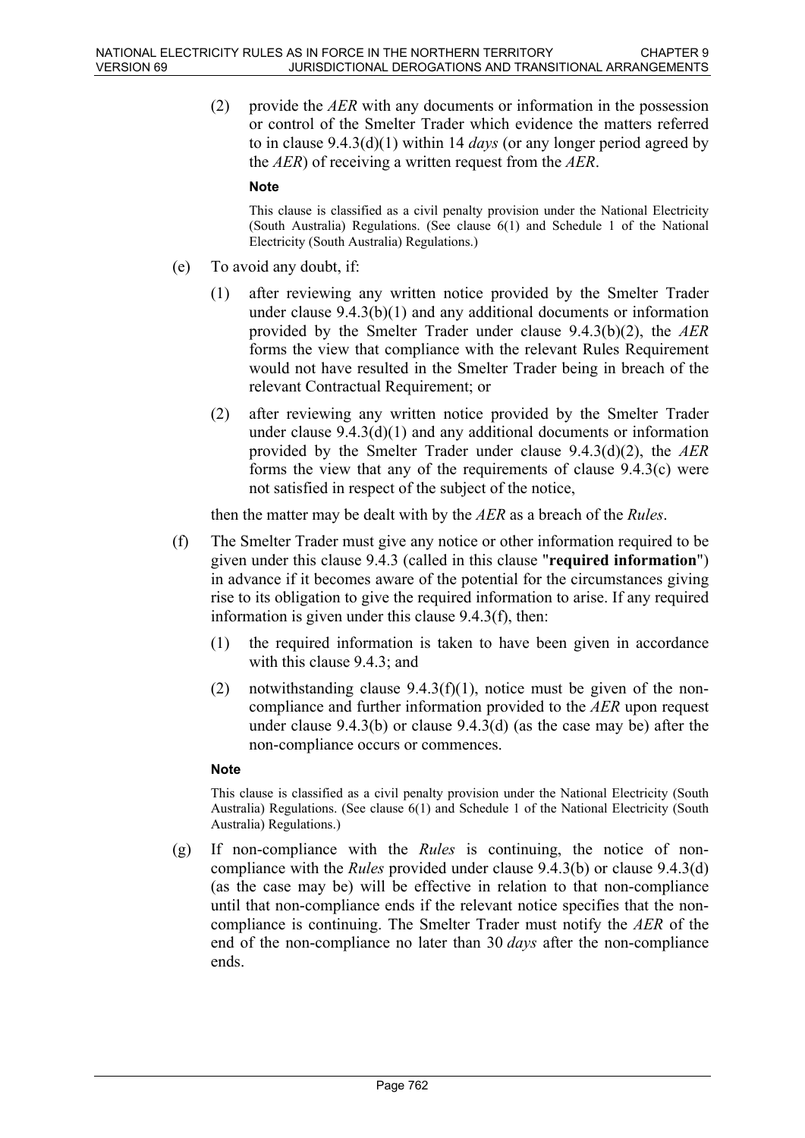(2) provide the *AER* with any documents or information in the possession or control of the Smelter Trader which evidence the matters referred to in clause 9.4.3(d)(1) within 14 *days* (or any longer period agreed by the *AER*) of receiving a written request from the *AER*.

#### **Note**

This clause is classified as a civil penalty provision under the National Electricity (South Australia) Regulations. (See clause 6(1) and Schedule 1 of the National Electricity (South Australia) Regulations.)

- (e) To avoid any doubt, if:
	- (1) after reviewing any written notice provided by the Smelter Trader under clause 9.4.3(b)(1) and any additional documents or information provided by the Smelter Trader under clause 9.4.3(b)(2), the *AER* forms the view that compliance with the relevant Rules Requirement would not have resulted in the Smelter Trader being in breach of the relevant Contractual Requirement; or
	- (2) after reviewing any written notice provided by the Smelter Trader under clause  $9.4.3(d)(1)$  and any additional documents or information provided by the Smelter Trader under clause 9.4.3(d)(2), the *AER* forms the view that any of the requirements of clause 9.4.3(c) were not satisfied in respect of the subject of the notice,

then the matter may be dealt with by the *AER* as a breach of the *Rules*.

- (f) The Smelter Trader must give any notice or other information required to be given under this clause 9.4.3 (called in this clause "**required information**") in advance if it becomes aware of the potential for the circumstances giving rise to its obligation to give the required information to arise. If any required information is given under this clause 9.4.3(f), then:
	- (1) the required information is taken to have been given in accordance with this clause 9.4.3; and
	- (2) notwithstanding clause  $9.4.3(f)(1)$ , notice must be given of the noncompliance and further information provided to the *AER* upon request under clause 9.4.3(b) or clause 9.4.3(d) (as the case may be) after the non-compliance occurs or commences.

#### **Note**

This clause is classified as a civil penalty provision under the National Electricity (South Australia) Regulations. (See clause 6(1) and Schedule 1 of the National Electricity (South Australia) Regulations.)

(g) If non-compliance with the *Rules* is continuing, the notice of noncompliance with the *Rules* provided under clause 9.4.3(b) or clause 9.4.3(d) (as the case may be) will be effective in relation to that non-compliance until that non-compliance ends if the relevant notice specifies that the noncompliance is continuing. The Smelter Trader must notify the *AER* of the end of the non-compliance no later than 30 *days* after the non-compliance ends.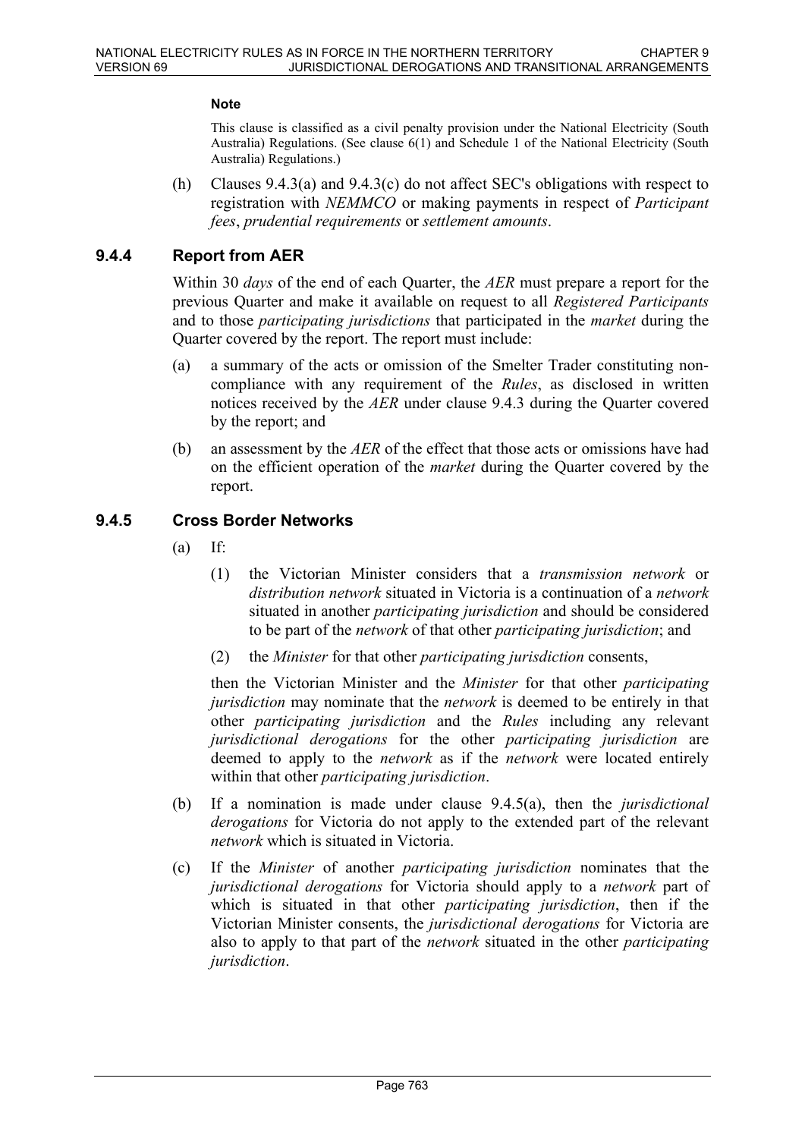#### **Note**

This clause is classified as a civil penalty provision under the National Electricity (South Australia) Regulations. (See clause 6(1) and Schedule 1 of the National Electricity (South Australia) Regulations.)

(h) Clauses 9.4.3(a) and 9.4.3(c) do not affect SEC's obligations with respect to registration with *NEMMCO* or making payments in respect of *Participant fees*, *prudential requirements* or *settlement amounts*.

#### **9.4.4 Report from AER**

Within 30 *days* of the end of each Quarter, the *AER* must prepare a report for the previous Quarter and make it available on request to all *Registered Participants* and to those *participating jurisdictions* that participated in the *market* during the Quarter covered by the report. The report must include:

- (a) a summary of the acts or omission of the Smelter Trader constituting noncompliance with any requirement of the *Rules*, as disclosed in written notices received by the *AER* under clause 9.4.3 during the Quarter covered by the report; and
- (b) an assessment by the *AER* of the effect that those acts or omissions have had on the efficient operation of the *market* during the Quarter covered by the report.

### **9.4.5 Cross Border Networks**

- $(a)$  If:
	- (1) the Victorian Minister considers that a *transmission network* or *distribution network* situated in Victoria is a continuation of a *network* situated in another *participating jurisdiction* and should be considered to be part of the *network* of that other *participating jurisdiction*; and
	- (2) the *Minister* for that other *participating jurisdiction* consents,

then the Victorian Minister and the *Minister* for that other *participating jurisdiction* may nominate that the *network* is deemed to be entirely in that other *participating jurisdiction* and the *Rules* including any relevant *jurisdictional derogations* for the other *participating jurisdiction* are deemed to apply to the *network* as if the *network* were located entirely within that other *participating jurisdiction*.

- (b) If a nomination is made under clause 9.4.5(a), then the *jurisdictional derogations* for Victoria do not apply to the extended part of the relevant *network* which is situated in Victoria.
- (c) If the *Minister* of another *participating jurisdiction* nominates that the *jurisdictional derogations* for Victoria should apply to a *network* part of which is situated in that other *participating jurisdiction*, then if the Victorian Minister consents, the *jurisdictional derogations* for Victoria are also to apply to that part of the *network* situated in the other *participating jurisdiction*.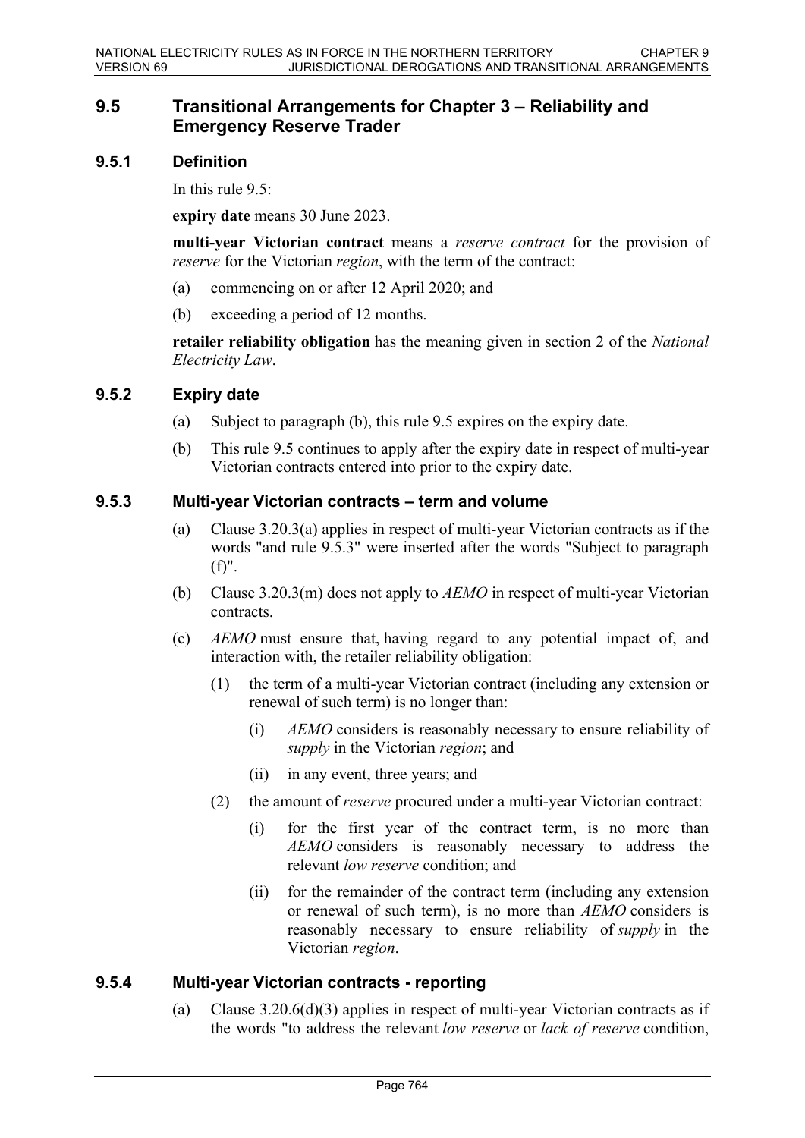## **9.5 Transitional Arrangements for Chapter 3 – Reliability and Emergency Reserve Trader**

### **9.5.1 Definition**

In this rule  $9.5$ :

**expiry date** means 30 June 2023.

**multi-year Victorian contract** means a *reserve contract* for the provision of *reserve* for the Victorian *region*, with the term of the contract:

- (a) commencing on or after 12 April 2020; and
- (b) exceeding a period of 12 months.

**retailer reliability obligation** has the meaning given in section 2 of the *National Electricity Law*.

### **9.5.2 Expiry date**

- (a) Subject to paragraph (b), this rule 9.5 expires on the expiry date.
- (b) This rule 9.5 continues to apply after the expiry date in respect of multi-year Victorian contracts entered into prior to the expiry date.

### **9.5.3 Multi-year Victorian contracts – term and volume**

- (a) Clause 3.20.3(a) applies in respect of multi-year Victorian contracts as if the words "and rule 9.5.3" were inserted after the words "Subject to paragraph (f)".
- (b) Clause 3.20.3(m) does not apply to *AEMO* in respect of multi-year Victorian contracts.
- (c) *AEMO* must ensure that, having regard to any potential impact of, and interaction with, the retailer reliability obligation:
	- (1) the term of a multi-year Victorian contract (including any extension or renewal of such term) is no longer than:
		- (i) *AEMO* considers is reasonably necessary to ensure reliability of *supply* in the Victorian *region*; and
		- (ii) in any event, three years; and
	- (2) the amount of *reserve* procured under a multi-year Victorian contract:
		- (i) for the first year of the contract term, is no more than *AEMO* considers is reasonably necessary to address the relevant *low reserve* condition; and
		- (ii) for the remainder of the contract term (including any extension or renewal of such term), is no more than *AEMO* considers is reasonably necessary to ensure reliability of *supply* in the Victorian *region*.

### **9.5.4 Multi-year Victorian contracts - reporting**

(a) Clause 3.20.6(d)(3) applies in respect of multi-year Victorian contracts as if the words "to address the relevant *low reserve* or *lack of reserve* condition,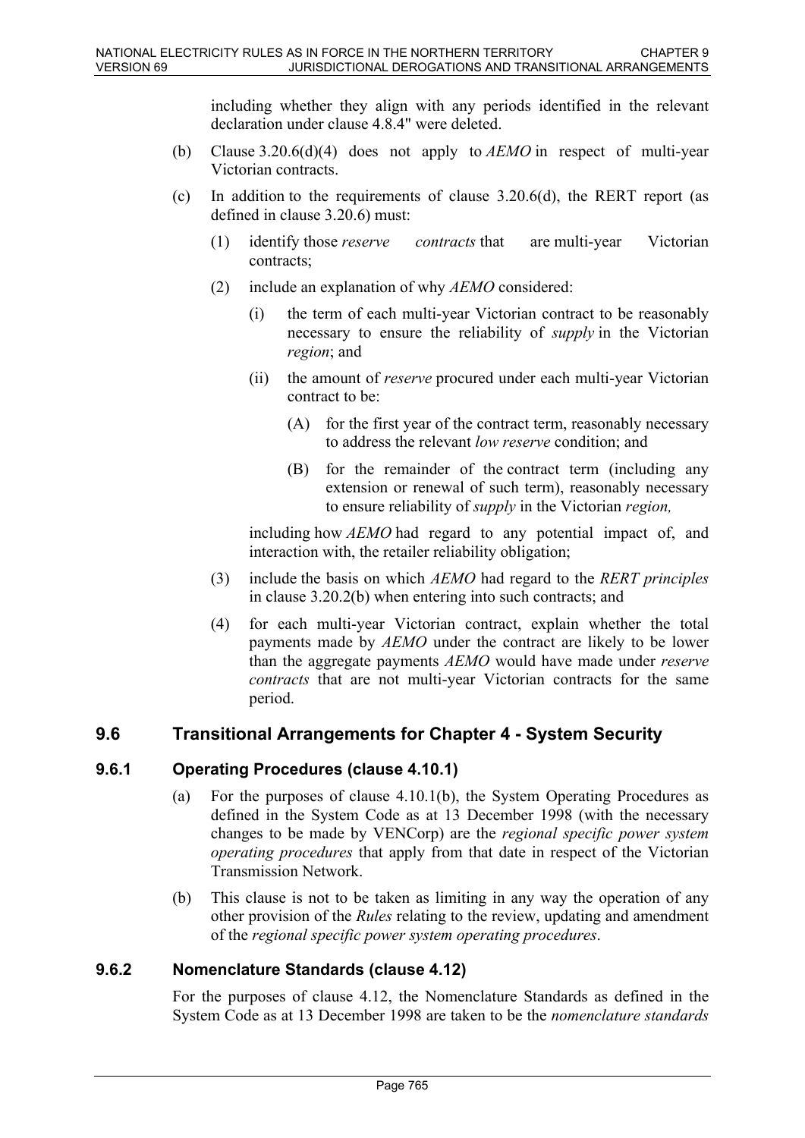including whether they align with any periods identified in the relevant declaration under clause 4.8.4" were deleted.

- (b) Clause 3.20.6(d)(4) does not apply to *AEMO* in respect of multi-year Victorian contracts.
- (c) In addition to the requirements of clause  $3.20.6(d)$ , the RERT report (as defined in clause 3.20.6) must:
	- (1) identify those *reserve contracts* that are multi-year Victorian contracts;
	- (2) include an explanation of why *AEMO* considered:
		- (i) the term of each multi-year Victorian contract to be reasonably necessary to ensure the reliability of *supply* in the Victorian *region*; and
		- (ii) the amount of *reserve* procured under each multi-year Victorian contract to be:
			- (A) for the first year of the contract term, reasonably necessary to address the relevant *low reserve* condition; and
			- (B) for the remainder of the contract term (including any extension or renewal of such term), reasonably necessary to ensure reliability of *supply* in the Victorian *region,*

including how *AEMO* had regard to any potential impact of, and interaction with, the retailer reliability obligation;

- (3) include the basis on which *AEMO* had regard to the *RERT principles* in clause 3.20.2(b) when entering into such contracts; and
- (4) for each multi-year Victorian contract, explain whether the total payments made by *AEMO* under the contract are likely to be lower than the aggregate payments *AEMO* would have made under *reserve contracts* that are not multi-year Victorian contracts for the same period.

### **9.6 Transitional Arrangements for Chapter 4 - System Security**

### **9.6.1 Operating Procedures (clause 4.10.1)**

- (a) For the purposes of clause 4.10.1(b), the System Operating Procedures as defined in the System Code as at 13 December 1998 (with the necessary changes to be made by VENCorp) are the *regional specific power system operating procedures* that apply from that date in respect of the Victorian Transmission Network.
- (b) This clause is not to be taken as limiting in any way the operation of any other provision of the *Rules* relating to the review, updating and amendment of the *regional specific power system operating procedures*.

### **9.6.2 Nomenclature Standards (clause 4.12)**

For the purposes of clause 4.12, the Nomenclature Standards as defined in the System Code as at 13 December 1998 are taken to be the *nomenclature standards*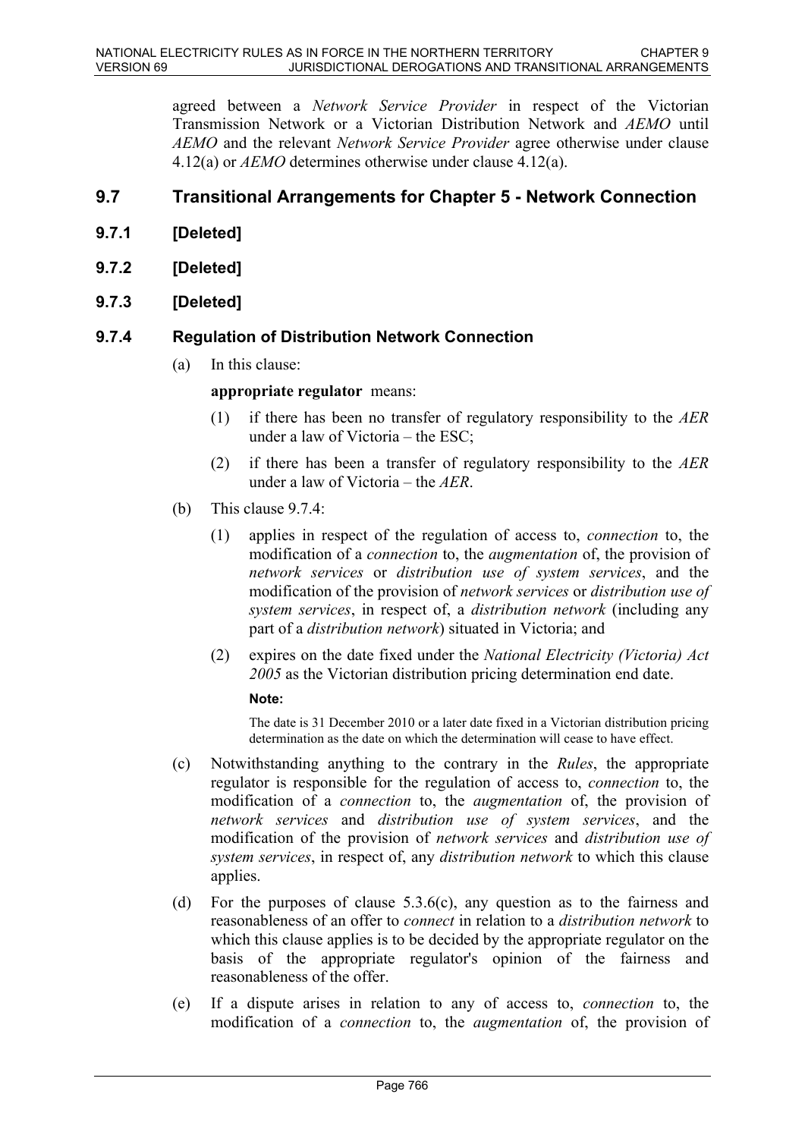agreed between a *Network Service Provider* in respect of the Victorian Transmission Network or a Victorian Distribution Network and *AEMO* until *AEMO* and the relevant *Network Service Provider* agree otherwise under clause 4.12(a) or *AEMO* determines otherwise under clause 4.12(a).

# **9.7 Transitional Arrangements for Chapter 5 - Network Connection**

- **9.7.1 [Deleted]**
- **9.7.2 [Deleted]**
- **9.7.3 [Deleted]**

### **9.7.4 Regulation of Distribution Network Connection**

(a) In this clause:

**appropriate regulator** means:

- (1) if there has been no transfer of regulatory responsibility to the *AER* under a law of Victoria – the ESC;
- (2) if there has been a transfer of regulatory responsibility to the *AER* under a law of Victoria – the *AER*.
- (b) This clause 9.7.4:
	- (1) applies in respect of the regulation of access to, *connection* to, the modification of a *connection* to, the *augmentation* of, the provision of *network services* or *distribution use of system services*, and the modification of the provision of *network services* or *distribution use of system services*, in respect of, a *distribution network* (including any part of a *distribution network*) situated in Victoria; and
	- (2) expires on the date fixed under the *National Electricity (Victoria) Act 2005* as the Victorian distribution pricing determination end date.

#### **Note:**

The date is 31 December 2010 or a later date fixed in a Victorian distribution pricing determination as the date on which the determination will cease to have effect.

- (c) Notwithstanding anything to the contrary in the *Rules*, the appropriate regulator is responsible for the regulation of access to, *connection* to, the modification of a *connection* to, the *augmentation* of, the provision of *network services* and *distribution use of system services*, and the modification of the provision of *network services* and *distribution use of system services*, in respect of, any *distribution network* to which this clause applies.
- (d) For the purposes of clause 5.3.6(c), any question as to the fairness and reasonableness of an offer to *connect* in relation to a *distribution network* to which this clause applies is to be decided by the appropriate regulator on the basis of the appropriate regulator's opinion of the fairness and reasonableness of the offer.
- (e) If a dispute arises in relation to any of access to, *connection* to, the modification of a *connection* to, the *augmentation* of, the provision of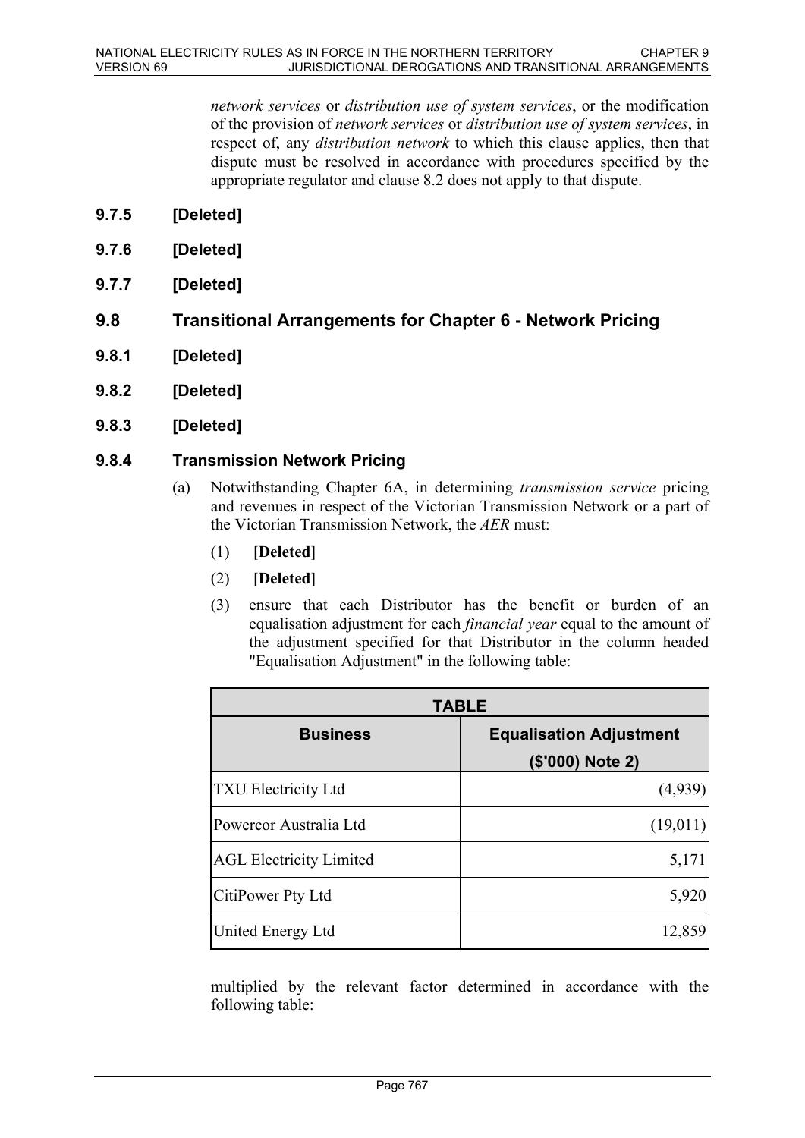*network services* or *distribution use of system services*, or the modification of the provision of *network services* or *distribution use of system services*, in respect of, any *distribution network* to which this clause applies, then that dispute must be resolved in accordance with procedures specified by the appropriate regulator and clause 8.2 does not apply to that dispute.

- **9.7.5 [Deleted]**
- **9.7.6 [Deleted]**
- **9.7.7 [Deleted]**
- **9.8 Transitional Arrangements for Chapter 6 Network Pricing**
- **9.8.1 [Deleted]**
- **9.8.2 [Deleted]**
- **9.8.3 [Deleted]**

### **9.8.4 Transmission Network Pricing**

- (a) Notwithstanding Chapter 6A, in determining *transmission service* pricing and revenues in respect of the Victorian Transmission Network or a part of the Victorian Transmission Network, the *AER* must:
	- (1) **[Deleted]**
	- (2) **[Deleted]**
	- (3) ensure that each Distributor has the benefit or burden of an equalisation adjustment for each *financial year* equal to the amount of the adjustment specified for that Distributor in the column headed "Equalisation Adjustment" in the following table:

| <b>TABLE</b>                   |                                                    |
|--------------------------------|----------------------------------------------------|
| <b>Business</b>                | <b>Equalisation Adjustment</b><br>(\$'000) Note 2) |
| <b>TXU Electricity Ltd</b>     | (4,939)                                            |
| Powercor Australia Ltd         | (19,011)                                           |
| <b>AGL Electricity Limited</b> | 5,171                                              |
| CitiPower Pty Ltd              | 5,920                                              |
| <b>United Energy Ltd</b>       | 12,859                                             |

multiplied by the relevant factor determined in accordance with the following table: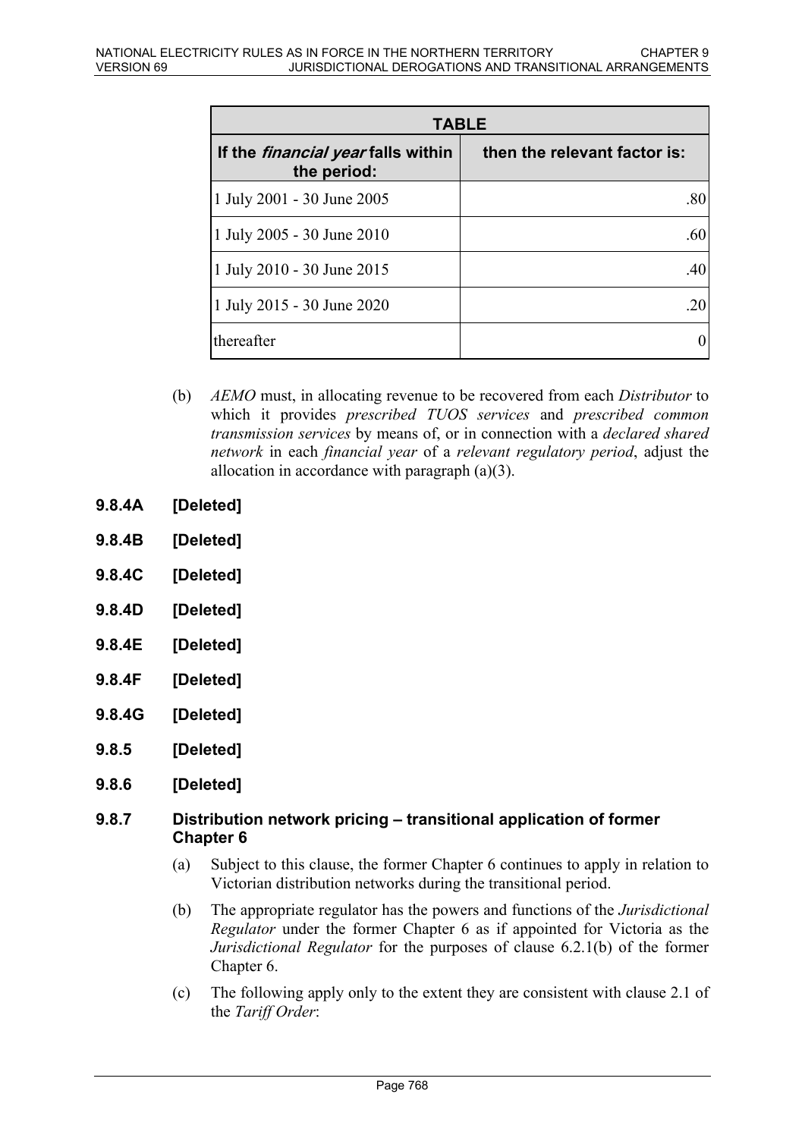| <b>TABLE</b>                                             |                              |
|----------------------------------------------------------|------------------------------|
| If the <i>financial year</i> falls within<br>the period: | then the relevant factor is: |
| 1 July 2001 - 30 June 2005                               | .80                          |
| 1 July 2005 - 30 June 2010                               | .60                          |
| 1 July 2010 - 30 June 2015                               | .40                          |
| 1 July 2015 - 30 June 2020                               | .20                          |
| thereafter                                               |                              |

- (b) *AEMO* must, in allocating revenue to be recovered from each *Distributor* to which it provides *prescribed TUOS services* and *prescribed common transmission services* by means of, or in connection with a *declared shared network* in each *financial year* of a *relevant regulatory period*, adjust the allocation in accordance with paragraph (a)(3).
- **9.8.4A [Deleted]**
- **9.8.4B [Deleted]**
- **9.8.4C [Deleted]**
- **9.8.4D [Deleted]**
- **9.8.4E [Deleted]**
- **9.8.4F [Deleted]**
- **9.8.4G [Deleted]**
- **9.8.5 [Deleted]**
- **9.8.6 [Deleted]**

### **9.8.7 Distribution network pricing – transitional application of former Chapter 6**

- (a) Subject to this clause, the former Chapter 6 continues to apply in relation to Victorian distribution networks during the transitional period.
- (b) The appropriate regulator has the powers and functions of the *Jurisdictional Regulator* under the former Chapter 6 as if appointed for Victoria as the *Jurisdictional Regulator* for the purposes of clause 6.2.1(b) of the former Chapter 6.
- (c) The following apply only to the extent they are consistent with clause 2.1 of the *Tariff Order*: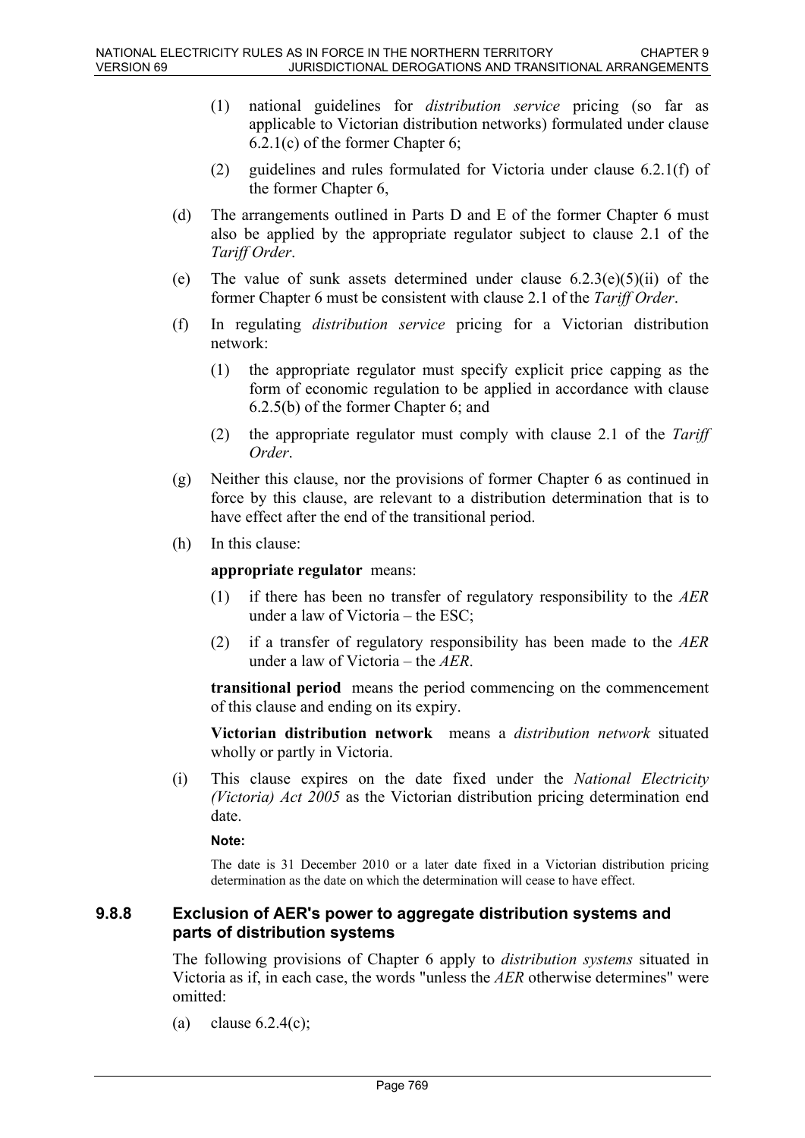- (1) national guidelines for *distribution service* pricing (so far as applicable to Victorian distribution networks) formulated under clause 6.2.1(c) of the former Chapter 6;
- (2) guidelines and rules formulated for Victoria under clause 6.2.1(f) of the former Chapter 6,
- (d) The arrangements outlined in Parts D and E of the former Chapter 6 must also be applied by the appropriate regulator subject to clause 2.1 of the *Tariff Order*.
- (e) The value of sunk assets determined under clause  $6.2.3(e)(5)(ii)$  of the former Chapter 6 must be consistent with clause 2.1 of the *Tariff Order*.
- (f) In regulating *distribution service* pricing for a Victorian distribution network:
	- (1) the appropriate regulator must specify explicit price capping as the form of economic regulation to be applied in accordance with clause 6.2.5(b) of the former Chapter 6; and
	- (2) the appropriate regulator must comply with clause 2.1 of the *Tariff Order*.
- (g) Neither this clause, nor the provisions of former Chapter 6 as continued in force by this clause, are relevant to a distribution determination that is to have effect after the end of the transitional period.
- (h) In this clause:

**appropriate regulator** means:

- (1) if there has been no transfer of regulatory responsibility to the *AER* under a law of Victoria – the ESC;
- (2) if a transfer of regulatory responsibility has been made to the *AER* under a law of Victoria – the *AER*.

**transitional period** means the period commencing on the commencement of this clause and ending on its expiry.

**Victorian distribution network** means a *distribution network* situated wholly or partly in Victoria.

(i) This clause expires on the date fixed under the *National Electricity (Victoria) Act 2005* as the Victorian distribution pricing determination end date.

#### **Note:**

The date is 31 December 2010 or a later date fixed in a Victorian distribution pricing determination as the date on which the determination will cease to have effect.

#### **9.8.8 Exclusion of AER's power to aggregate distribution systems and parts of distribution systems**

The following provisions of Chapter 6 apply to *distribution systems* situated in Victoria as if, in each case, the words "unless the *AER* otherwise determines" were omitted:

(a) clause  $6.2.4(c)$ ;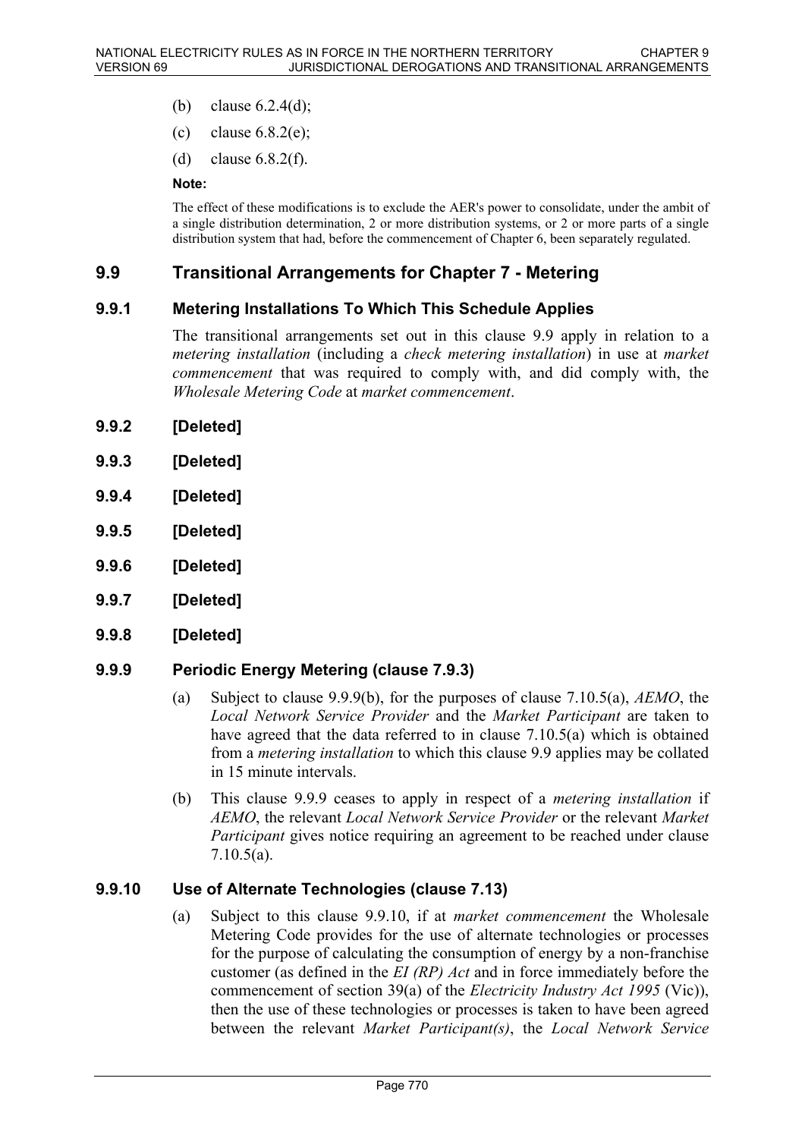- (b) clause  $6.2.4(d)$ ;
- (c) clause  $6.8.2(e)$ ;
- (d) clause 6.8.2(f).

#### **Note:**

The effect of these modifications is to exclude the AER's power to consolidate, under the ambit of a single distribution determination, 2 or more distribution systems, or 2 or more parts of a single distribution system that had, before the commencement of Chapter 6, been separately regulated.

### **9.9 Transitional Arrangements for Chapter 7 - Metering**

#### **9.9.1 Metering Installations To Which This Schedule Applies**

The transitional arrangements set out in this clause 9.9 apply in relation to a *metering installation* (including a *check metering installation*) in use at *market commencement* that was required to comply with, and did comply with, the *Wholesale Metering Code* at *market commencement*.

- **9.9.2 [Deleted]**
- **9.9.3 [Deleted]**
- **9.9.4 [Deleted]**
- **9.9.5 [Deleted]**
- **9.9.6 [Deleted]**
- **9.9.7 [Deleted]**
- **9.9.8 [Deleted]**

### **9.9.9 Periodic Energy Metering (clause 7.9.3)**

- (a) Subject to clause 9.9.9(b), for the purposes of clause 7.10.5(a), *AEMO*, the *Local Network Service Provider* and the *Market Participant* are taken to have agreed that the data referred to in clause 7.10.5(a) which is obtained from a *metering installation* to which this clause 9.9 applies may be collated in 15 minute intervals.
- (b) This clause 9.9.9 ceases to apply in respect of a *metering installation* if *AEMO*, the relevant *Local Network Service Provider* or the relevant *Market Participant* gives notice requiring an agreement to be reached under clause 7.10.5(a).

#### **9.9.10 Use of Alternate Technologies (clause 7.13)**

(a) Subject to this clause 9.9.10, if at *market commencement* the Wholesale Metering Code provides for the use of alternate technologies or processes for the purpose of calculating the consumption of energy by a non-franchise customer (as defined in the *EI (RP) Act* and in force immediately before the commencement of section 39(a) of the *Electricity Industry Act 1995* (Vic)), then the use of these technologies or processes is taken to have been agreed between the relevant *Market Participant(s)*, the *Local Network Service*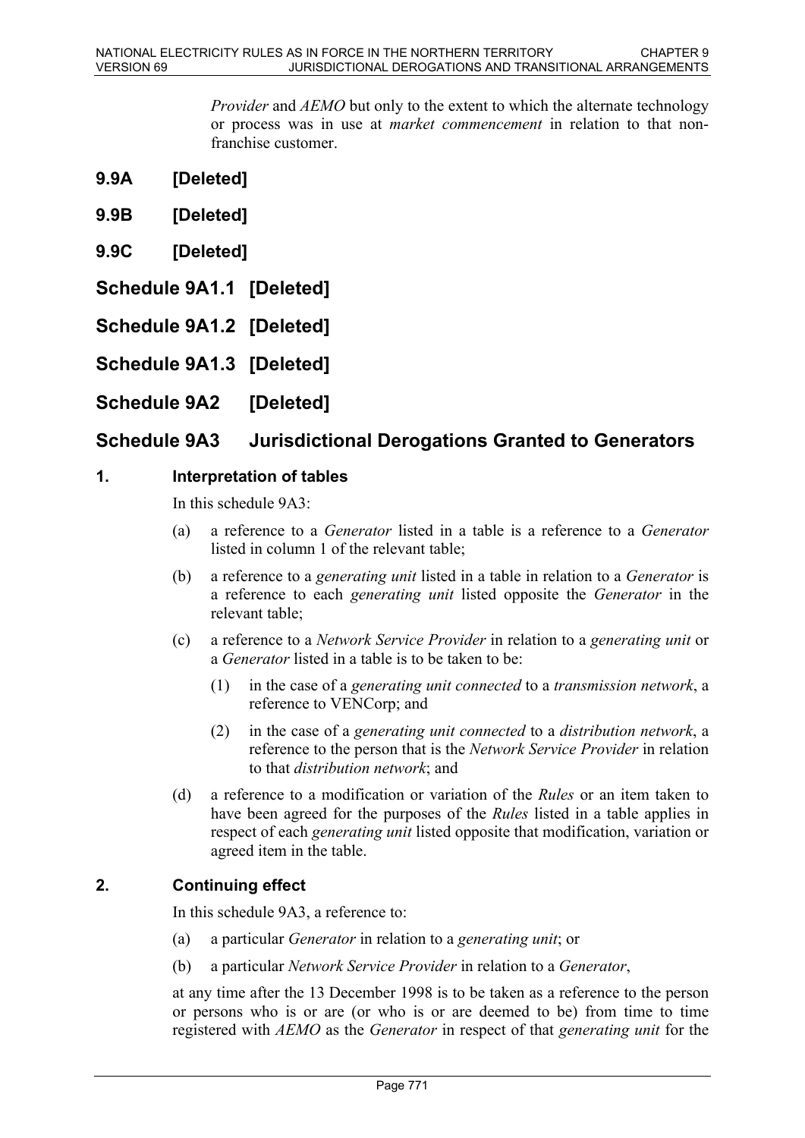*Provider* and *AEMO* but only to the extent to which the alternate technology or process was in use at *market commencement* in relation to that nonfranchise customer.

- **9.9A [Deleted]**
- **9.9B [Deleted]**
- **9.9C [Deleted]**
- **Schedule 9A1.1 [Deleted]**
- **Schedule 9A1.2 [Deleted]**
- **Schedule 9A1.3 [Deleted]**
- **Schedule 9A2 [Deleted]**

# **Schedule 9A3 Jurisdictional Derogations Granted to Generators**

### **1. Interpretation of tables**

In this schedule  $9A3$ 

- (a) a reference to a *Generator* listed in a table is a reference to a *Generator* listed in column 1 of the relevant table;
- (b) a reference to a *generating unit* listed in a table in relation to a *Generator* is a reference to each *generating unit* listed opposite the *Generator* in the relevant table;
- (c) a reference to a *Network Service Provider* in relation to a *generating unit* or a *Generator* listed in a table is to be taken to be:
	- (1) in the case of a *generating unit connected* to a *transmission network*, a reference to VENCorp; and
	- (2) in the case of a *generating unit connected* to a *distribution network*, a reference to the person that is the *Network Service Provider* in relation to that *distribution network*; and
- (d) a reference to a modification or variation of the *Rules* or an item taken to have been agreed for the purposes of the *Rules* listed in a table applies in respect of each *generating unit* listed opposite that modification, variation or agreed item in the table.

### **2. Continuing effect**

In this schedule 9A3, a reference to:

- (a) a particular *Generator* in relation to a *generating unit*; or
- (b) a particular *Network Service Provider* in relation to a *Generator*,

at any time after the 13 December 1998 is to be taken as a reference to the person or persons who is or are (or who is or are deemed to be) from time to time registered with *AEMO* as the *Generator* in respect of that *generating unit* for the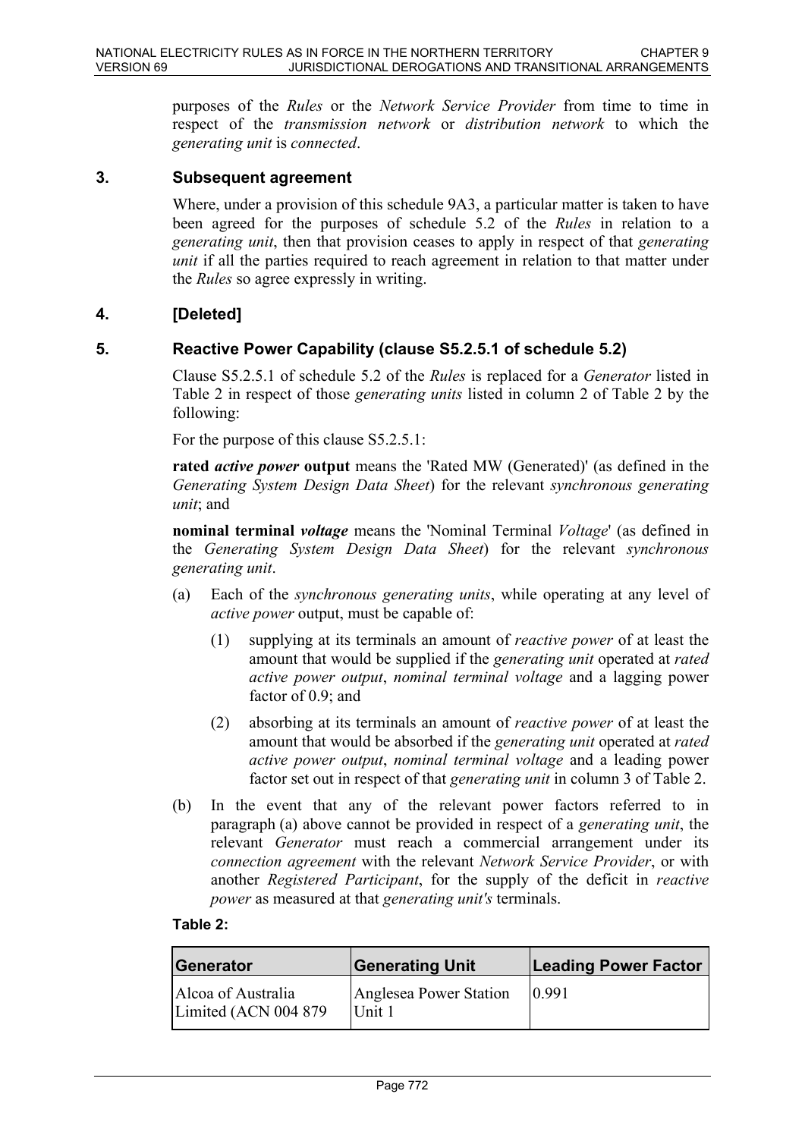purposes of the *Rules* or the *Network Service Provider* from time to time in respect of the *transmission network* or *distribution network* to which the *generating unit* is *connected*.

#### **3. Subsequent agreement**

Where, under a provision of this schedule 9A3, a particular matter is taken to have been agreed for the purposes of schedule 5.2 of the *Rules* in relation to a *generating unit*, then that provision ceases to apply in respect of that *generating unit* if all the parties required to reach agreement in relation to that matter under the *Rules* so agree expressly in writing.

### **4. [Deleted]**

### **5. Reactive Power Capability (clause S5.2.5.1 of schedule 5.2)**

Clause S5.2.5.1 of schedule 5.2 of the *Rules* is replaced for a *Generator* listed in Table 2 in respect of those *generating units* listed in column 2 of Table 2 by the following:

For the purpose of this clause S5.2.5.1:

**rated** *active power* **output** means the 'Rated MW (Generated)' (as defined in the *Generating System Design Data Sheet*) for the relevant *synchronous generating unit*; and

**nominal terminal** *voltage* means the 'Nominal Terminal *Voltage*' (as defined in the *Generating System Design Data Sheet*) for the relevant *synchronous generating unit*.

- (a) Each of the *synchronous generating units*, while operating at any level of *active power* output, must be capable of:
	- (1) supplying at its terminals an amount of *reactive power* of at least the amount that would be supplied if the *generating unit* operated at *rated active power output*, *nominal terminal voltage* and a lagging power factor of 0.9; and
	- (2) absorbing at its terminals an amount of *reactive power* of at least the amount that would be absorbed if the *generating unit* operated at *rated active power output*, *nominal terminal voltage* and a leading power factor set out in respect of that *generating unit* in column 3 of Table 2.
- (b) In the event that any of the relevant power factors referred to in paragraph (a) above cannot be provided in respect of a *generating unit*, the relevant *Generator* must reach a commercial arrangement under its *connection agreement* with the relevant *Network Service Provider*, or with another *Registered Participant*, for the supply of the deficit in *reactive power* as measured at that *generating unit's* terminals.

#### **Table 2:**

| Generator                                   | Generating Unit                  | <b>Leading Power Factor</b> |
|---------------------------------------------|----------------------------------|-----------------------------|
| Alcoa of Australia<br>Limited (ACN 004 879) | Anglesea Power Station<br>Unit 1 | 0.991                       |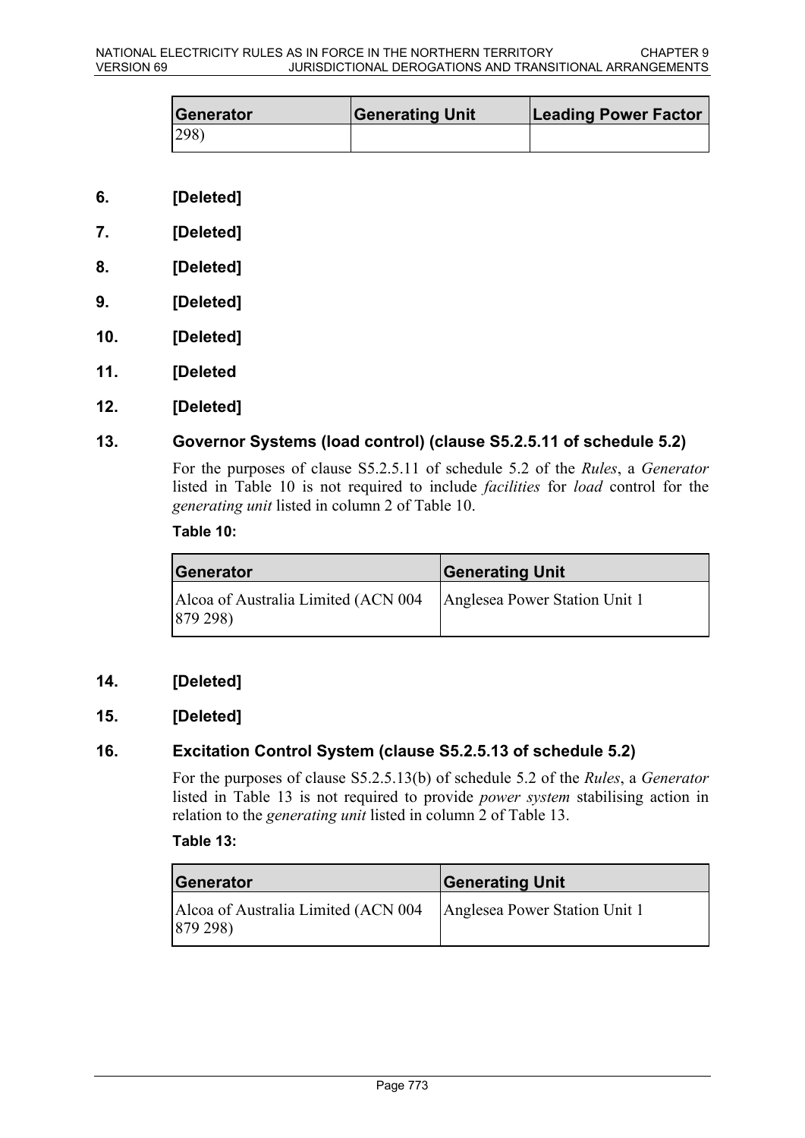| Generator     | <b>Generating Unit</b> | <b>Leading Power Factor</b> |
|---------------|------------------------|-----------------------------|
| $ 298\rangle$ |                        |                             |

- **6. [Deleted]**
- **7. [Deleted]**
- **8. [Deleted]**
- **9. [Deleted]**
- **10. [Deleted]**
- **11. [Deleted**
- **12. [Deleted]**

### **13. Governor Systems (load control) (clause S5.2.5.11 of schedule 5.2)**

For the purposes of clause S5.2.5.11 of schedule 5.2 of the *Rules*, a *Generator* listed in Table 10 is not required to include *facilities* for *load* control for the *generating unit* listed in column 2 of Table 10.

#### **Table 10:**

| Generator                                                 | <b>Generating Unit</b>        |
|-----------------------------------------------------------|-------------------------------|
| Alcoa of Australia Limited (ACN 004<br>$ 879\,298\rangle$ | Anglesea Power Station Unit 1 |

### **14. [Deleted]**

### **15. [Deleted]**

### **16. Excitation Control System (clause S5.2.5.13 of schedule 5.2)**

For the purposes of clause S5.2.5.13(b) of schedule 5.2 of the *Rules*, a *Generator* listed in Table 13 is not required to provide *power system* stabilising action in relation to the *generating unit* listed in column 2 of Table 13.

#### **Table 13:**

| Generator                                       | <b>Generating Unit</b>        |
|-------------------------------------------------|-------------------------------|
| Alcoa of Australia Limited (ACN 004<br>879 298) | Anglesea Power Station Unit 1 |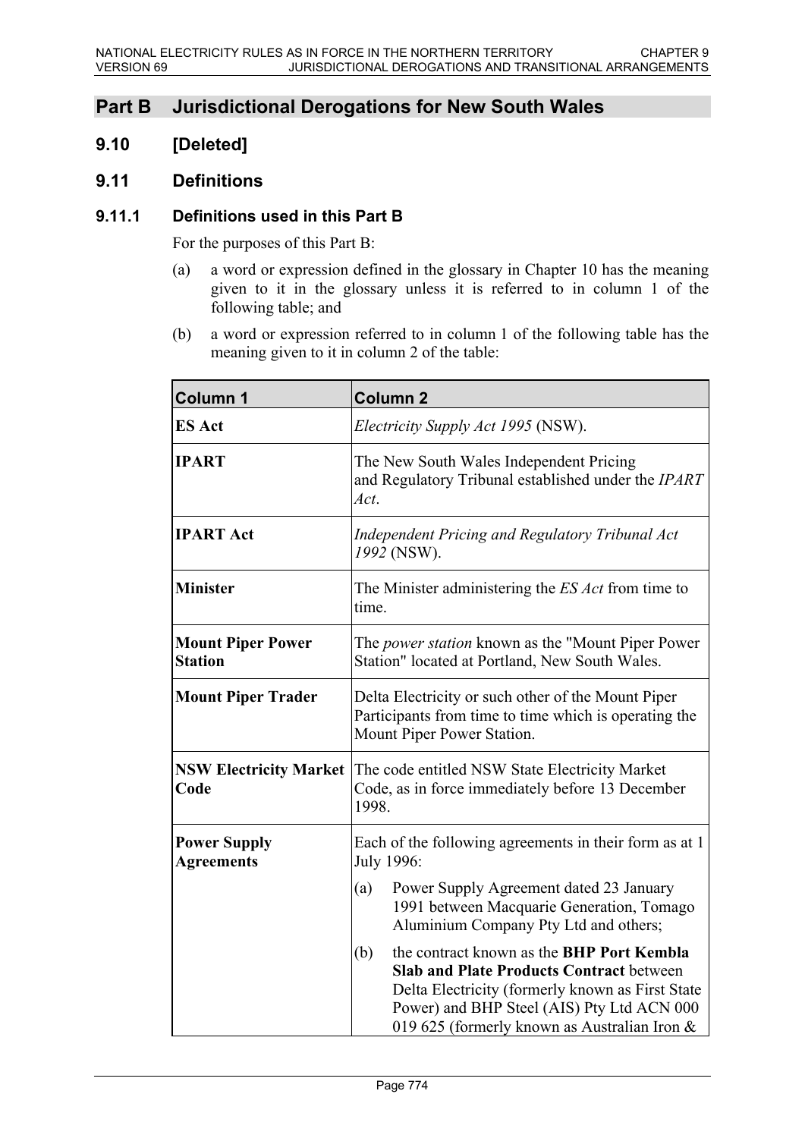# **Part B Jurisdictional Derogations for New South Wales**

## **9.10 [Deleted]**

### **9.11 Definitions**

### **9.11.1 Definitions used in this Part B**

For the purposes of this Part B:

- (a) a word or expression defined in the glossary in Chapter 10 has the meaning given to it in the glossary unless it is referred to in column 1 of the following table; and
- (b) a word or expression referred to in column 1 of the following table has the meaning given to it in column 2 of the table:

| <b>Column 1</b>                            | <b>Column 2</b>                                                                                                                                                                                                                                       |
|--------------------------------------------|-------------------------------------------------------------------------------------------------------------------------------------------------------------------------------------------------------------------------------------------------------|
| <b>ES Act</b>                              | <i>Electricity Supply Act 1995</i> (NSW).                                                                                                                                                                                                             |
| <b>IPART</b>                               | The New South Wales Independent Pricing<br>and Regulatory Tribunal established under the IPART<br>Act.                                                                                                                                                |
| <b>IPART Act</b>                           | <b>Independent Pricing and Regulatory Tribunal Act</b><br>1992 (NSW).                                                                                                                                                                                 |
| <b>Minister</b>                            | The Minister administering the <i>ES Act</i> from time to<br>time.                                                                                                                                                                                    |
| <b>Mount Piper Power</b><br><b>Station</b> | The <i>power station</i> known as the "Mount Piper Power"<br>Station" located at Portland, New South Wales.                                                                                                                                           |
| <b>Mount Piper Trader</b>                  | Delta Electricity or such other of the Mount Piper<br>Participants from time to time which is operating the<br>Mount Piper Power Station.                                                                                                             |
| Code                                       | <b>NSW Electricity Market</b> The code entitled NSW State Electricity Market<br>Code, as in force immediately before 13 December<br>1998.                                                                                                             |
| <b>Power Supply</b><br><b>Agreements</b>   | Each of the following agreements in their form as at 1<br>July 1996:                                                                                                                                                                                  |
|                                            | Power Supply Agreement dated 23 January<br>(a)<br>1991 between Macquarie Generation, Tomago<br>Aluminium Company Pty Ltd and others;                                                                                                                  |
|                                            | the contract known as the BHP Port Kembla<br>(b)<br><b>Slab and Plate Products Contract between</b><br>Delta Electricity (formerly known as First State<br>Power) and BHP Steel (AIS) Pty Ltd ACN 000<br>019 625 (formerly known as Australian Iron & |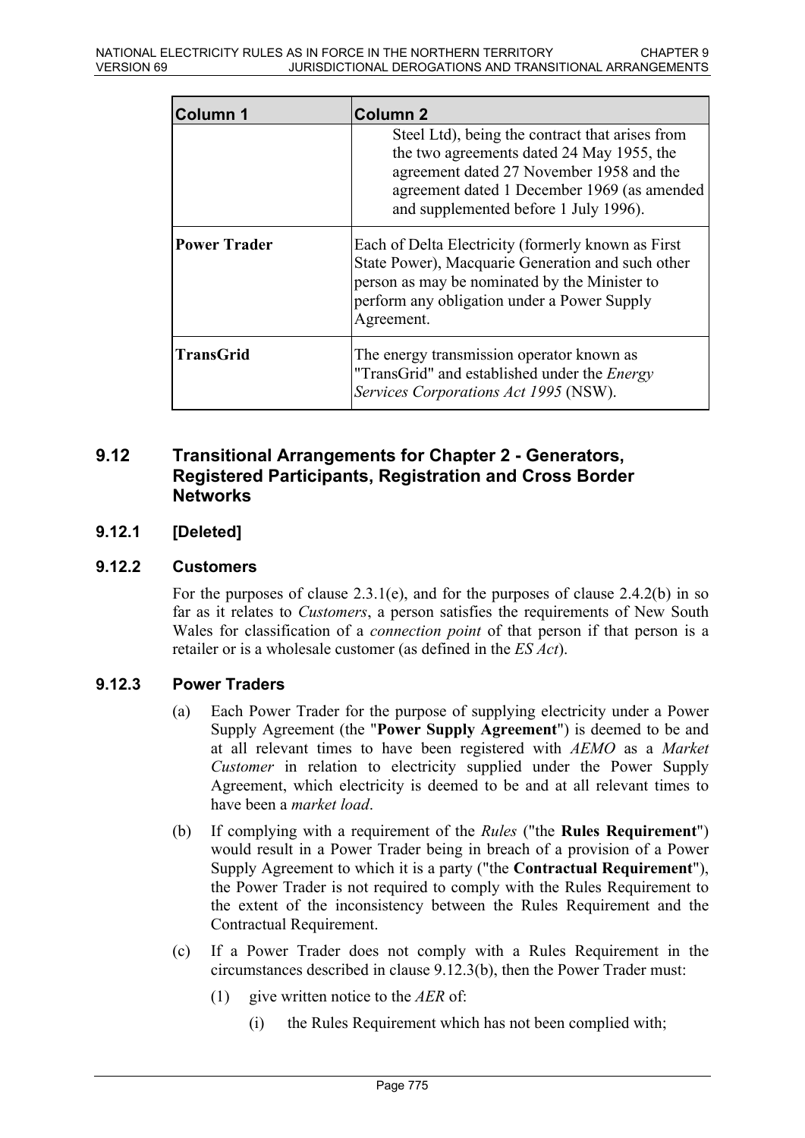| <b>Column 1</b>     | <b>Column 2</b>                                                                                                                                                                                                                  |
|---------------------|----------------------------------------------------------------------------------------------------------------------------------------------------------------------------------------------------------------------------------|
|                     | Steel Ltd), being the contract that arises from<br>the two agreements dated 24 May 1955, the<br>agreement dated 27 November 1958 and the<br>agreement dated 1 December 1969 (as amended<br>and supplemented before 1 July 1996). |
| <b>Power Trader</b> | Each of Delta Electricity (formerly known as First<br>State Power), Macquarie Generation and such other<br>person as may be nominated by the Minister to<br>perform any obligation under a Power Supply<br>Agreement.            |
| <b>TransGrid</b>    | The energy transmission operator known as<br>"TransGrid" and established under the <i>Energy</i><br>Services Corporations Act 1995 (NSW).                                                                                        |

### **9.12 Transitional Arrangements for Chapter 2 - Generators, Registered Participants, Registration and Cross Border Networks**

### **9.12.1 [Deleted]**

#### **9.12.2 Customers**

For the purposes of clause 2.3.1(e), and for the purposes of clause 2.4.2(b) in so far as it relates to *Customers*, a person satisfies the requirements of New South Wales for classification of a *connection point* of that person if that person is a retailer or is a wholesale customer (as defined in the *ES Act*).

### **9.12.3 Power Traders**

- (a) Each Power Trader for the purpose of supplying electricity under a Power Supply Agreement (the "**Power Supply Agreement**") is deemed to be and at all relevant times to have been registered with *AEMO* as a *Market Customer* in relation to electricity supplied under the Power Supply Agreement, which electricity is deemed to be and at all relevant times to have been a *market load*.
- (b) If complying with a requirement of the *Rules* ("the **Rules Requirement**") would result in a Power Trader being in breach of a provision of a Power Supply Agreement to which it is a party ("the **Contractual Requirement**"), the Power Trader is not required to comply with the Rules Requirement to the extent of the inconsistency between the Rules Requirement and the Contractual Requirement.
- (c) If a Power Trader does not comply with a Rules Requirement in the circumstances described in clause 9.12.3(b), then the Power Trader must:
	- (1) give written notice to the *AER* of:
		- (i) the Rules Requirement which has not been complied with;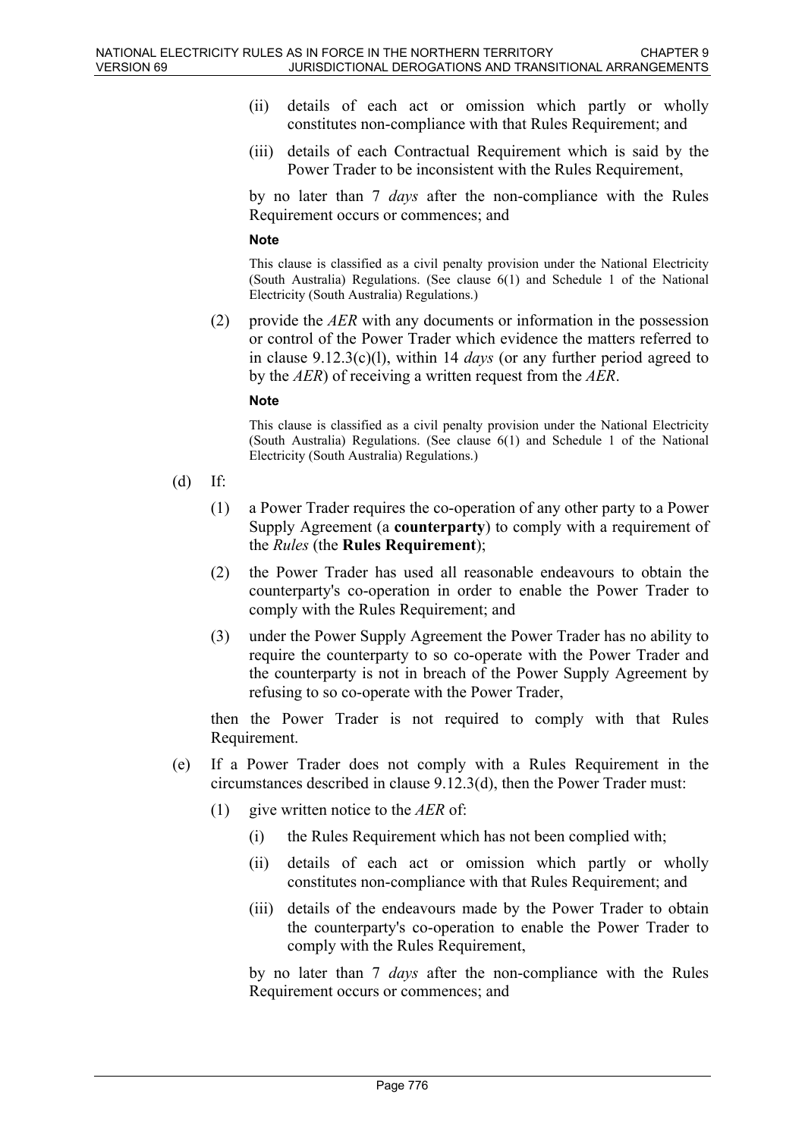- (ii) details of each act or omission which partly or wholly constitutes non-compliance with that Rules Requirement; and
- (iii) details of each Contractual Requirement which is said by the Power Trader to be inconsistent with the Rules Requirement,

by no later than 7 *days* after the non-compliance with the Rules Requirement occurs or commences; and

#### **Note**

This clause is classified as a civil penalty provision under the National Electricity (South Australia) Regulations. (See clause 6(1) and Schedule 1 of the National Electricity (South Australia) Regulations.)

(2) provide the *AER* with any documents or information in the possession or control of the Power Trader which evidence the matters referred to in clause 9.12.3(c)(l), within 14 *days* (or any further period agreed to by the *AER*) of receiving a written request from the *AER*.

#### **Note**

This clause is classified as a civil penalty provision under the National Electricity (South Australia) Regulations. (See clause 6(1) and Schedule 1 of the National Electricity (South Australia) Regulations.)

- (d) If:
	- (1) a Power Trader requires the co-operation of any other party to a Power Supply Agreement (a **counterparty**) to comply with a requirement of the *Rules* (the **Rules Requirement**);
	- (2) the Power Trader has used all reasonable endeavours to obtain the counterparty's co-operation in order to enable the Power Trader to comply with the Rules Requirement; and
	- (3) under the Power Supply Agreement the Power Trader has no ability to require the counterparty to so co-operate with the Power Trader and the counterparty is not in breach of the Power Supply Agreement by refusing to so co-operate with the Power Trader,

then the Power Trader is not required to comply with that Rules Requirement.

- (e) If a Power Trader does not comply with a Rules Requirement in the circumstances described in clause 9.12.3(d), then the Power Trader must:
	- (1) give written notice to the *AER* of:
		- (i) the Rules Requirement which has not been complied with;
		- (ii) details of each act or omission which partly or wholly constitutes non-compliance with that Rules Requirement; and
		- (iii) details of the endeavours made by the Power Trader to obtain the counterparty's co-operation to enable the Power Trader to comply with the Rules Requirement,

by no later than 7 *days* after the non-compliance with the Rules Requirement occurs or commences; and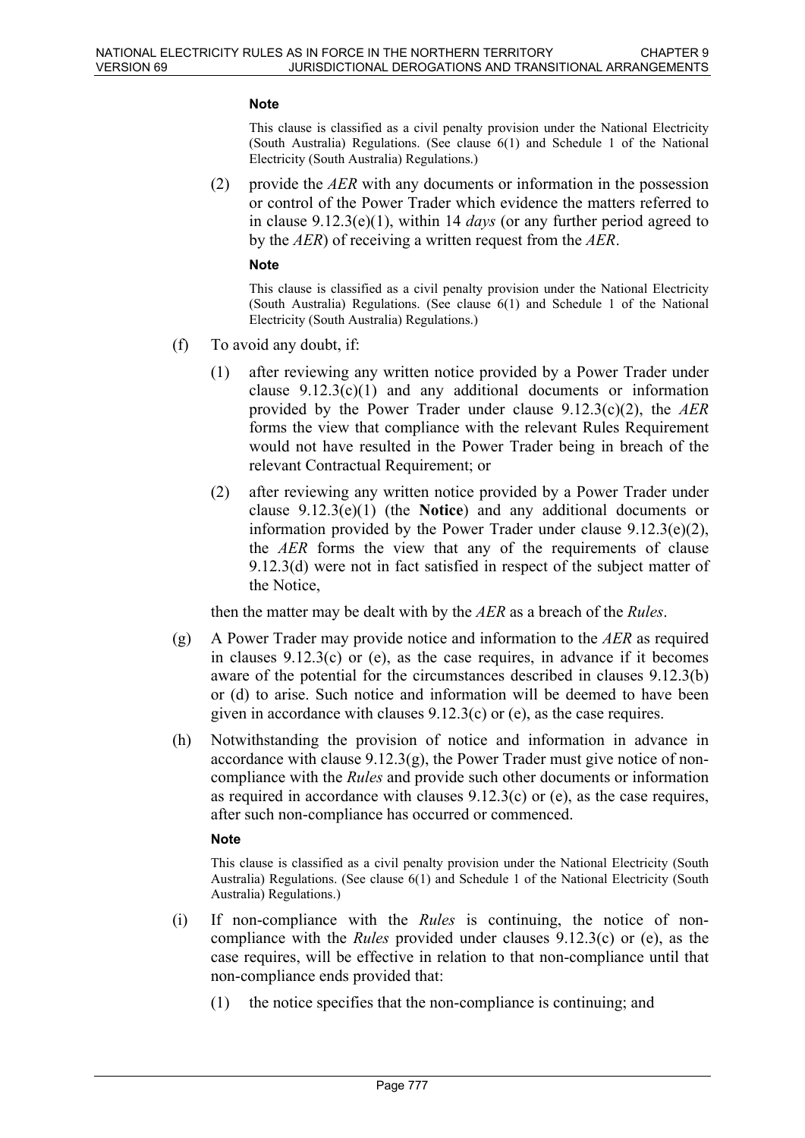#### **Note**

This clause is classified as a civil penalty provision under the National Electricity (South Australia) Regulations. (See clause 6(1) and Schedule 1 of the National Electricity (South Australia) Regulations.)

(2) provide the *AER* with any documents or information in the possession or control of the Power Trader which evidence the matters referred to in clause 9.12.3(e)(1), within 14 *days* (or any further period agreed to by the *AER*) of receiving a written request from the *AER*.

#### **Note**

This clause is classified as a civil penalty provision under the National Electricity (South Australia) Regulations. (See clause 6(1) and Schedule 1 of the National Electricity (South Australia) Regulations.)

- (f) To avoid any doubt, if:
	- (1) after reviewing any written notice provided by a Power Trader under clause  $9.12.3(c)(1)$  and any additional documents or information provided by the Power Trader under clause 9.12.3(c)(2), the *AER* forms the view that compliance with the relevant Rules Requirement would not have resulted in the Power Trader being in breach of the relevant Contractual Requirement; or
	- (2) after reviewing any written notice provided by a Power Trader under clause 9.12.3(e)(1) (the **Notice**) and any additional documents or information provided by the Power Trader under clause  $9.12.3(e)(2)$ , the *AER* forms the view that any of the requirements of clause 9.12.3(d) were not in fact satisfied in respect of the subject matter of the Notice,

then the matter may be dealt with by the *AER* as a breach of the *Rules*.

- (g) A Power Trader may provide notice and information to the *AER* as required in clauses 9.12.3(c) or (e), as the case requires, in advance if it becomes aware of the potential for the circumstances described in clauses 9.12.3(b) or (d) to arise. Such notice and information will be deemed to have been given in accordance with clauses 9.12.3(c) or (e), as the case requires.
- (h) Notwithstanding the provision of notice and information in advance in accordance with clause  $9.12.3(g)$ , the Power Trader must give notice of noncompliance with the *Rules* and provide such other documents or information as required in accordance with clauses 9.12.3(c) or (e), as the case requires, after such non-compliance has occurred or commenced.

#### **Note**

This clause is classified as a civil penalty provision under the National Electricity (South Australia) Regulations. (See clause 6(1) and Schedule 1 of the National Electricity (South Australia) Regulations.)

- (i) If non-compliance with the *Rules* is continuing, the notice of noncompliance with the *Rules* provided under clauses 9.12.3(c) or (e), as the case requires, will be effective in relation to that non-compliance until that non-compliance ends provided that:
	- (1) the notice specifies that the non-compliance is continuing; and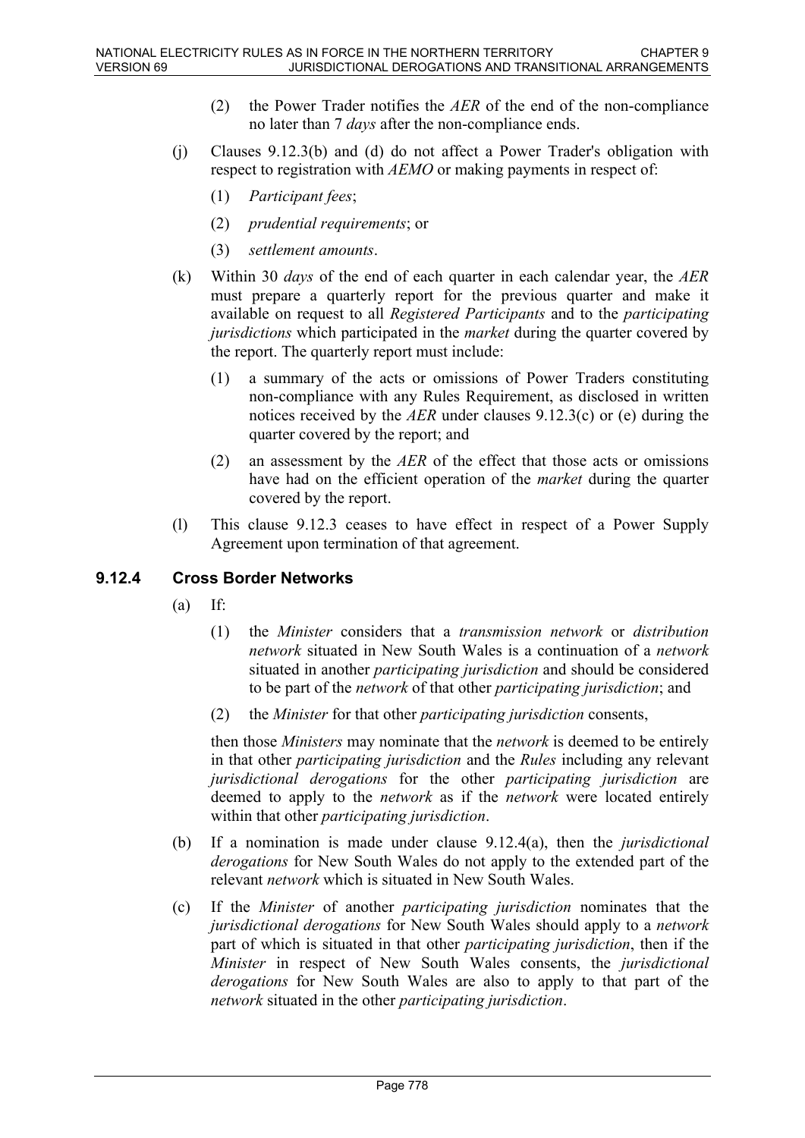- (2) the Power Trader notifies the *AER* of the end of the non-compliance no later than 7 *days* after the non-compliance ends.
- (j) Clauses 9.12.3(b) and (d) do not affect a Power Trader's obligation with respect to registration with *AEMO* or making payments in respect of:
	- (1) *Participant fees*;
	- (2) *prudential requirements*; or
	- (3) *settlement amounts*.
- (k) Within 30 *days* of the end of each quarter in each calendar year, the *AER* must prepare a quarterly report for the previous quarter and make it available on request to all *Registered Participants* and to the *participating jurisdictions* which participated in the *market* during the quarter covered by the report. The quarterly report must include:
	- (1) a summary of the acts or omissions of Power Traders constituting non-compliance with any Rules Requirement, as disclosed in written notices received by the *AER* under clauses 9.12.3(c) or (e) during the quarter covered by the report; and
	- (2) an assessment by the *AER* of the effect that those acts or omissions have had on the efficient operation of the *market* during the quarter covered by the report.
- (l) This clause 9.12.3 ceases to have effect in respect of a Power Supply Agreement upon termination of that agreement.

### **9.12.4 Cross Border Networks**

- $(a)$  If:
	- (1) the *Minister* considers that a *transmission network* or *distribution network* situated in New South Wales is a continuation of a *network* situated in another *participating jurisdiction* and should be considered to be part of the *network* of that other *participating jurisdiction*; and
	- (2) the *Minister* for that other *participating jurisdiction* consents,

then those *Ministers* may nominate that the *network* is deemed to be entirely in that other *participating jurisdiction* and the *Rules* including any relevant *jurisdictional derogations* for the other *participating jurisdiction* are deemed to apply to the *network* as if the *network* were located entirely within that other *participating jurisdiction*.

- (b) If a nomination is made under clause 9.12.4(a), then the *jurisdictional derogations* for New South Wales do not apply to the extended part of the relevant *network* which is situated in New South Wales.
- (c) If the *Minister* of another *participating jurisdiction* nominates that the *jurisdictional derogations* for New South Wales should apply to a *network* part of which is situated in that other *participating jurisdiction*, then if the *Minister* in respect of New South Wales consents, the *jurisdictional derogations* for New South Wales are also to apply to that part of the *network* situated in the other *participating jurisdiction*.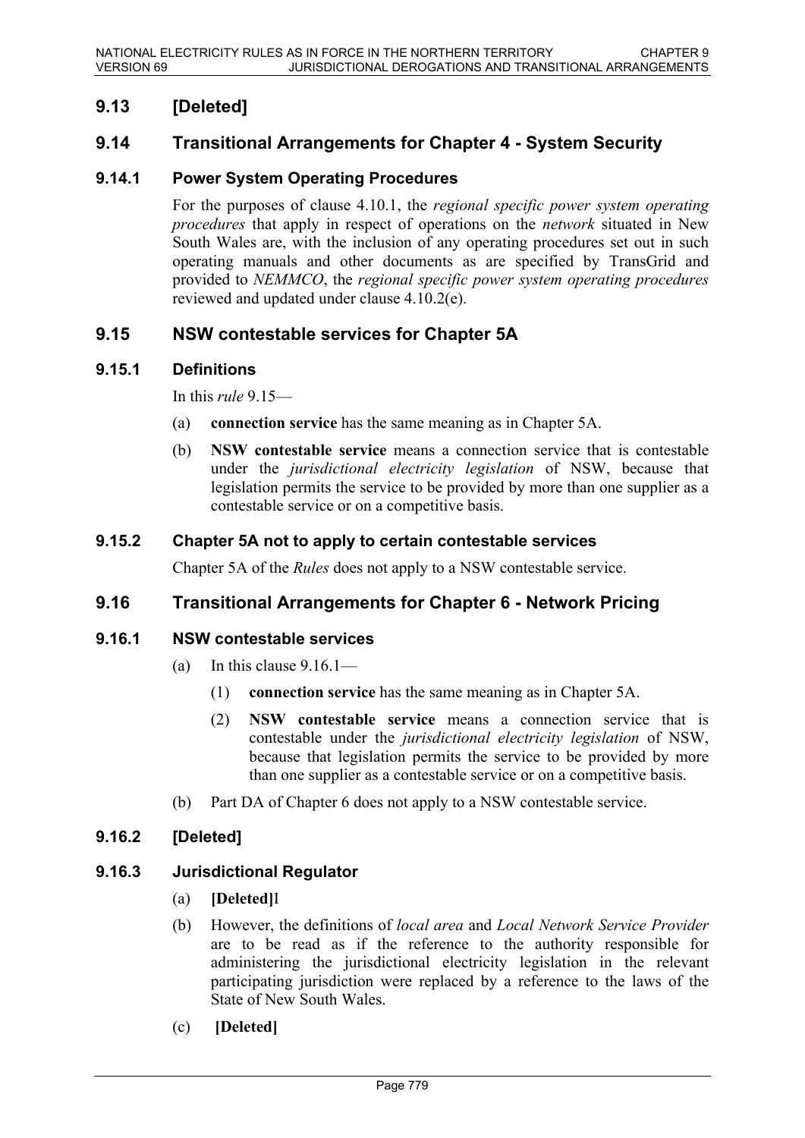# **9.13 [Deleted]**

### **9.14 Transitional Arrangements for Chapter 4 - System Security**

### **9.14.1 Power System Operating Procedures**

For the purposes of clause 4.10.1, the *regional specific power system operating procedures* that apply in respect of operations on the *network* situated in New South Wales are, with the inclusion of any operating procedures set out in such operating manuals and other documents as are specified by TransGrid and provided to *NEMMCO*, the *regional specific power system operating procedures* reviewed and updated under clause 4.10.2(e).

### **9.15 NSW contestable services for Chapter 5A**

#### **9.15.1 Definitions**

In this *rule* 9.15—

- (a) **connection service** has the same meaning as in Chapter 5A.
- (b) **NSW contestable service** means a connection service that is contestable under the *jurisdictional electricity legislation* of NSW, because that legislation permits the service to be provided by more than one supplier as a contestable service or on a competitive basis.

#### **9.15.2 Chapter 5A not to apply to certain contestable services**

Chapter 5A of the *Rules* does not apply to a NSW contestable service.

### **9.16 Transitional Arrangements for Chapter 6 - Network Pricing**

#### **9.16.1 NSW contestable services**

- (a) In this clause  $9.16.1$ 
	- (1) **connection service** has the same meaning as in Chapter 5A.
	- (2) **NSW contestable service** means a connection service that is contestable under the *jurisdictional electricity legislation* of NSW, because that legislation permits the service to be provided by more than one supplier as a contestable service or on a competitive basis.
- (b) Part DA of Chapter 6 does not apply to a NSW contestable service.

### **9.16.2 [Deleted]**

### **9.16.3 Jurisdictional Regulator**

- (a) **[Deleted]**I
- (b) However, the definitions of *local area* and *Local Network Service Provider* are to be read as if the reference to the authority responsible for administering the jurisdictional electricity legislation in the relevant participating jurisdiction were replaced by a reference to the laws of the State of New South Wales.
- (c) **[Deleted]**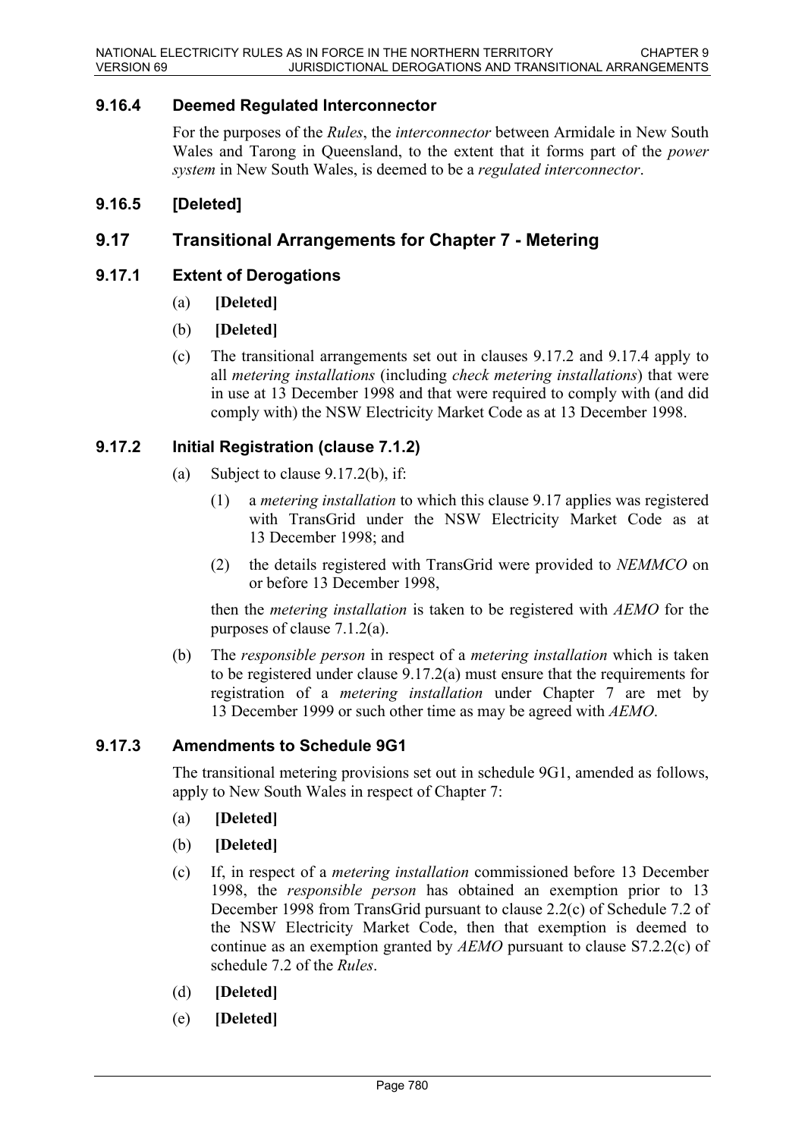### **9.16.4 Deemed Regulated Interconnector**

For the purposes of the *Rules*, the *interconnector* between Armidale in New South Wales and Tarong in Queensland, to the extent that it forms part of the *power system* in New South Wales, is deemed to be a *regulated interconnector*.

### **9.16.5 [Deleted]**

### **9.17 Transitional Arrangements for Chapter 7 - Metering**

### **9.17.1 Extent of Derogations**

- (a) **[Deleted]**
- (b) **[Deleted]**
- (c) The transitional arrangements set out in clauses 9.17.2 and 9.17.4 apply to all *metering installations* (including *check metering installations*) that were in use at 13 December 1998 and that were required to comply with (and did comply with) the NSW Electricity Market Code as at 13 December 1998.

### **9.17.2 Initial Registration (clause 7.1.2)**

- (a) Subject to clause 9.17.2(b), if:
	- (1) a *metering installation* to which this clause 9.17 applies was registered with TransGrid under the NSW Electricity Market Code as at 13 December 1998; and
	- (2) the details registered with TransGrid were provided to *NEMMCO* on or before 13 December 1998,

then the *metering installation* is taken to be registered with *AEMO* for the purposes of clause 7.1.2(a).

(b) The *responsible person* in respect of a *metering installation* which is taken to be registered under clause 9.17.2(a) must ensure that the requirements for registration of a *metering installation* under Chapter 7 are met by 13 December 1999 or such other time as may be agreed with *AEMO*.

### **9.17.3 Amendments to Schedule 9G1**

The transitional metering provisions set out in schedule 9G1, amended as follows, apply to New South Wales in respect of Chapter 7:

- (a) **[Deleted]**
- (b) **[Deleted]**
- (c) If, in respect of a *metering installation* commissioned before 13 December 1998, the *responsible person* has obtained an exemption prior to 13 December 1998 from TransGrid pursuant to clause 2.2(c) of Schedule 7.2 of the NSW Electricity Market Code, then that exemption is deemed to continue as an exemption granted by *AEMO* pursuant to clause S7.2.2(c) of schedule 7.2 of the *Rules*.
- (d) **[Deleted]**
- (e) **[Deleted]**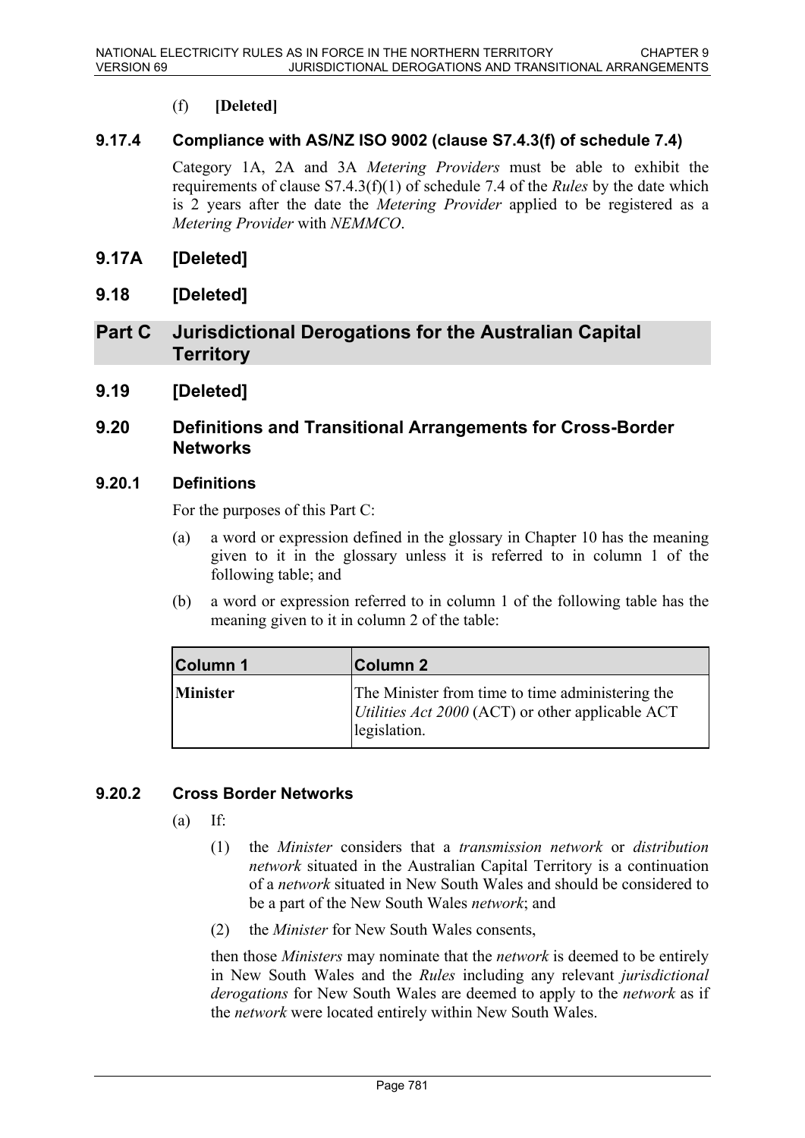### (f) **[Deleted]**

### **9.17.4 Compliance with AS/NZ ISO 9002 (clause S7.4.3(f) of schedule 7.4)**

Category 1A, 2A and 3A *Metering Providers* must be able to exhibit the requirements of clause S7.4.3(f)(1) of schedule 7.4 of the *Rules* by the date which is 2 years after the date the *Metering Provider* applied to be registered as a *Metering Provider* with *NEMMCO*.

### **9.17A [Deleted]**

**9.18 [Deleted]**

## **Part C Jurisdictional Derogations for the Australian Capital Territory**

**9.19 [Deleted]**

### **9.20 Definitions and Transitional Arrangements for Cross-Border Networks**

### **9.20.1 Definitions**

For the purposes of this Part C:

- (a) a word or expression defined in the glossary in Chapter 10 has the meaning given to it in the glossary unless it is referred to in column 1 of the following table; and
- (b) a word or expression referred to in column 1 of the following table has the meaning given to it in column 2 of the table:

| <b>Column 1</b> | ∣Column 2                                                                                                            |
|-----------------|----------------------------------------------------------------------------------------------------------------------|
| <b>Minister</b> | The Minister from time to time administering the<br>Utilities Act 2000 (ACT) or other applicable ACT<br>legislation. |

### **9.20.2 Cross Border Networks**

- $(a)$  If:
	- (1) the *Minister* considers that a *transmission network* or *distribution network* situated in the Australian Capital Territory is a continuation of a *network* situated in New South Wales and should be considered to be a part of the New South Wales *network*; and
	- (2) the *Minister* for New South Wales consents,

then those *Ministers* may nominate that the *network* is deemed to be entirely in New South Wales and the *Rules* including any relevant *jurisdictional derogations* for New South Wales are deemed to apply to the *network* as if the *network* were located entirely within New South Wales.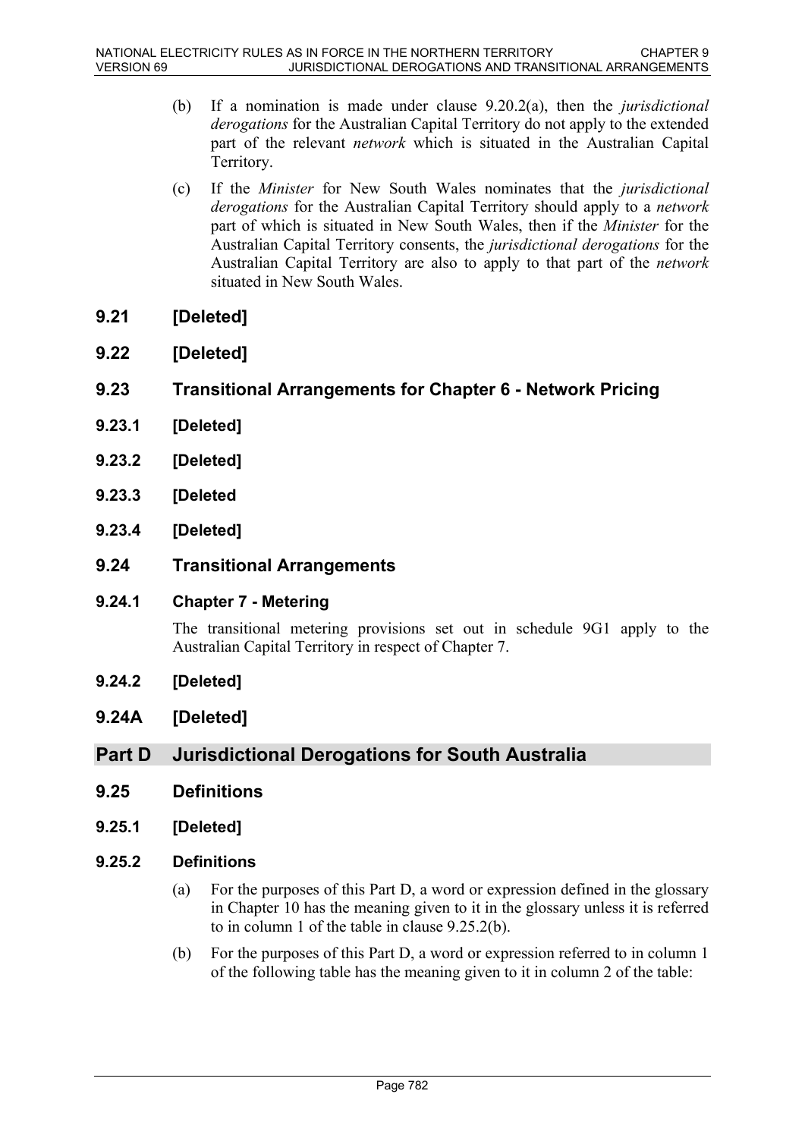- (b) If a nomination is made under clause 9.20.2(a), then the *jurisdictional derogations* for the Australian Capital Territory do not apply to the extended part of the relevant *network* which is situated in the Australian Capital Territory.
- (c) If the *Minister* for New South Wales nominates that the *jurisdictional derogations* for the Australian Capital Territory should apply to a *network* part of which is situated in New South Wales, then if the *Minister* for the Australian Capital Territory consents, the *jurisdictional derogations* for the Australian Capital Territory are also to apply to that part of the *network* situated in New South Wales.
- **9.21 [Deleted]**
- **9.22 [Deleted]**

## **9.23 Transitional Arrangements for Chapter 6 - Network Pricing**

- **9.23.1 [Deleted]**
- **9.23.2 [Deleted]**
- **9.23.3 [Deleted**
- **9.23.4 [Deleted]**
- **9.24 Transitional Arrangements**
- **9.24.1 Chapter 7 Metering**

The transitional metering provisions set out in schedule 9G1 apply to the Australian Capital Territory in respect of Chapter 7.

- **9.24.2 [Deleted]**
- **9.24A [Deleted]**

# **Part D Jurisdictional Derogations for South Australia**

- **9.25 Definitions**
- **9.25.1 [Deleted]**

### **9.25.2 Definitions**

- (a) For the purposes of this Part D, a word or expression defined in the glossary in Chapter 10 has the meaning given to it in the glossary unless it is referred to in column 1 of the table in clause 9.25.2(b).
- (b) For the purposes of this Part D, a word or expression referred to in column 1 of the following table has the meaning given to it in column 2 of the table: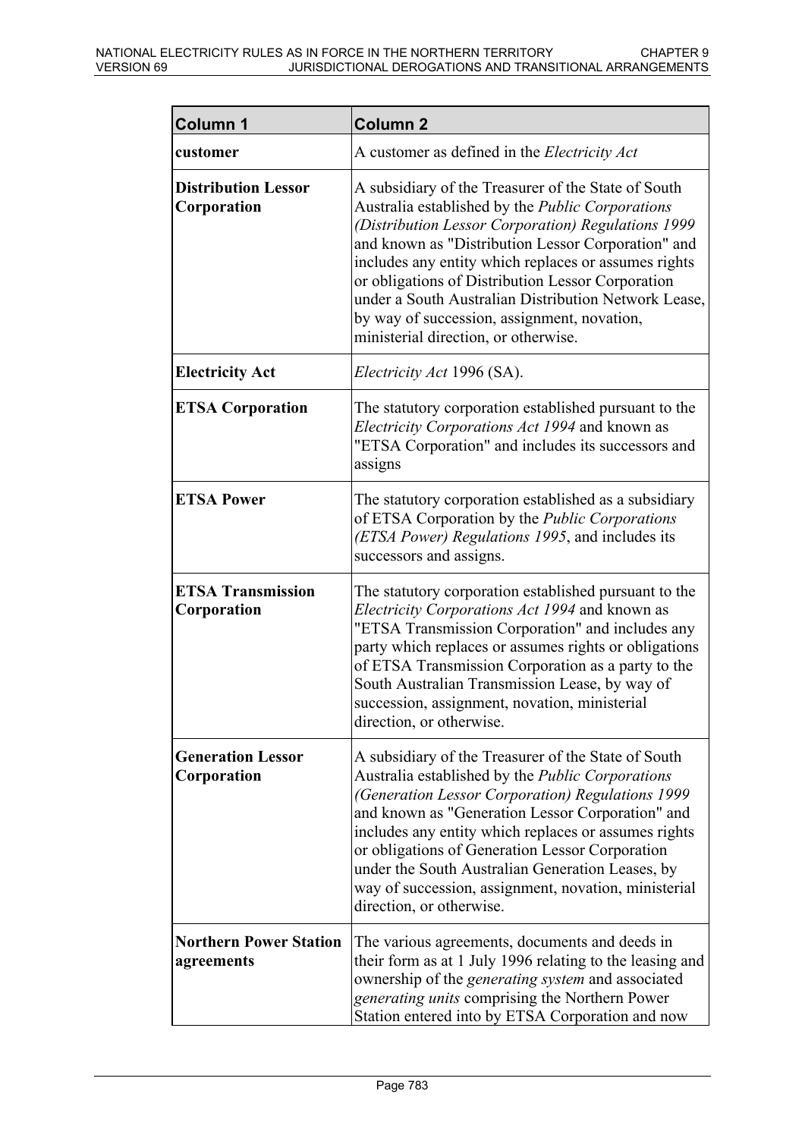| Column 1                                    | <b>Column 2</b>                                                                                                                                                                                                                                                                                                                                                                                                                                                                 |
|---------------------------------------------|---------------------------------------------------------------------------------------------------------------------------------------------------------------------------------------------------------------------------------------------------------------------------------------------------------------------------------------------------------------------------------------------------------------------------------------------------------------------------------|
| customer                                    | A customer as defined in the Electricity Act                                                                                                                                                                                                                                                                                                                                                                                                                                    |
| <b>Distribution Lessor</b><br>Corporation   | A subsidiary of the Treasurer of the State of South<br>Australia established by the Public Corporations<br>(Distribution Lessor Corporation) Regulations 1999<br>and known as "Distribution Lessor Corporation" and<br>includes any entity which replaces or assumes rights<br>or obligations of Distribution Lessor Corporation<br>under a South Australian Distribution Network Lease,<br>by way of succession, assignment, novation,<br>ministerial direction, or otherwise. |
| <b>Electricity Act</b>                      | <i>Electricity Act</i> 1996 (SA).                                                                                                                                                                                                                                                                                                                                                                                                                                               |
| <b>ETSA Corporation</b>                     | The statutory corporation established pursuant to the<br>Electricity Corporations Act 1994 and known as<br>"ETSA Corporation" and includes its successors and<br>assigns                                                                                                                                                                                                                                                                                                        |
| <b>ETSA Power</b>                           | The statutory corporation established as a subsidiary<br>of ETSA Corporation by the Public Corporations<br>(ETSA Power) Regulations 1995, and includes its<br>successors and assigns.                                                                                                                                                                                                                                                                                           |
| <b>ETSA Transmission</b><br>Corporation     | The statutory corporation established pursuant to the<br>Electricity Corporations Act 1994 and known as<br>"ETSA Transmission Corporation" and includes any<br>party which replaces or assumes rights or obligations<br>of ETSA Transmission Corporation as a party to the<br>South Australian Transmission Lease, by way of<br>succession, assignment, novation, ministerial<br>direction, or otherwise.                                                                       |
| <b>Generation Lessor</b><br>Corporation     | A subsidiary of the Treasurer of the State of South<br>Australia established by the <i>Public Corporations</i><br>(Generation Lessor Corporation) Regulations 1999<br>and known as "Generation Lessor Corporation" and<br>includes any entity which replaces or assumes rights<br>or obligations of Generation Lessor Corporation<br>under the South Australian Generation Leases, by<br>way of succession, assignment, novation, ministerial<br>direction, or otherwise.       |
| <b>Northern Power Station</b><br>agreements | The various agreements, documents and deeds in<br>their form as at 1 July 1996 relating to the leasing and<br>ownership of the <i>generating system</i> and associated<br><i>generating units comprising the Northern Power</i><br>Station entered into by ETSA Corporation and now                                                                                                                                                                                             |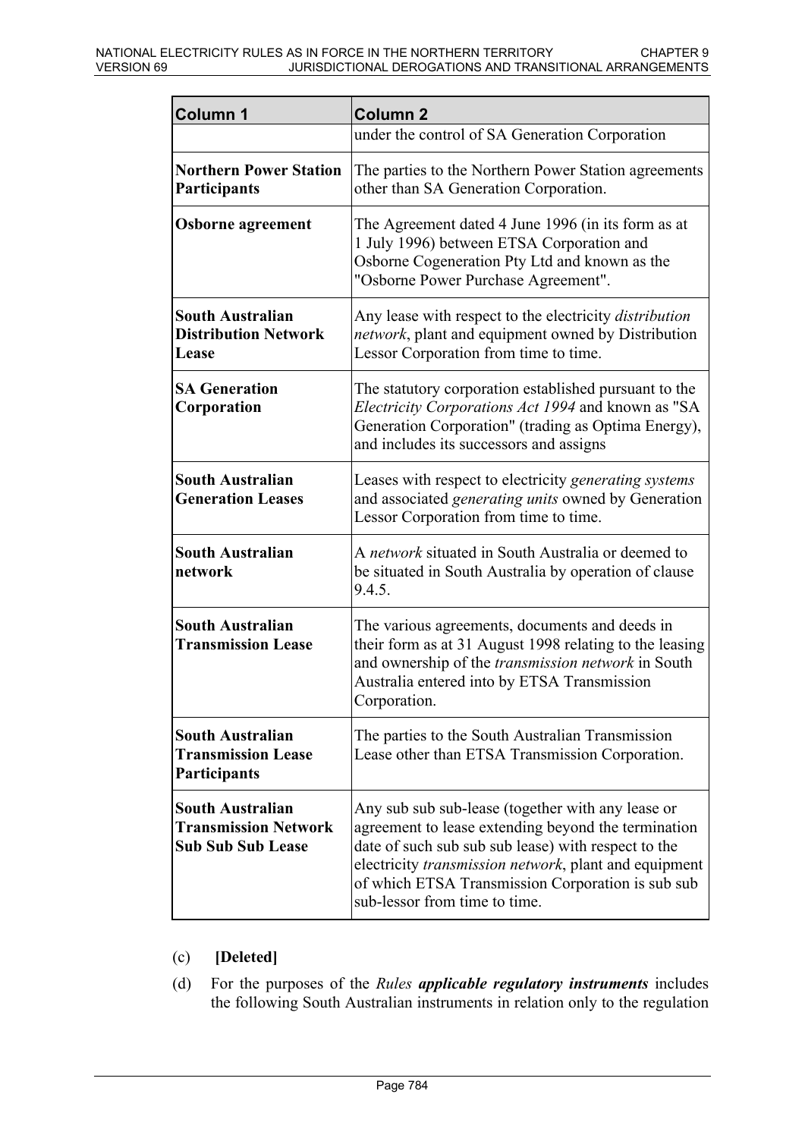| Column 1                                                                           | <b>Column 2</b>                                                                                                                                                                                                                                                                                                    |
|------------------------------------------------------------------------------------|--------------------------------------------------------------------------------------------------------------------------------------------------------------------------------------------------------------------------------------------------------------------------------------------------------------------|
|                                                                                    | under the control of SA Generation Corporation                                                                                                                                                                                                                                                                     |
| <b>Northern Power Station</b><br>Participants                                      | The parties to the Northern Power Station agreements<br>other than SA Generation Corporation.                                                                                                                                                                                                                      |
| <b>Osborne</b> agreement                                                           | The Agreement dated 4 June 1996 (in its form as at<br>1 July 1996) between ETSA Corporation and<br>Osborne Cogeneration Pty Ltd and known as the<br>"Osborne Power Purchase Agreement".                                                                                                                            |
| South Australian<br><b>Distribution Network</b><br>Lease                           | Any lease with respect to the electricity <i>distribution</i><br>network, plant and equipment owned by Distribution<br>Lessor Corporation from time to time.                                                                                                                                                       |
| <b>SA Generation</b><br>Corporation                                                | The statutory corporation established pursuant to the<br>Electricity Corporations Act 1994 and known as "SA<br>Generation Corporation" (trading as Optima Energy),<br>and includes its successors and assigns                                                                                                      |
| South Australian<br><b>Generation Leases</b>                                       | Leases with respect to electricity generating systems<br>and associated <i>generating units</i> owned by Generation<br>Lessor Corporation from time to time.                                                                                                                                                       |
| <b>South Australian</b><br>network                                                 | A network situated in South Australia or deemed to<br>be situated in South Australia by operation of clause<br>9.4.5.                                                                                                                                                                                              |
| South Australian<br><b>Transmission Lease</b>                                      | The various agreements, documents and deeds in<br>their form as at 31 August 1998 relating to the leasing<br>and ownership of the transmission network in South<br>Australia entered into by ETSA Transmission<br>Corporation.                                                                                     |
| <b>South Australian</b><br><b>Transmission Lease</b><br>Participants               | The parties to the South Australian Transmission<br>Lease other than ETSA Transmission Corporation.                                                                                                                                                                                                                |
| <b>South Australian</b><br><b>Transmission Network</b><br><b>Sub Sub Sub Lease</b> | Any sub sub-lease (together with any lease or<br>agreement to lease extending beyond the termination<br>date of such sub sub sub lease) with respect to the<br>electricity <i>transmission network</i> , plant and equipment<br>of which ETSA Transmission Corporation is sub sub<br>sub-lessor from time to time. |

### (c) **[Deleted]**

(d) For the purposes of the *Rules applicable regulatory instruments* includes the following South Australian instruments in relation only to the regulation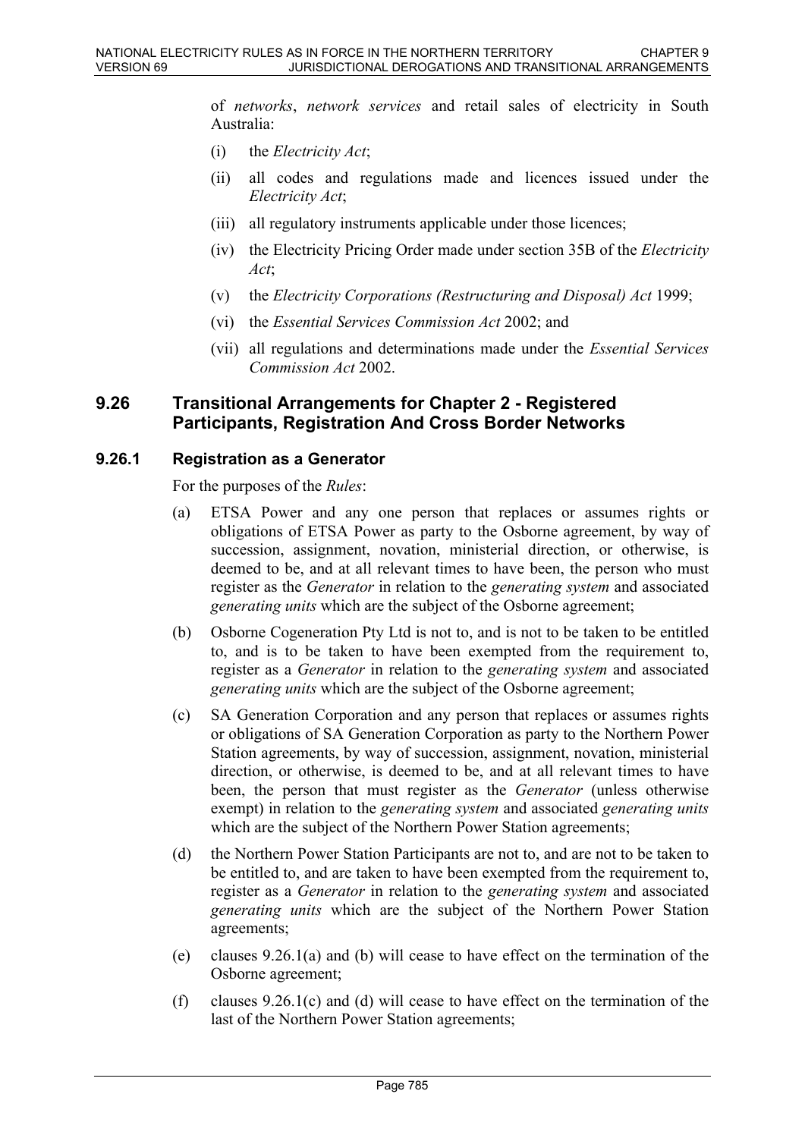of *networks*, *network services* and retail sales of electricity in South Australia:

- (i) the *Electricity Act*;
- (ii) all codes and regulations made and licences issued under the *Electricity Act*;
- (iii) all regulatory instruments applicable under those licences;
- (iv) the Electricity Pricing Order made under section 35B of the *Electricity Act*;
- (v) the *Electricity Corporations (Restructuring and Disposal) Act* 1999;
- (vi) the *Essential Services Commission Act* 2002; and
- (vii) all regulations and determinations made under the *Essential Services Commission Act* 2002.

### **9.26 Transitional Arrangements for Chapter 2 - Registered Participants, Registration And Cross Border Networks**

#### **9.26.1 Registration as a Generator**

For the purposes of the *Rules*:

- (a) ETSA Power and any one person that replaces or assumes rights or obligations of ETSA Power as party to the Osborne agreement, by way of succession, assignment, novation, ministerial direction, or otherwise, is deemed to be, and at all relevant times to have been, the person who must register as the *Generator* in relation to the *generating system* and associated *generating units* which are the subject of the Osborne agreement;
- (b) Osborne Cogeneration Pty Ltd is not to, and is not to be taken to be entitled to, and is to be taken to have been exempted from the requirement to, register as a *Generator* in relation to the *generating system* and associated *generating units* which are the subject of the Osborne agreement;
- (c) SA Generation Corporation and any person that replaces or assumes rights or obligations of SA Generation Corporation as party to the Northern Power Station agreements, by way of succession, assignment, novation, ministerial direction, or otherwise, is deemed to be, and at all relevant times to have been, the person that must register as the *Generator* (unless otherwise exempt) in relation to the *generating system* and associated *generating units* which are the subject of the Northern Power Station agreements;
- (d) the Northern Power Station Participants are not to, and are not to be taken to be entitled to, and are taken to have been exempted from the requirement to, register as a *Generator* in relation to the *generating system* and associated *generating units* which are the subject of the Northern Power Station agreements;
- (e) clauses 9.26.1(a) and (b) will cease to have effect on the termination of the Osborne agreement;
- (f) clauses  $9.26.1(c)$  and (d) will cease to have effect on the termination of the last of the Northern Power Station agreements;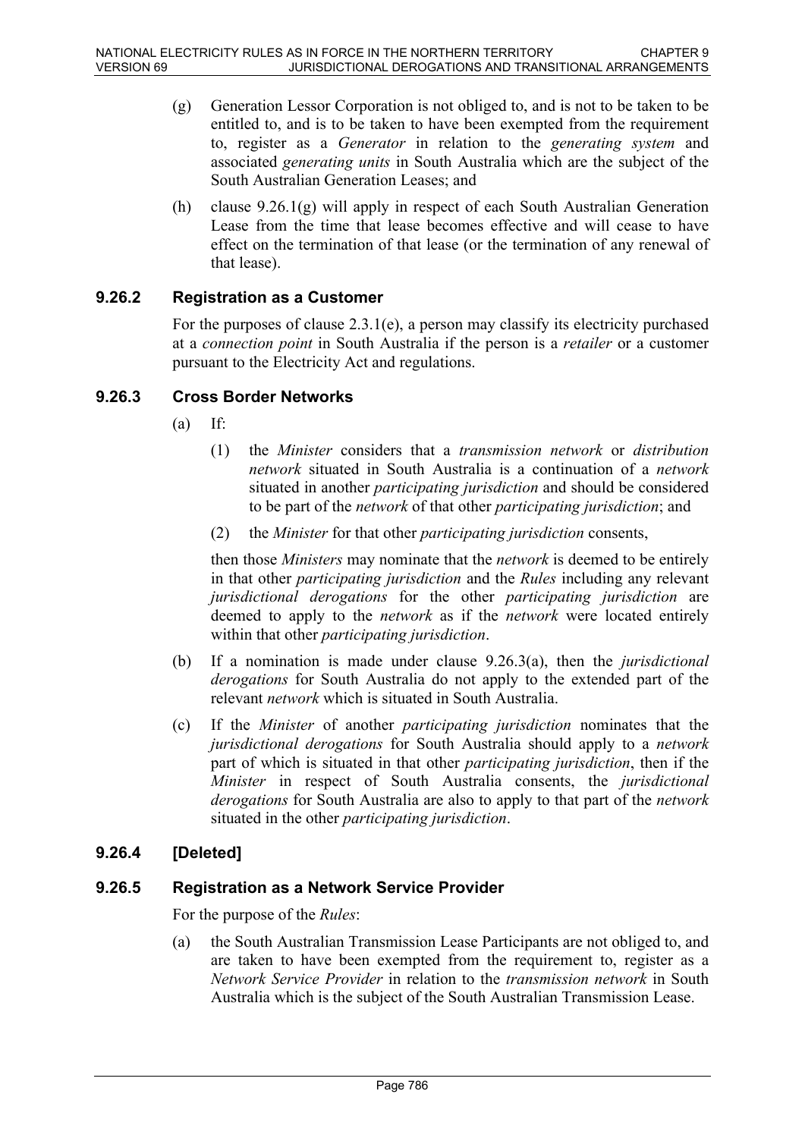- (g) Generation Lessor Corporation is not obliged to, and is not to be taken to be entitled to, and is to be taken to have been exempted from the requirement to, register as a *Generator* in relation to the *generating system* and associated *generating units* in South Australia which are the subject of the South Australian Generation Leases; and
- (h) clause  $9.26.1(g)$  will apply in respect of each South Australian Generation Lease from the time that lease becomes effective and will cease to have effect on the termination of that lease (or the termination of any renewal of that lease).

### **9.26.2 Registration as a Customer**

For the purposes of clause  $2.3.1(e)$ , a person may classify its electricity purchased at a *connection point* in South Australia if the person is a *retailer* or a customer pursuant to the Electricity Act and regulations.

### **9.26.3 Cross Border Networks**

- $(a)$  If:
	- (1) the *Minister* considers that a *transmission network* or *distribution network* situated in South Australia is a continuation of a *network* situated in another *participating jurisdiction* and should be considered to be part of the *network* of that other *participating jurisdiction*; and
	- (2) the *Minister* for that other *participating jurisdiction* consents,

then those *Ministers* may nominate that the *network* is deemed to be entirely in that other *participating jurisdiction* and the *Rules* including any relevant *jurisdictional derogations* for the other *participating jurisdiction* are deemed to apply to the *network* as if the *network* were located entirely within that other *participating jurisdiction*.

- (b) If a nomination is made under clause 9.26.3(a), then the *jurisdictional derogations* for South Australia do not apply to the extended part of the relevant *network* which is situated in South Australia.
- (c) If the *Minister* of another *participating jurisdiction* nominates that the *jurisdictional derogations* for South Australia should apply to a *network* part of which is situated in that other *participating jurisdiction*, then if the *Minister* in respect of South Australia consents, the *jurisdictional derogations* for South Australia are also to apply to that part of the *network* situated in the other *participating jurisdiction*.

### **9.26.4 [Deleted]**

### **9.26.5 Registration as a Network Service Provider**

For the purpose of the *Rules*:

(a) the South Australian Transmission Lease Participants are not obliged to, and are taken to have been exempted from the requirement to, register as a *Network Service Provider* in relation to the *transmission network* in South Australia which is the subject of the South Australian Transmission Lease.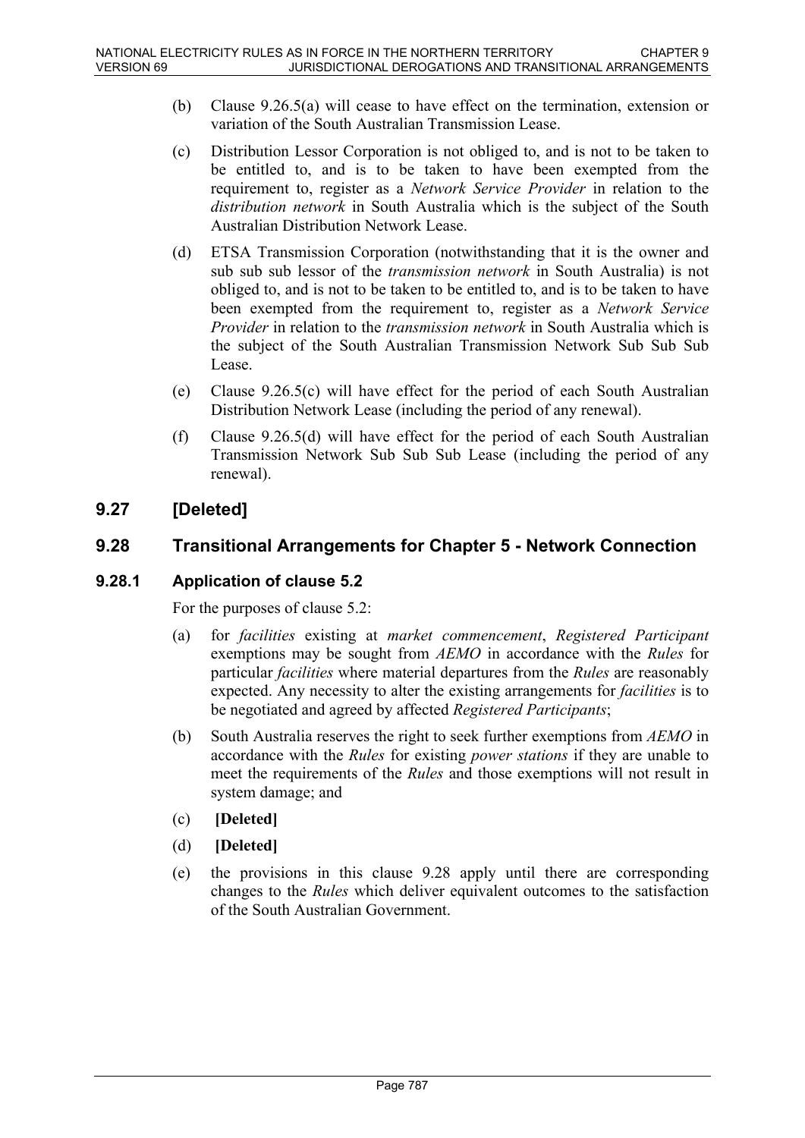- (b) Clause 9.26.5(a) will cease to have effect on the termination, extension or variation of the South Australian Transmission Lease.
- (c) Distribution Lessor Corporation is not obliged to, and is not to be taken to be entitled to, and is to be taken to have been exempted from the requirement to, register as a *Network Service Provider* in relation to the *distribution network* in South Australia which is the subject of the South Australian Distribution Network Lease.
- (d) ETSA Transmission Corporation (notwithstanding that it is the owner and sub sub sub lessor of the *transmission network* in South Australia) is not obliged to, and is not to be taken to be entitled to, and is to be taken to have been exempted from the requirement to, register as a *Network Service Provider* in relation to the *transmission network* in South Australia which is the subject of the South Australian Transmission Network Sub Sub Sub Lease.
- (e) Clause 9.26.5(c) will have effect for the period of each South Australian Distribution Network Lease (including the period of any renewal).
- (f) Clause 9.26.5(d) will have effect for the period of each South Australian Transmission Network Sub Sub Sub Lease (including the period of any renewal).

# **9.27 [Deleted]**

## **9.28 Transitional Arrangements for Chapter 5 - Network Connection**

### **9.28.1 Application of clause 5.2**

For the purposes of clause 5.2:

- (a) for *facilities* existing at *market commencement*, *Registered Participant* exemptions may be sought from *AEMO* in accordance with the *Rules* for particular *facilities* where material departures from the *Rules* are reasonably expected. Any necessity to alter the existing arrangements for *facilities* is to be negotiated and agreed by affected *Registered Participants*;
- (b) South Australia reserves the right to seek further exemptions from *AEMO* in accordance with the *Rules* for existing *power stations* if they are unable to meet the requirements of the *Rules* and those exemptions will not result in system damage; and
- (c) **[Deleted]**
- (d) **[Deleted]**
- (e) the provisions in this clause 9.28 apply until there are corresponding changes to the *Rules* which deliver equivalent outcomes to the satisfaction of the South Australian Government.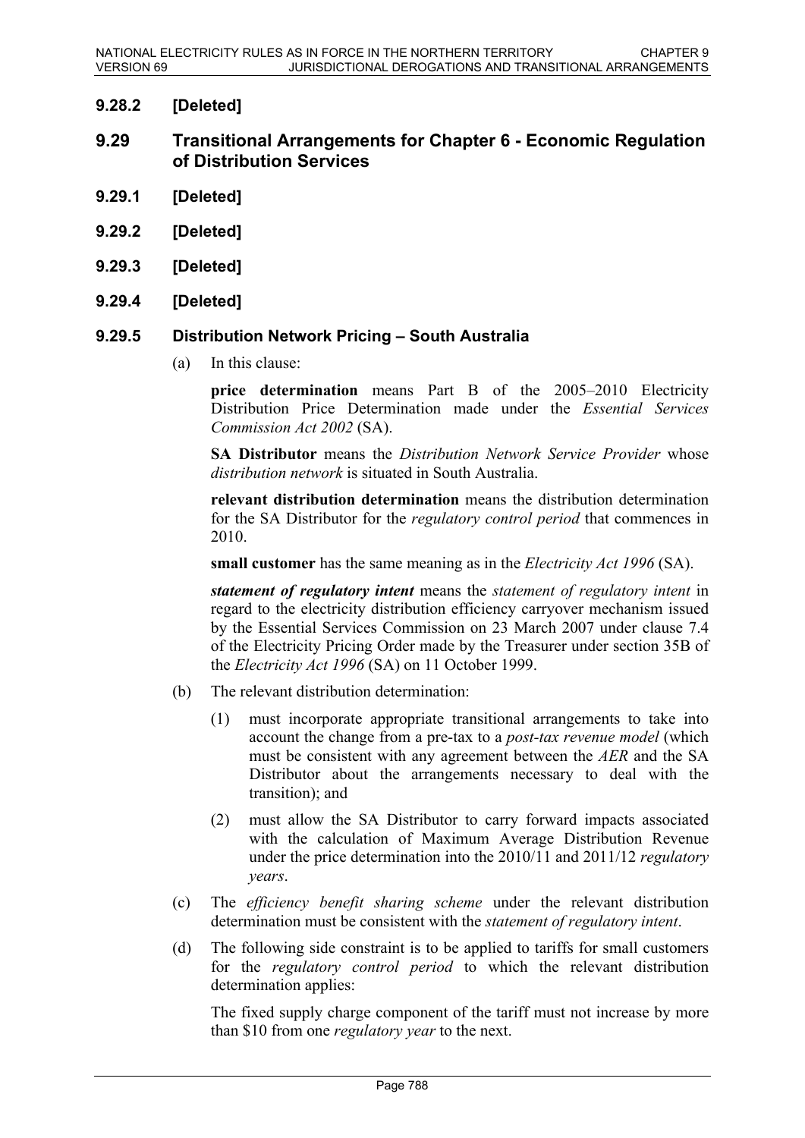### **9.28.2 [Deleted]**

- **9.29 Transitional Arrangements for Chapter 6 Economic Regulation of Distribution Services**
- **9.29.1 [Deleted]**
- **9.29.2 [Deleted]**
- **9.29.3 [Deleted]**
- **9.29.4 [Deleted]**

#### **9.29.5 Distribution Network Pricing – South Australia**

(a) In this clause:

**price determination** means Part B of the 2005–2010 Electricity Distribution Price Determination made under the *Essential Services Commission Act 2002* (SA).

**SA Distributor** means the *Distribution Network Service Provider* whose *distribution network* is situated in South Australia.

**relevant distribution determination** means the distribution determination for the SA Distributor for the *regulatory control period* that commences in 2010.

**small customer** has the same meaning as in the *Electricity Act 1996* (SA).

*statement of regulatory intent* means the *statement of regulatory intent* in regard to the electricity distribution efficiency carryover mechanism issued by the Essential Services Commission on 23 March 2007 under clause 7.4 of the Electricity Pricing Order made by the Treasurer under section 35B of the *Electricity Act 1996* (SA) on 11 October 1999.

- (b) The relevant distribution determination:
	- (1) must incorporate appropriate transitional arrangements to take into account the change from a pre-tax to a *post-tax revenue model* (which must be consistent with any agreement between the *AER* and the SA Distributor about the arrangements necessary to deal with the transition); and
	- (2) must allow the SA Distributor to carry forward impacts associated with the calculation of Maximum Average Distribution Revenue under the price determination into the 2010/11 and 2011/12 *regulatory years*.
- (c) The *efficiency benefit sharing scheme* under the relevant distribution determination must be consistent with the *statement of regulatory intent*.
- (d) The following side constraint is to be applied to tariffs for small customers for the *regulatory control period* to which the relevant distribution determination applies:

The fixed supply charge component of the tariff must not increase by more than \$10 from one *regulatory year* to the next.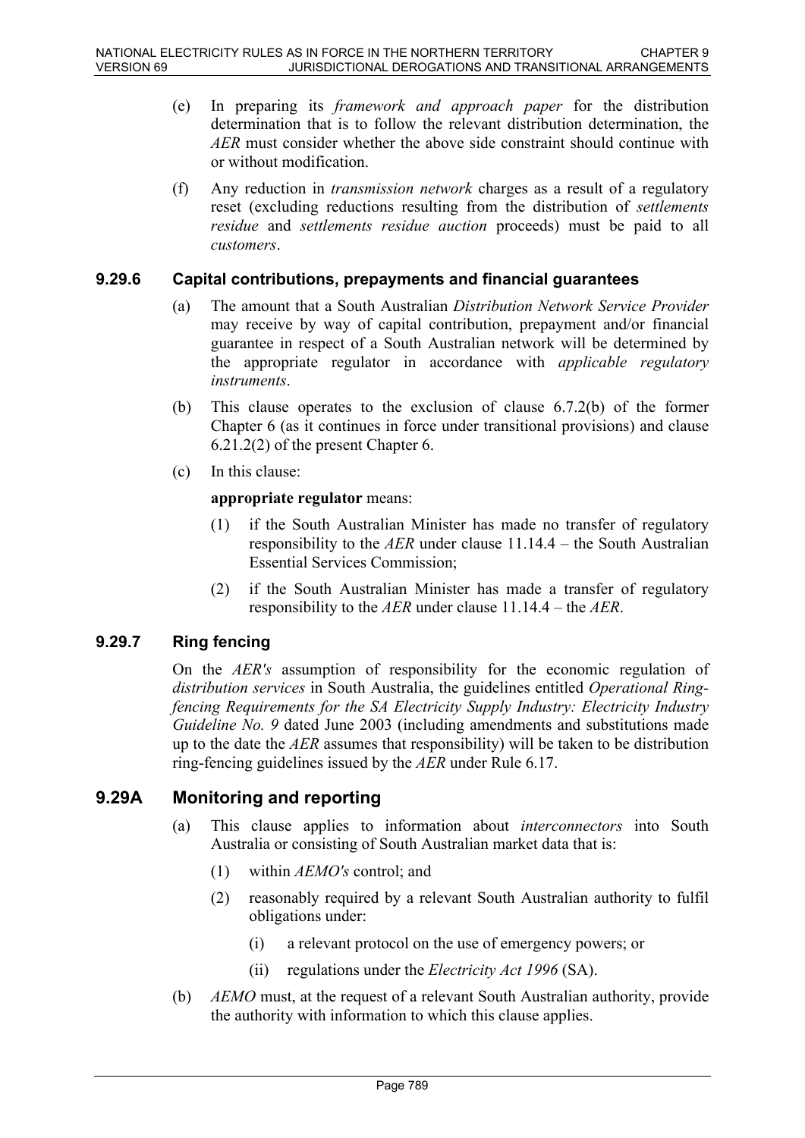- (e) In preparing its *framework and approach paper* for the distribution determination that is to follow the relevant distribution determination, the *AER* must consider whether the above side constraint should continue with or without modification.
- (f) Any reduction in *transmission network* charges as a result of a regulatory reset (excluding reductions resulting from the distribution of *settlements residue* and *settlements residue auction* proceeds) must be paid to all *customers*.

#### **9.29.6 Capital contributions, prepayments and financial guarantees**

- (a) The amount that a South Australian *Distribution Network Service Provider* may receive by way of capital contribution, prepayment and/or financial guarantee in respect of a South Australian network will be determined by the appropriate regulator in accordance with *applicable regulatory instruments*.
- (b) This clause operates to the exclusion of clause 6.7.2(b) of the former Chapter 6 (as it continues in force under transitional provisions) and clause 6.21.2(2) of the present Chapter 6.
- (c) In this clause:

#### **appropriate regulator** means:

- (1) if the South Australian Minister has made no transfer of regulatory responsibility to the *AER* under clause 11.14.4 – the South Australian Essential Services Commission;
- (2) if the South Australian Minister has made a transfer of regulatory responsibility to the *AER* under clause 11.14.4 – the *AER*.

### **9.29.7 Ring fencing**

On the *AER's* assumption of responsibility for the economic regulation of *distribution services* in South Australia, the guidelines entitled *Operational Ringfencing Requirements for the SA Electricity Supply Industry: Electricity Industry Guideline No. 9* dated June 2003 (including amendments and substitutions made up to the date the *AER* assumes that responsibility) will be taken to be distribution ring-fencing guidelines issued by the *AER* under Rule 6.17.

### **9.29A Monitoring and reporting**

- (a) This clause applies to information about *interconnectors* into South Australia or consisting of South Australian market data that is:
	- (1) within *AEMO's* control; and
	- (2) reasonably required by a relevant South Australian authority to fulfil obligations under:
		- (i) a relevant protocol on the use of emergency powers; or
		- (ii) regulations under the *Electricity Act 1996* (SA).
- (b) *AEMO* must, at the request of a relevant South Australian authority, provide the authority with information to which this clause applies.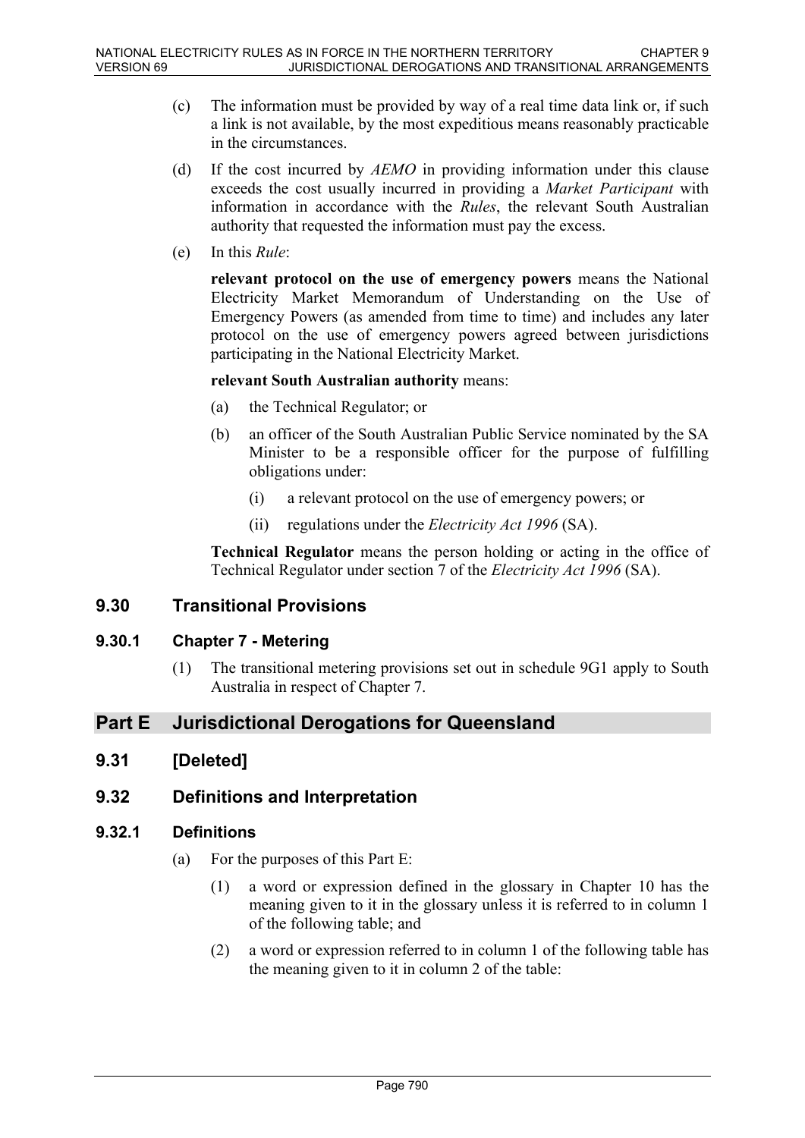- (c) The information must be provided by way of a real time data link or, if such a link is not available, by the most expeditious means reasonably practicable in the circumstances.
- (d) If the cost incurred by *AEMO* in providing information under this clause exceeds the cost usually incurred in providing a *Market Participant* with information in accordance with the *Rules*, the relevant South Australian authority that requested the information must pay the excess.
- (e) In this *Rule*:

**relevant protocol on the use of emergency powers** means the National Electricity Market Memorandum of Understanding on the Use of Emergency Powers (as amended from time to time) and includes any later protocol on the use of emergency powers agreed between jurisdictions participating in the National Electricity Market.

#### **relevant South Australian authority** means:

- (a) the Technical Regulator; or
- (b) an officer of the South Australian Public Service nominated by the SA Minister to be a responsible officer for the purpose of fulfilling obligations under:
	- (i) a relevant protocol on the use of emergency powers; or
	- (ii) regulations under the *Electricity Act 1996* (SA).

**Technical Regulator** means the person holding or acting in the office of Technical Regulator under section 7 of the *Electricity Act 1996* (SA).

### **9.30 Transitional Provisions**

### **9.30.1 Chapter 7 - Metering**

(1) The transitional metering provisions set out in schedule 9G1 apply to South Australia in respect of Chapter 7.

# **Part E Jurisdictional Derogations for Queensland**

**9.31 [Deleted]**

### **9.32 Definitions and Interpretation**

### **9.32.1 Definitions**

- (a) For the purposes of this Part E:
	- (1) a word or expression defined in the glossary in Chapter 10 has the meaning given to it in the glossary unless it is referred to in column 1 of the following table; and
	- (2) a word or expression referred to in column 1 of the following table has the meaning given to it in column 2 of the table: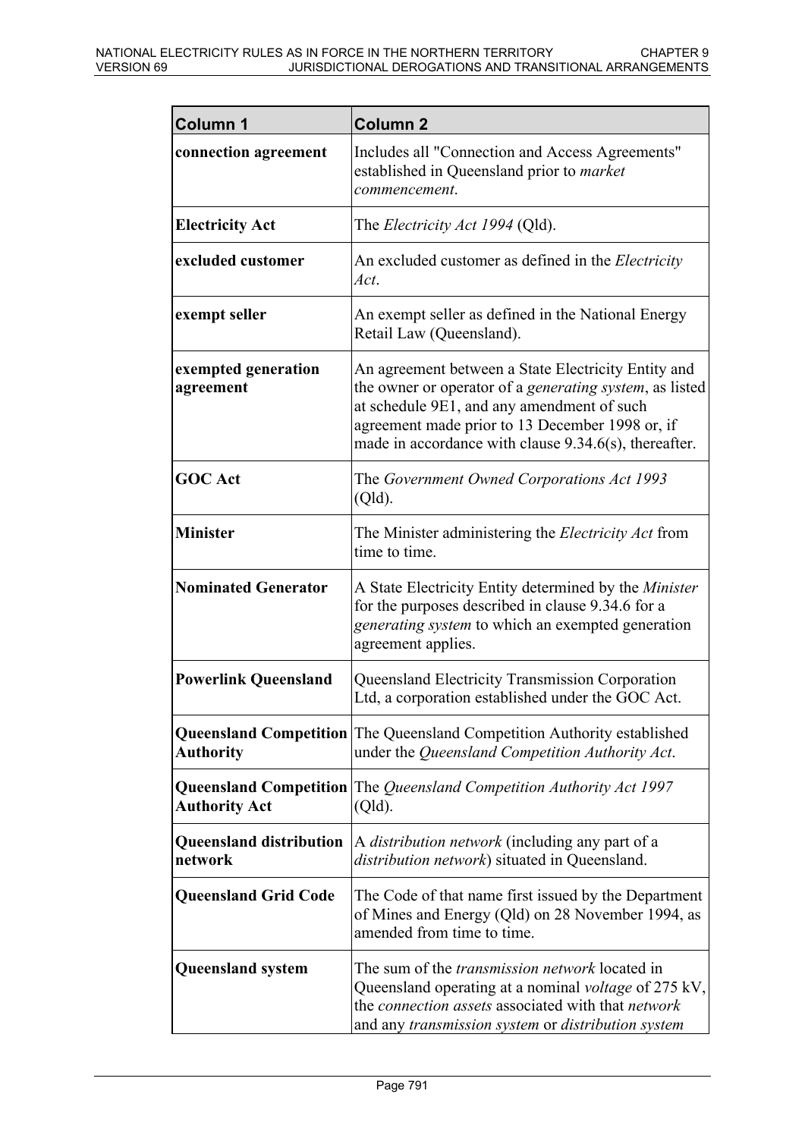| Column 1                                  | <b>Column 2</b>                                                                                                                                                                                                                                                                  |
|-------------------------------------------|----------------------------------------------------------------------------------------------------------------------------------------------------------------------------------------------------------------------------------------------------------------------------------|
| connection agreement                      | Includes all "Connection and Access Agreements"<br>established in Queensland prior to <i>market</i><br>commencement.                                                                                                                                                             |
| <b>Electricity Act</b>                    | The <i>Electricity Act 1994</i> (Qld).                                                                                                                                                                                                                                           |
| excluded customer                         | An excluded customer as defined in the <i>Electricity</i><br>Act.                                                                                                                                                                                                                |
| exempt seller                             | An exempt seller as defined in the National Energy<br>Retail Law (Queensland).                                                                                                                                                                                                   |
| exempted generation<br>agreement          | An agreement between a State Electricity Entity and<br>the owner or operator of a <i>generating system</i> , as listed<br>at schedule 9E1, and any amendment of such<br>agreement made prior to 13 December 1998 or, if<br>made in accordance with clause 9.34.6(s), thereafter. |
| <b>GOC Act</b>                            | The Government Owned Corporations Act 1993<br>(Qld).                                                                                                                                                                                                                             |
| <b>Minister</b>                           | The Minister administering the <i>Electricity Act</i> from<br>time to time.                                                                                                                                                                                                      |
| <b>Nominated Generator</b>                | A State Electricity Entity determined by the Minister<br>for the purposes described in clause 9.34.6 for a<br>generating system to which an exempted generation<br>agreement applies.                                                                                            |
| <b>Powerlink Queensland</b>               | Queensland Electricity Transmission Corporation<br>Ltd, a corporation established under the GOC Act.                                                                                                                                                                             |
| <b>Authority</b>                          | Queensland Competition The Queensland Competition Authority established<br>under the Queensland Competition Authority Act.                                                                                                                                                       |
| <b>Authority Act</b>                      | <b>Queensland Competition</b> The Queensland Competition Authority Act 1997<br>(Qld).                                                                                                                                                                                            |
| <b>Queensland distribution</b><br>network | A <i>distribution network</i> (including any part of a<br><i>distribution network</i> ) situated in Queensland.                                                                                                                                                                  |
| <b>Queensland Grid Code</b>               | The Code of that name first issued by the Department<br>of Mines and Energy (Qld) on 28 November 1994, as<br>amended from time to time.                                                                                                                                          |
| <b>Queensland system</b>                  | The sum of the <i>transmission network</i> located in<br>Queensland operating at a nominal voltage of 275 kV,<br>the connection assets associated with that network<br>and any transmission system or distribution system                                                        |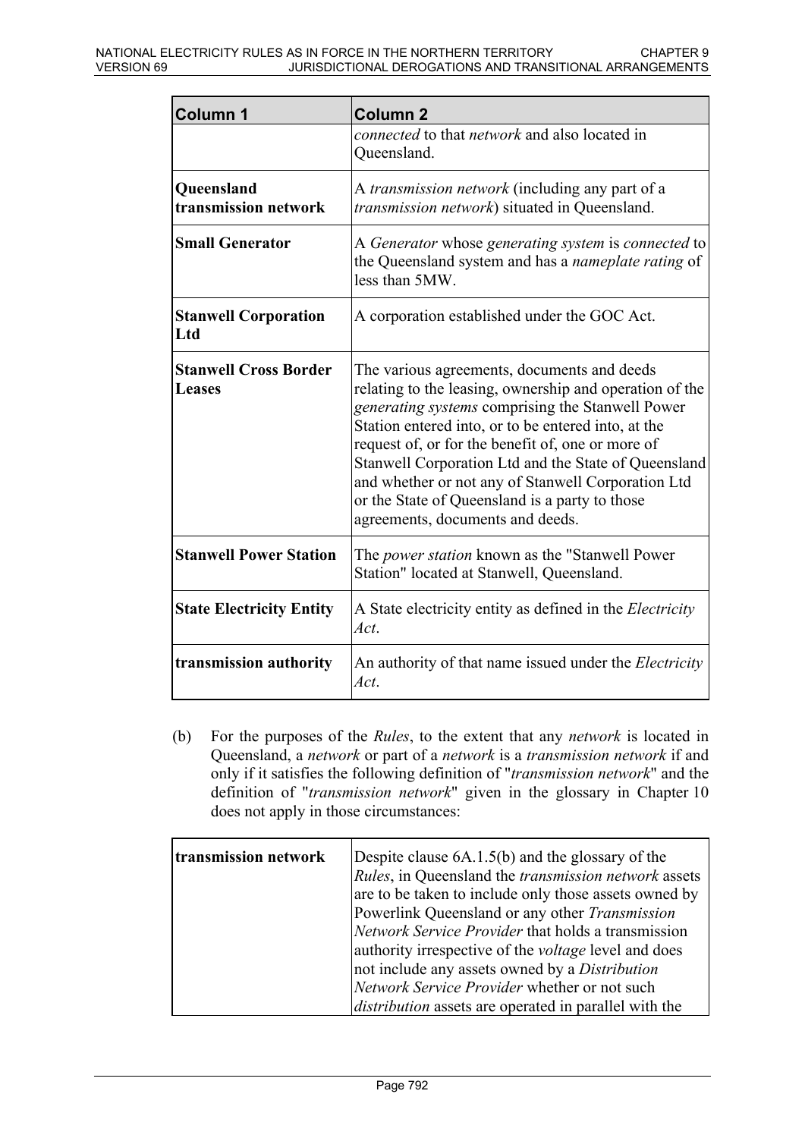| <b>Column 1</b>                           | <b>Column 2</b>                                                                                                                                                                                                                                                                                                                                                                                                                                                            |
|-------------------------------------------|----------------------------------------------------------------------------------------------------------------------------------------------------------------------------------------------------------------------------------------------------------------------------------------------------------------------------------------------------------------------------------------------------------------------------------------------------------------------------|
|                                           | connected to that network and also located in<br>Queensland.                                                                                                                                                                                                                                                                                                                                                                                                               |
| <b>Queensland</b><br>transmission network | A <i>transmission network</i> (including any part of a<br>transmission network) situated in Queensland.                                                                                                                                                                                                                                                                                                                                                                    |
| <b>Small Generator</b>                    | A Generator whose generating system is connected to<br>the Queensland system and has a <i>nameplate rating</i> of<br>less than 5MW.                                                                                                                                                                                                                                                                                                                                        |
| <b>Stanwell Corporation</b><br>Ltd        | A corporation established under the GOC Act.                                                                                                                                                                                                                                                                                                                                                                                                                               |
| <b>Stanwell Cross Border</b><br>Leases    | The various agreements, documents and deeds<br>relating to the leasing, ownership and operation of the<br>generating systems comprising the Stanwell Power<br>Station entered into, or to be entered into, at the<br>request of, or for the benefit of, one or more of<br>Stanwell Corporation Ltd and the State of Queensland<br>and whether or not any of Stanwell Corporation Ltd<br>or the State of Queensland is a party to those<br>agreements, documents and deeds. |
| <b>Stanwell Power Station</b>             | The <i>power station</i> known as the "Stanwell Power"<br>Station" located at Stanwell, Queensland.                                                                                                                                                                                                                                                                                                                                                                        |
| <b>State Electricity Entity</b>           | A State electricity entity as defined in the Electricity<br>Act.                                                                                                                                                                                                                                                                                                                                                                                                           |
| transmission authority                    | An authority of that name issued under the <i>Electricity</i><br>Act.                                                                                                                                                                                                                                                                                                                                                                                                      |

(b) For the purposes of the *Rules*, to the extent that any *network* is located in Queensland, a *network* or part of a *network* is a *transmission network* if and only if it satisfies the following definition of "*transmission network*" and the definition of "*transmission network*" given in the glossary in Chapter 10 does not apply in those circumstances:

| transmission network | Despite clause $6A.1.5(b)$ and the glossary of the           |
|----------------------|--------------------------------------------------------------|
|                      | Rules, in Queensland the transmission network assets         |
|                      | are to be taken to include only those assets owned by        |
|                      | Powerlink Queensland or any other Transmission               |
|                      | Network Service Provider that holds a transmission           |
|                      | authority irrespective of the <i>voltage</i> level and does  |
|                      | not include any assets owned by a <i>Distribution</i>        |
|                      | Network Service Provider whether or not such                 |
|                      | <i>distribution</i> assets are operated in parallel with the |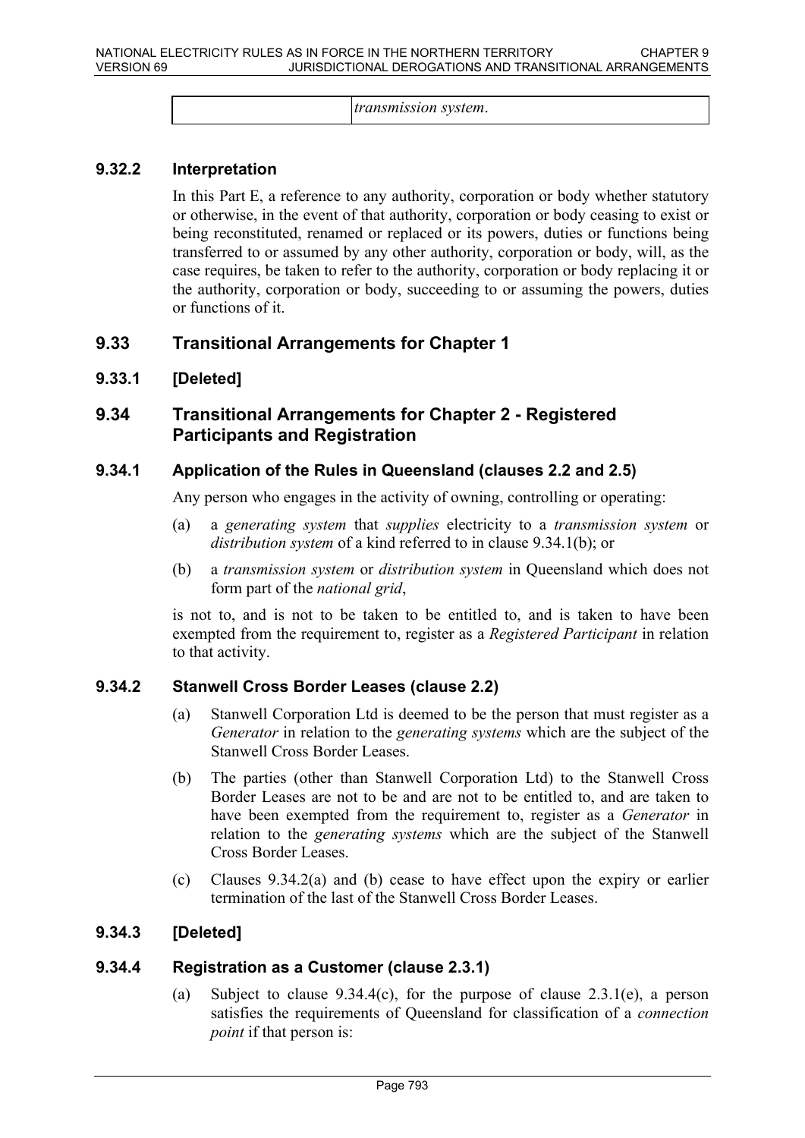*transmission system*.

#### **9.32.2 Interpretation**

In this Part E, a reference to any authority, corporation or body whether statutory or otherwise, in the event of that authority, corporation or body ceasing to exist or being reconstituted, renamed or replaced or its powers, duties or functions being transferred to or assumed by any other authority, corporation or body, will, as the case requires, be taken to refer to the authority, corporation or body replacing it or the authority, corporation or body, succeeding to or assuming the powers, duties or functions of it.

### **9.33 Transitional Arrangements for Chapter 1**

#### **9.33.1 [Deleted]**

### **9.34 Transitional Arrangements for Chapter 2 - Registered Participants and Registration**

#### **9.34.1 Application of the Rules in Queensland (clauses 2.2 and 2.5)**

Any person who engages in the activity of owning, controlling or operating:

- (a) a *generating system* that *supplies* electricity to a *transmission system* or *distribution system* of a kind referred to in clause 9.34.1(b); or
- (b) a *transmission system* or *distribution system* in Queensland which does not form part of the *national grid*,

is not to, and is not to be taken to be entitled to, and is taken to have been exempted from the requirement to, register as a *Registered Participant* in relation to that activity.

#### **9.34.2 Stanwell Cross Border Leases (clause 2.2)**

- (a) Stanwell Corporation Ltd is deemed to be the person that must register as a *Generator* in relation to the *generating systems* which are the subject of the Stanwell Cross Border Leases.
- (b) The parties (other than Stanwell Corporation Ltd) to the Stanwell Cross Border Leases are not to be and are not to be entitled to, and are taken to have been exempted from the requirement to, register as a *Generator* in relation to the *generating systems* which are the subject of the Stanwell Cross Border Leases.
- (c) Clauses 9.34.2(a) and (b) cease to have effect upon the expiry or earlier termination of the last of the Stanwell Cross Border Leases.

### **9.34.3 [Deleted]**

#### **9.34.4 Registration as a Customer (clause 2.3.1)**

(a) Subject to clause  $9.34.4(c)$ , for the purpose of clause  $2.3.1(e)$ , a person satisfies the requirements of Queensland for classification of a *connection point* if that person is: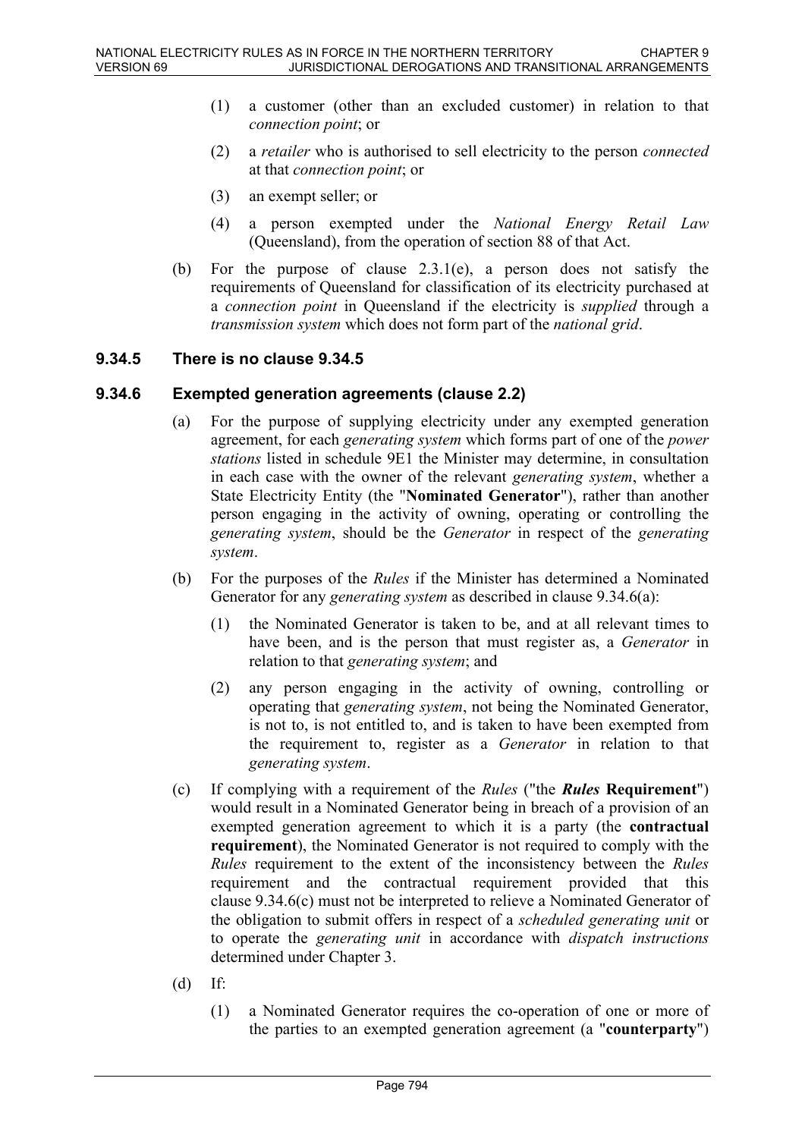- (1) a customer (other than an excluded customer) in relation to that *connection point*; or
- (2) a *retailer* who is authorised to sell electricity to the person *connected* at that *connection point*; or
- (3) an exempt seller; or
- (4) a person exempted under the *National Energy Retail Law* (Queensland), from the operation of section 88 of that Act.
- (b) For the purpose of clause  $2.3.1(e)$ , a person does not satisfy the requirements of Queensland for classification of its electricity purchased at a *connection point* in Queensland if the electricity is *supplied* through a *transmission system* which does not form part of the *national grid*.

#### **9.34.5 There is no clause 9.34.5**

#### **9.34.6 Exempted generation agreements (clause 2.2)**

- (a) For the purpose of supplying electricity under any exempted generation agreement, for each *generating system* which forms part of one of the *power stations* listed in schedule 9E1 the Minister may determine, in consultation in each case with the owner of the relevant *generating system*, whether a State Electricity Entity (the "**Nominated Generator**"), rather than another person engaging in the activity of owning, operating or controlling the *generating system*, should be the *Generator* in respect of the *generating system*.
- (b) For the purposes of the *Rules* if the Minister has determined a Nominated Generator for any *generating system* as described in clause 9.34.6(a):
	- (1) the Nominated Generator is taken to be, and at all relevant times to have been, and is the person that must register as, a *Generator* in relation to that *generating system*; and
	- (2) any person engaging in the activity of owning, controlling or operating that *generating system*, not being the Nominated Generator, is not to, is not entitled to, and is taken to have been exempted from the requirement to, register as a *Generator* in relation to that *generating system*.
- (c) If complying with a requirement of the *Rules* ("the *Rules* **Requirement**") would result in a Nominated Generator being in breach of a provision of an exempted generation agreement to which it is a party (the **contractual requirement**), the Nominated Generator is not required to comply with the *Rules* requirement to the extent of the inconsistency between the *Rules* requirement and the contractual requirement provided that this clause 9.34.6(c) must not be interpreted to relieve a Nominated Generator of the obligation to submit offers in respect of a *scheduled generating unit* or to operate the *generating unit* in accordance with *dispatch instructions* determined under Chapter 3.
- (d) If:
	- (1) a Nominated Generator requires the co-operation of one or more of the parties to an exempted generation agreement (a "**counterparty**")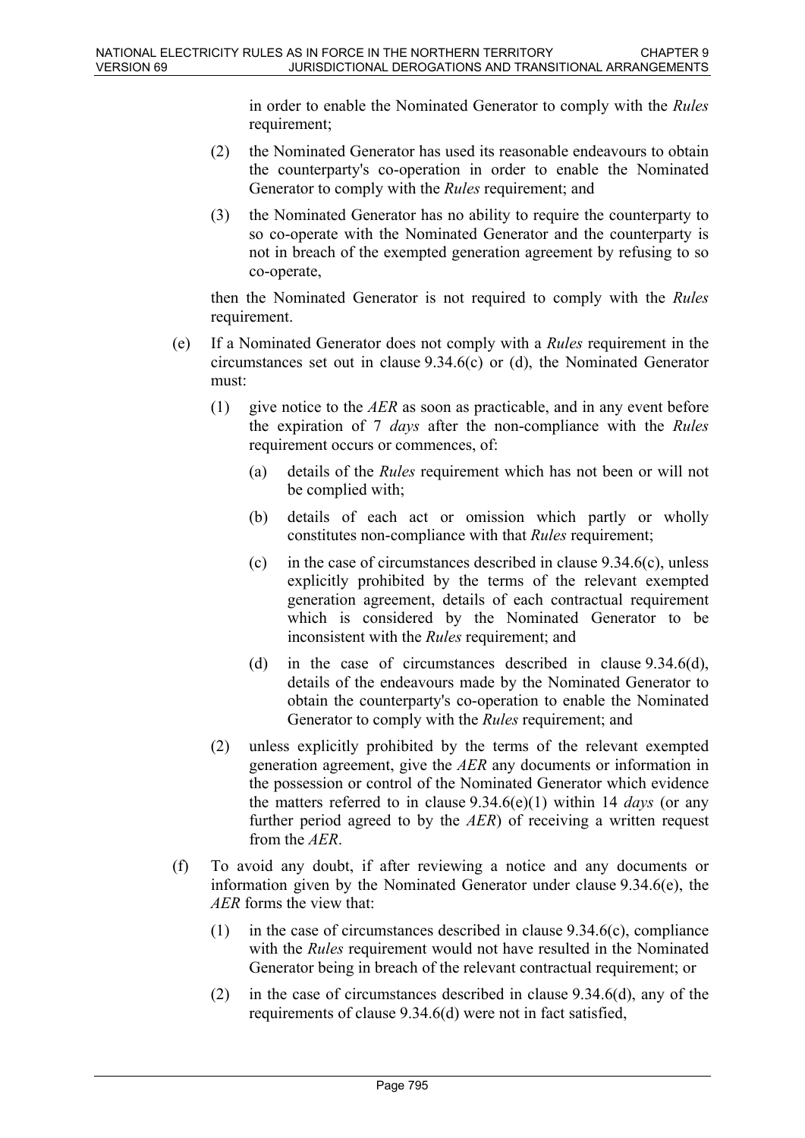in order to enable the Nominated Generator to comply with the *Rules* requirement;

- (2) the Nominated Generator has used its reasonable endeavours to obtain the counterparty's co-operation in order to enable the Nominated Generator to comply with the *Rules* requirement; and
- (3) the Nominated Generator has no ability to require the counterparty to so co-operate with the Nominated Generator and the counterparty is not in breach of the exempted generation agreement by refusing to so co-operate,

then the Nominated Generator is not required to comply with the *Rules* requirement.

- (e) If a Nominated Generator does not comply with a *Rules* requirement in the circumstances set out in clause 9.34.6(c) or (d), the Nominated Generator must:
	- (1) give notice to the *AER* as soon as practicable, and in any event before the expiration of 7 *days* after the non-compliance with the *Rules* requirement occurs or commences, of:
		- (a) details of the *Rules* requirement which has not been or will not be complied with;
		- (b) details of each act or omission which partly or wholly constitutes non-compliance with that *Rules* requirement;
		- (c) in the case of circumstances described in clause  $9.34.6(c)$ , unless explicitly prohibited by the terms of the relevant exempted generation agreement, details of each contractual requirement which is considered by the Nominated Generator to be inconsistent with the *Rules* requirement; and
		- (d) in the case of circumstances described in clause 9.34.6(d), details of the endeavours made by the Nominated Generator to obtain the counterparty's co-operation to enable the Nominated Generator to comply with the *Rules* requirement; and
	- (2) unless explicitly prohibited by the terms of the relevant exempted generation agreement, give the *AER* any documents or information in the possession or control of the Nominated Generator which evidence the matters referred to in clause 9.34.6(e)(1) within 14 *days* (or any further period agreed to by the *AER*) of receiving a written request from the *AER*.
- (f) To avoid any doubt, if after reviewing a notice and any documents or information given by the Nominated Generator under clause 9.34.6(e), the *AER* forms the view that:
	- (1) in the case of circumstances described in clause 9.34.6(c), compliance with the *Rules* requirement would not have resulted in the Nominated Generator being in breach of the relevant contractual requirement; or
	- (2) in the case of circumstances described in clause 9.34.6(d), any of the requirements of clause 9.34.6(d) were not in fact satisfied,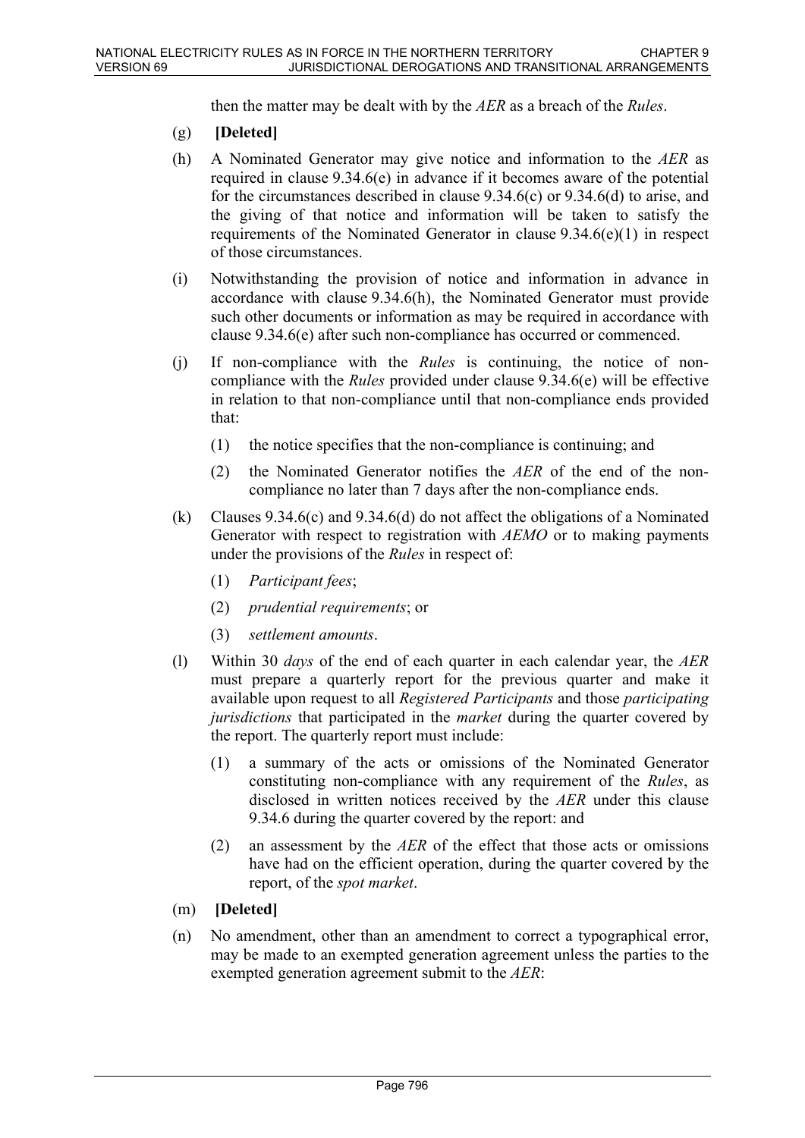then the matter may be dealt with by the *AER* as a breach of the *Rules*.

- (g) **[Deleted]**
- (h) A Nominated Generator may give notice and information to the *AER* as required in clause 9.34.6(e) in advance if it becomes aware of the potential for the circumstances described in clause 9.34.6(c) or 9.34.6(d) to arise, and the giving of that notice and information will be taken to satisfy the requirements of the Nominated Generator in clause 9.34.6(e)(1) in respect of those circumstances.
- (i) Notwithstanding the provision of notice and information in advance in accordance with clause 9.34.6(h), the Nominated Generator must provide such other documents or information as may be required in accordance with clause 9.34.6(e) after such non-compliance has occurred or commenced.
- (j) If non-compliance with the *Rules* is continuing, the notice of noncompliance with the *Rules* provided under clause 9.34.6(e) will be effective in relation to that non-compliance until that non-compliance ends provided that:
	- (1) the notice specifies that the non-compliance is continuing; and
	- (2) the Nominated Generator notifies the *AER* of the end of the noncompliance no later than 7 days after the non-compliance ends.
- (k) Clauses 9.34.6(c) and 9.34.6(d) do not affect the obligations of a Nominated Generator with respect to registration with *AEMO* or to making payments under the provisions of the *Rules* in respect of:
	- (1) *Participant fees*;
	- (2) *prudential requirements*; or
	- (3) *settlement amounts*.
- (l) Within 30 *days* of the end of each quarter in each calendar year, the *AER* must prepare a quarterly report for the previous quarter and make it available upon request to all *Registered Participants* and those *participating jurisdictions* that participated in the *market* during the quarter covered by the report. The quarterly report must include:
	- (1) a summary of the acts or omissions of the Nominated Generator constituting non-compliance with any requirement of the *Rules*, as disclosed in written notices received by the *AER* under this clause 9.34.6 during the quarter covered by the report: and
	- (2) an assessment by the *AER* of the effect that those acts or omissions have had on the efficient operation, during the quarter covered by the report, of the *spot market*.
- (m) **[Deleted]**
- (n) No amendment, other than an amendment to correct a typographical error, may be made to an exempted generation agreement unless the parties to the exempted generation agreement submit to the *AER*: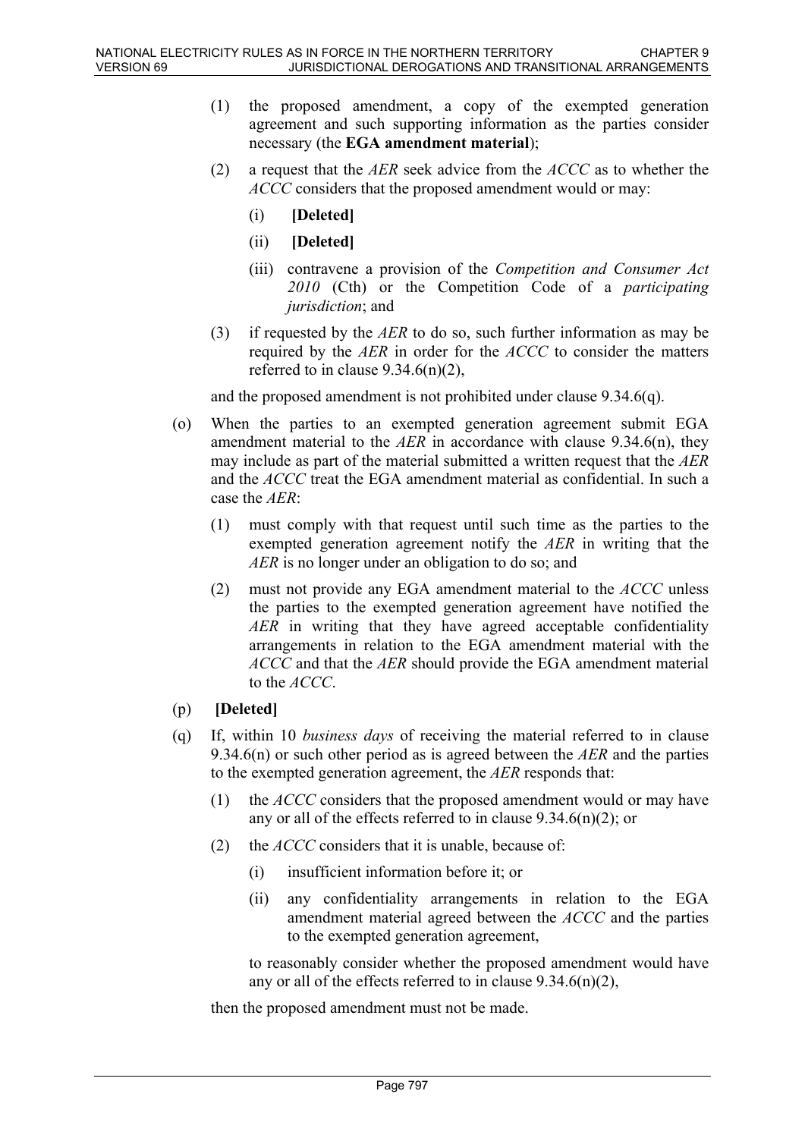- (1) the proposed amendment, a copy of the exempted generation agreement and such supporting information as the parties consider necessary (the **EGA amendment material**);
- (2) a request that the *AER* seek advice from the *ACCC* as to whether the *ACCC* considers that the proposed amendment would or may:
	- (i) **[Deleted]**
	- (ii) **[Deleted]**
	- (iii) contravene a provision of the *Competition and Consumer Act 2010* (Cth) or the Competition Code of a *participating jurisdiction*; and
- (3) if requested by the *AER* to do so, such further information as may be required by the *AER* in order for the *ACCC* to consider the matters referred to in clause  $9.34.6(n)(2)$ ,

and the proposed amendment is not prohibited under clause 9.34.6(q).

- (o) When the parties to an exempted generation agreement submit EGA amendment material to the *AER* in accordance with clause 9.34.6(n), they may include as part of the material submitted a written request that the *AER* and the *ACCC* treat the EGA amendment material as confidential. In such a case the *AER*:
	- (1) must comply with that request until such time as the parties to the exempted generation agreement notify the *AER* in writing that the *AER* is no longer under an obligation to do so; and
	- (2) must not provide any EGA amendment material to the *ACCC* unless the parties to the exempted generation agreement have notified the *AER* in writing that they have agreed acceptable confidentiality arrangements in relation to the EGA amendment material with the *ACCC* and that the *AER* should provide the EGA amendment material to the *ACCC*.

### (p) **[Deleted]**

- (q) If, within 10 *business days* of receiving the material referred to in clause 9.34.6(n) or such other period as is agreed between the *AER* and the parties to the exempted generation agreement, the *AER* responds that:
	- (1) the *ACCC* considers that the proposed amendment would or may have any or all of the effects referred to in clause  $9.34.6(n)(2)$ ; or
	- (2) the *ACCC* considers that it is unable, because of:
		- (i) insufficient information before it; or
		- (ii) any confidentiality arrangements in relation to the EGA amendment material agreed between the *ACCC* and the parties to the exempted generation agreement,

to reasonably consider whether the proposed amendment would have any or all of the effects referred to in clause  $9.34.6(n)(2)$ ,

then the proposed amendment must not be made.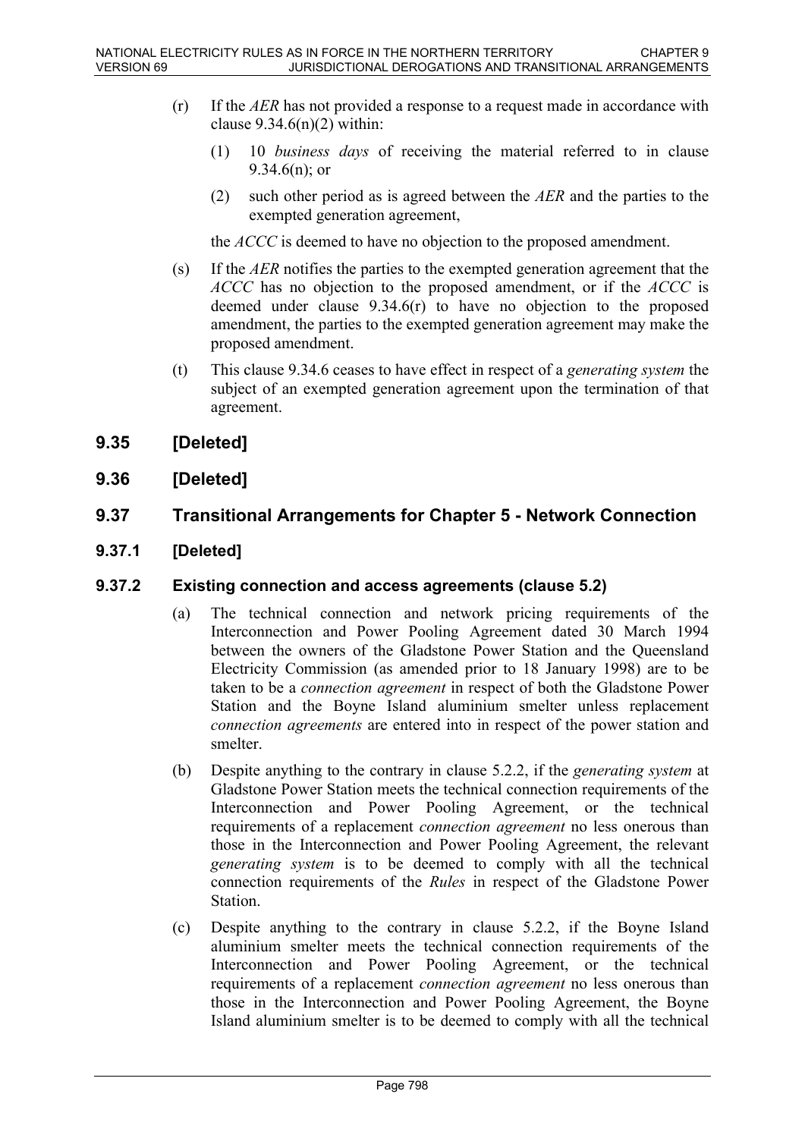- (r) If the *AER* has not provided a response to a request made in accordance with clause  $9.34.6(n)(2)$  within:
	- (1) 10 *business days* of receiving the material referred to in clause 9.34.6(n); or
	- (2) such other period as is agreed between the *AER* and the parties to the exempted generation agreement,

the *ACCC* is deemed to have no objection to the proposed amendment.

- (s) If the *AER* notifies the parties to the exempted generation agreement that the *ACCC* has no objection to the proposed amendment, or if the *ACCC* is deemed under clause 9.34.6(r) to have no objection to the proposed amendment, the parties to the exempted generation agreement may make the proposed amendment.
- (t) This clause 9.34.6 ceases to have effect in respect of a *generating system* the subject of an exempted generation agreement upon the termination of that agreement.

## **9.35 [Deleted]**

**9.36 [Deleted]**

# **9.37 Transitional Arrangements for Chapter 5 - Network Connection**

**9.37.1 [Deleted]**

### **9.37.2 Existing connection and access agreements (clause 5.2)**

- (a) The technical connection and network pricing requirements of the Interconnection and Power Pooling Agreement dated 30 March 1994 between the owners of the Gladstone Power Station and the Queensland Electricity Commission (as amended prior to 18 January 1998) are to be taken to be a *connection agreement* in respect of both the Gladstone Power Station and the Boyne Island aluminium smelter unless replacement *connection agreements* are entered into in respect of the power station and smelter.
- (b) Despite anything to the contrary in clause 5.2.2, if the *generating system* at Gladstone Power Station meets the technical connection requirements of the Interconnection and Power Pooling Agreement, or the technical requirements of a replacement *connection agreement* no less onerous than those in the Interconnection and Power Pooling Agreement, the relevant *generating system* is to be deemed to comply with all the technical connection requirements of the *Rules* in respect of the Gladstone Power Station.
- (c) Despite anything to the contrary in clause 5.2.2, if the Boyne Island aluminium smelter meets the technical connection requirements of the Interconnection and Power Pooling Agreement, or the technical requirements of a replacement *connection agreement* no less onerous than those in the Interconnection and Power Pooling Agreement, the Boyne Island aluminium smelter is to be deemed to comply with all the technical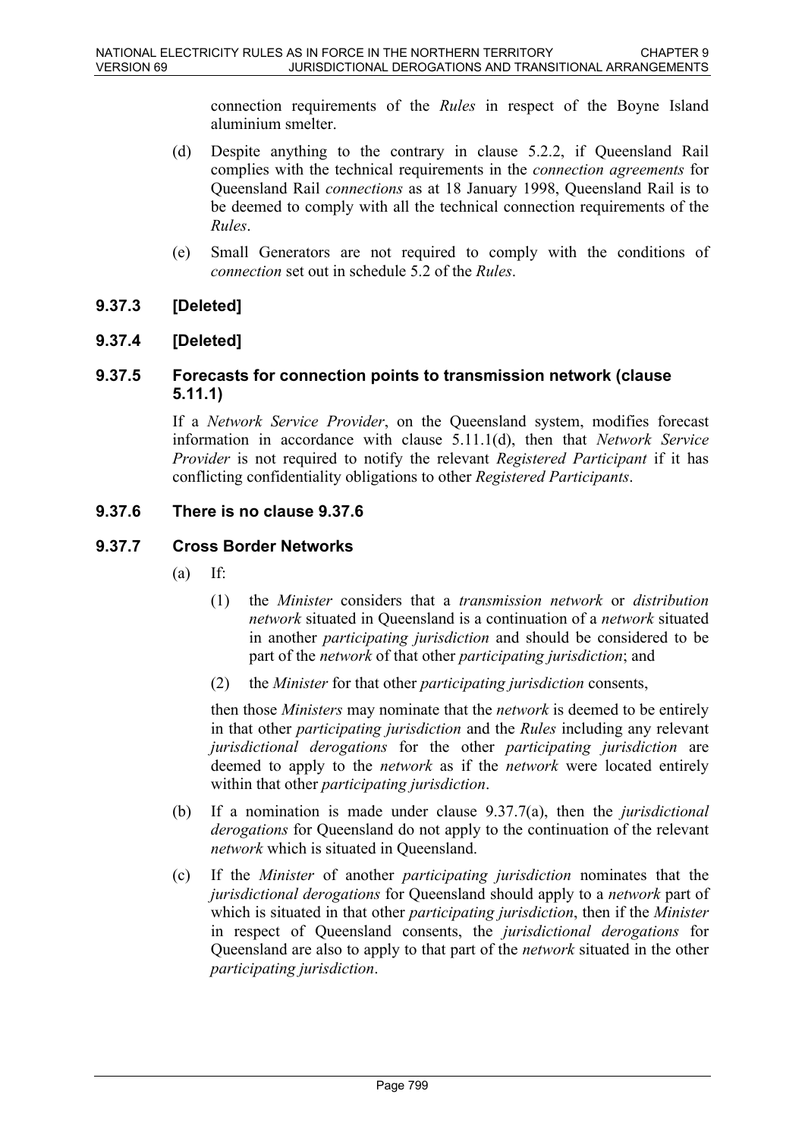connection requirements of the *Rules* in respect of the Boyne Island aluminium smelter.

- (d) Despite anything to the contrary in clause 5.2.2, if Queensland Rail complies with the technical requirements in the *connection agreements* for Queensland Rail *connections* as at 18 January 1998, Queensland Rail is to be deemed to comply with all the technical connection requirements of the *Rules*.
- (e) Small Generators are not required to comply with the conditions of *connection* set out in schedule 5.2 of the *Rules*.

### **9.37.3 [Deleted]**

## **9.37.4 [Deleted]**

### **9.37.5 Forecasts for connection points to transmission network (clause 5.11.1)**

If a *Network Service Provider*, on the Queensland system, modifies forecast information in accordance with clause 5.11.1(d), then that *Network Service Provider* is not required to notify the relevant *Registered Participant* if it has conflicting confidentiality obligations to other *Registered Participants*.

### **9.37.6 There is no clause 9.37.6**

### **9.37.7 Cross Border Networks**

- $(a)$  If:
	- (1) the *Minister* considers that a *transmission network* or *distribution network* situated in Queensland is a continuation of a *network* situated in another *participating jurisdiction* and should be considered to be part of the *network* of that other *participating jurisdiction*; and
	- (2) the *Minister* for that other *participating jurisdiction* consents,

then those *Ministers* may nominate that the *network* is deemed to be entirely in that other *participating jurisdiction* and the *Rules* including any relevant *jurisdictional derogations* for the other *participating jurisdiction* are deemed to apply to the *network* as if the *network* were located entirely within that other *participating jurisdiction*.

- (b) If a nomination is made under clause 9.37.7(a), then the *jurisdictional derogations* for Queensland do not apply to the continuation of the relevant *network* which is situated in Queensland.
- (c) If the *Minister* of another *participating jurisdiction* nominates that the *jurisdictional derogations* for Queensland should apply to a *network* part of which is situated in that other *participating jurisdiction*, then if the *Minister* in respect of Queensland consents, the *jurisdictional derogations* for Queensland are also to apply to that part of the *network* situated in the other *participating jurisdiction*.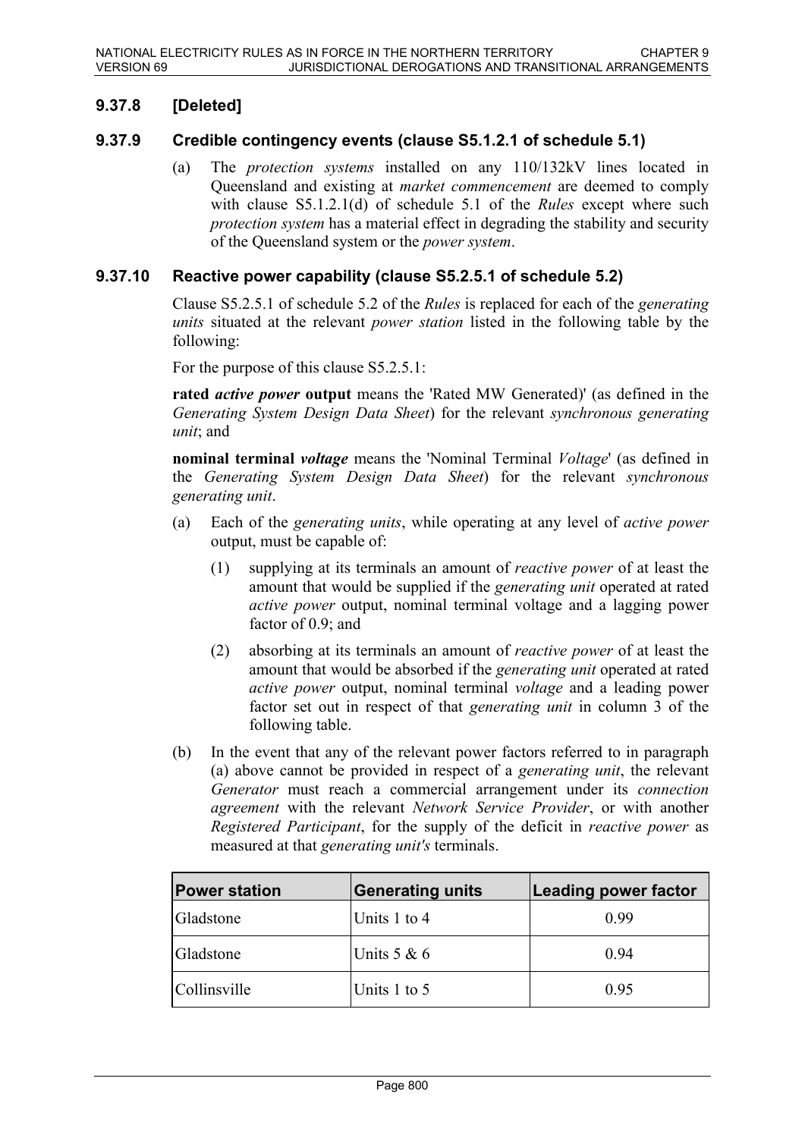## **9.37.8 [Deleted]**

### **9.37.9 Credible contingency events (clause S5.1.2.1 of schedule 5.1)**

(a) The *protection systems* installed on any 110/132kV lines located in Queensland and existing at *market commencement* are deemed to comply with clause S5.1.2.1(d) of schedule 5.1 of the *Rules* except where such *protection system* has a material effect in degrading the stability and security of the Queensland system or the *power system*.

#### **9.37.10 Reactive power capability (clause S5.2.5.1 of schedule 5.2)**

Clause S5.2.5.1 of schedule 5.2 of the *Rules* is replaced for each of the *generating units* situated at the relevant *power station* listed in the following table by the following:

For the purpose of this clause S5.2.5.1:

**rated** *active power* **output** means the 'Rated MW Generated)' (as defined in the *Generating System Design Data Sheet*) for the relevant *synchronous generating unit*; and

**nominal terminal** *voltage* means the 'Nominal Terminal *Voltage*' (as defined in the *Generating System Design Data Sheet*) for the relevant *synchronous generating unit*.

- (a) Each of the *generating units*, while operating at any level of *active power* output, must be capable of:
	- (1) supplying at its terminals an amount of *reactive power* of at least the amount that would be supplied if the *generating unit* operated at rated *active power* output, nominal terminal voltage and a lagging power factor of 0.9; and
	- (2) absorbing at its terminals an amount of *reactive power* of at least the amount that would be absorbed if the *generating unit* operated at rated *active power* output, nominal terminal *voltage* and a leading power factor set out in respect of that *generating unit* in column 3 of the following table.
- (b) In the event that any of the relevant power factors referred to in paragraph (a) above cannot be provided in respect of a *generating unit*, the relevant *Generator* must reach a commercial arrangement under its *connection agreement* with the relevant *Network Service Provider*, or with another *Registered Participant*, for the supply of the deficit in *reactive power* as measured at that *generating unit's* terminals.

| <b>Power station</b> | <b>Generating units</b> | <b>Leading power factor</b> |
|----------------------|-------------------------|-----------------------------|
| Gladstone            | Units 1 to 4            | 0.99                        |
| Gladstone            | Units $5 & 6$           | 0.94                        |
| <i>Collinsville</i>  | Units 1 to 5            | 0.95                        |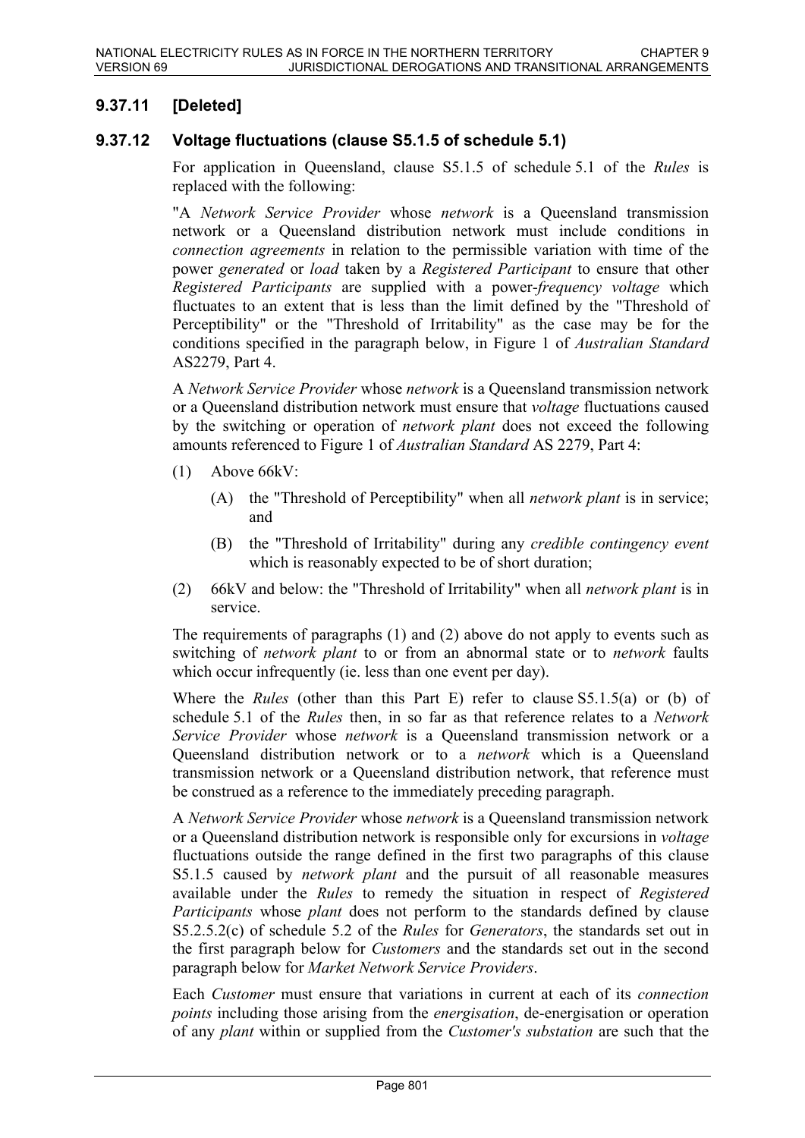## **9.37.11 [Deleted]**

### **9.37.12 Voltage fluctuations (clause S5.1.5 of schedule 5.1)**

For application in Queensland, clause S5.1.5 of schedule 5.1 of the *Rules* is replaced with the following:

"A *Network Service Provider* whose *network* is a Queensland transmission network or a Queensland distribution network must include conditions in *connection agreements* in relation to the permissible variation with time of the power *generated* or *load* taken by a *Registered Participant* to ensure that other *Registered Participants* are supplied with a power-*frequency voltage* which fluctuates to an extent that is less than the limit defined by the "Threshold of Perceptibility" or the "Threshold of Irritability" as the case may be for the conditions specified in the paragraph below, in Figure 1 of *Australian Standard* AS2279, Part 4.

A *Network Service Provider* whose *network* is a Queensland transmission network or a Queensland distribution network must ensure that *voltage* fluctuations caused by the switching or operation of *network plant* does not exceed the following amounts referenced to Figure 1 of *Australian Standard* AS 2279, Part 4:

- (1) Above 66kV:
	- (A) the "Threshold of Perceptibility" when all *network plant* is in service; and
	- (B) the "Threshold of Irritability" during any *credible contingency event* which is reasonably expected to be of short duration;
- (2) 66kV and below: the "Threshold of Irritability" when all *network plant* is in service.

The requirements of paragraphs (1) and (2) above do not apply to events such as switching of *network plant* to or from an abnormal state or to *network* faults which occur infrequently (ie. less than one event per day).

Where the *Rules* (other than this Part E) refer to clause S5.1.5(a) or (b) of schedule 5.1 of the *Rules* then, in so far as that reference relates to a *Network Service Provider* whose *network* is a Queensland transmission network or a Queensland distribution network or to a *network* which is a Queensland transmission network or a Queensland distribution network, that reference must be construed as a reference to the immediately preceding paragraph.

A *Network Service Provider* whose *network* is a Queensland transmission network or a Queensland distribution network is responsible only for excursions in *voltage* fluctuations outside the range defined in the first two paragraphs of this clause S5.1.5 caused by *network plant* and the pursuit of all reasonable measures available under the *Rules* to remedy the situation in respect of *Registered Participants* whose *plant* does not perform to the standards defined by clause S5.2.5.2(c) of schedule 5.2 of the *Rules* for *Generators*, the standards set out in the first paragraph below for *Customers* and the standards set out in the second paragraph below for *Market Network Service Providers*.

Each *Customer* must ensure that variations in current at each of its *connection points* including those arising from the *energisation*, de-energisation or operation of any *plant* within or supplied from the *Customer's substation* are such that the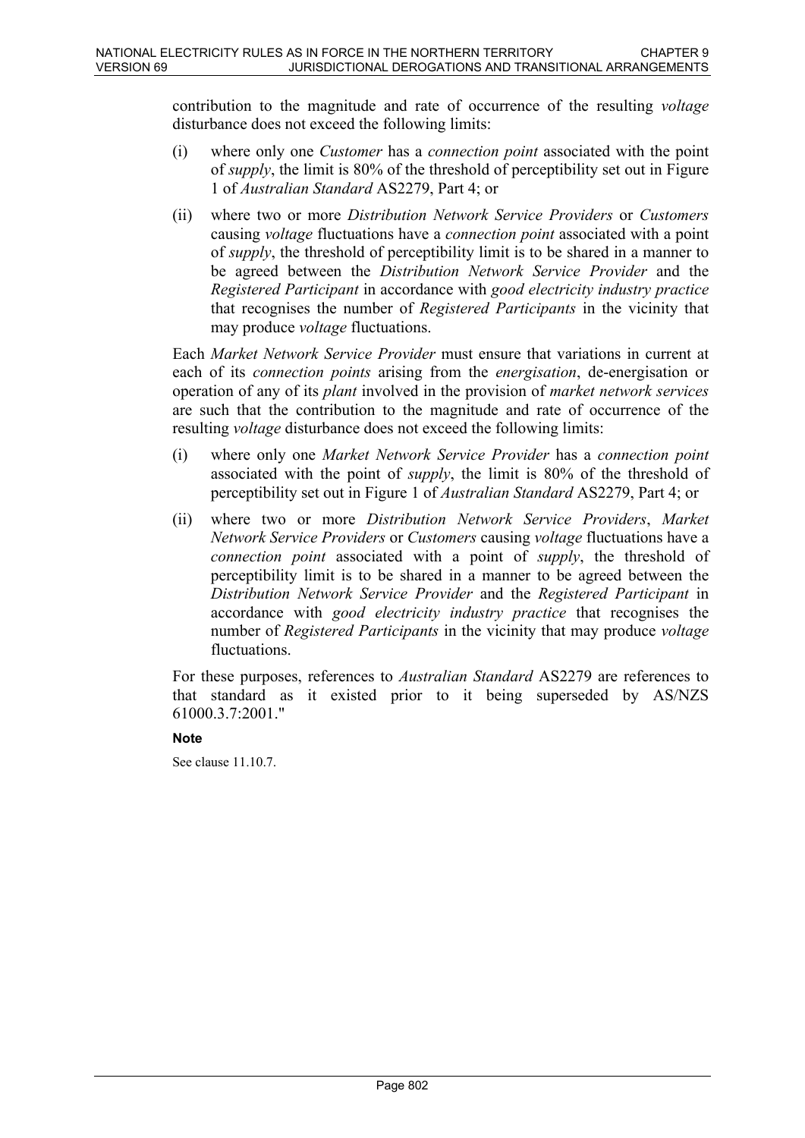contribution to the magnitude and rate of occurrence of the resulting *voltage* disturbance does not exceed the following limits:

- (i) where only one *Customer* has a *connection point* associated with the point of *supply*, the limit is 80% of the threshold of perceptibility set out in Figure 1 of *Australian Standard* AS2279, Part 4; or
- (ii) where two or more *Distribution Network Service Providers* or *Customers* causing *voltage* fluctuations have a *connection point* associated with a point of *supply*, the threshold of perceptibility limit is to be shared in a manner to be agreed between the *Distribution Network Service Provider* and the *Registered Participant* in accordance with *good electricity industry practice* that recognises the number of *Registered Participants* in the vicinity that may produce *voltage* fluctuations.

Each *Market Network Service Provider* must ensure that variations in current at each of its *connection points* arising from the *energisation*, de-energisation or operation of any of its *plant* involved in the provision of *market network services* are such that the contribution to the magnitude and rate of occurrence of the resulting *voltage* disturbance does not exceed the following limits:

- (i) where only one *Market Network Service Provider* has a *connection point* associated with the point of *supply*, the limit is 80% of the threshold of perceptibility set out in Figure 1 of *Australian Standard* AS2279, Part 4; or
- (ii) where two or more *Distribution Network Service Providers*, *Market Network Service Providers* or *Customers* causing *voltage* fluctuations have a *connection point* associated with a point of *supply*, the threshold of perceptibility limit is to be shared in a manner to be agreed between the *Distribution Network Service Provider* and the *Registered Participant* in accordance with *good electricity industry practice* that recognises the number of *Registered Participants* in the vicinity that may produce *voltage* fluctuations.

For these purposes, references to *Australian Standard* AS2279 are references to that standard as it existed prior to it being superseded by AS/NZS 61000.3.7:2001."

#### **Note**

See clause 11.10.7.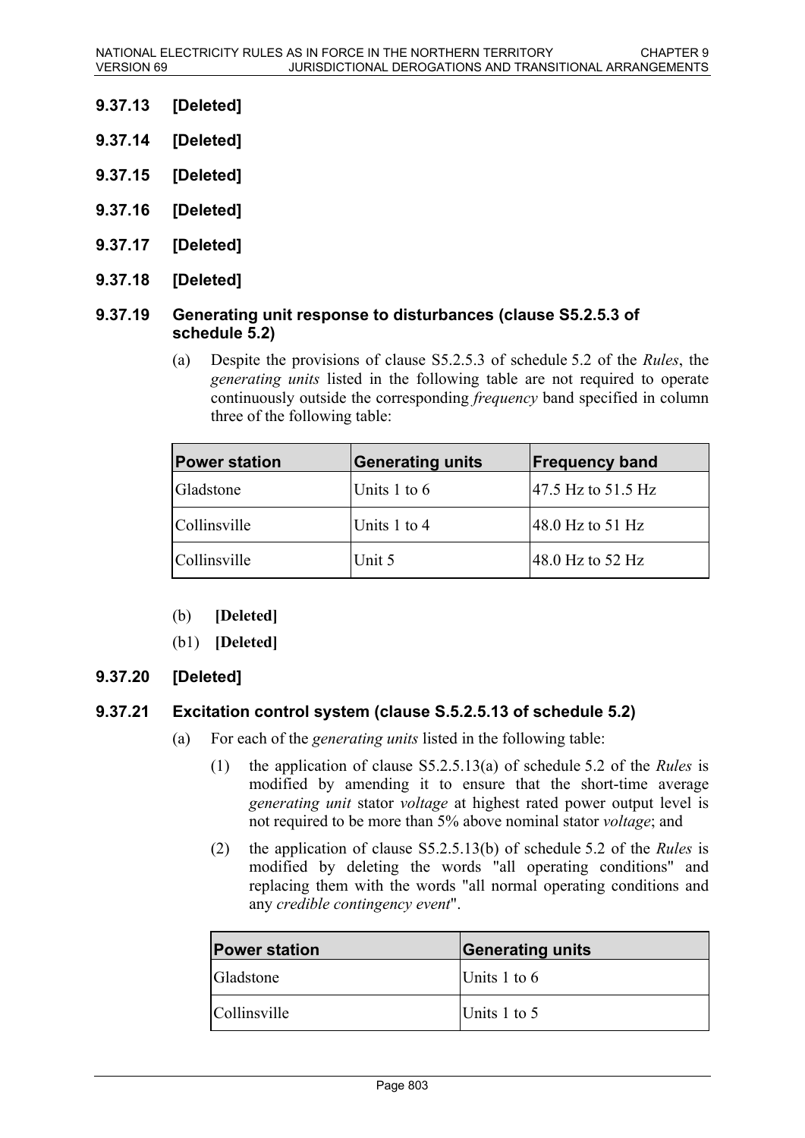- **9.37.13 [Deleted]**
- **9.37.14 [Deleted]**
- **9.37.15 [Deleted]**
- **9.37.16 [Deleted]**
- **9.37.17 [Deleted]**
- **9.37.18 [Deleted]**

#### **9.37.19 Generating unit response to disturbances (clause S5.2.5.3 of schedule 5.2)**

(a) Despite the provisions of clause S5.2.5.3 of schedule 5.2 of the *Rules*, the *generating units* listed in the following table are not required to operate continuously outside the corresponding *frequency* band specified in column three of the following table:

| <b>Power station</b> | <b>Generating units</b> | <b>Frequency band</b>       |
|----------------------|-------------------------|-----------------------------|
| Gladstone            | Units $1$ to $6$        | 47.5 Hz to 51.5 Hz          |
| Collinsville         | Units 1 to 4            | 48.0 Hz to 51 Hz            |
| Collinsville         | Unit 5                  | $ 48.0 \text{ Hz}$ to 52 Hz |

- (b) **[Deleted]**
- (b1) **[Deleted]**

### **9.37.20 [Deleted]**

### **9.37.21 Excitation control system (clause S.5.2.5.13 of schedule 5.2)**

- (a) For each of the *generating units* listed in the following table:
	- (1) the application of clause S5.2.5.13(a) of schedule 5.2 of the *Rules* is modified by amending it to ensure that the short-time average *generating unit* stator *voltage* at highest rated power output level is not required to be more than 5% above nominal stator *voltage*; and
	- (2) the application of clause S5.2.5.13(b) of schedule 5.2 of the *Rules* is modified by deleting the words "all operating conditions" and replacing them with the words "all normal operating conditions and any *credible contingency event*".

| <b>Power station</b> | <b>Generating units</b> |
|----------------------|-------------------------|
| <b>Gladstone</b>     | Units 1 to $6$          |
| <i>Collinsville</i>  | Units 1 to 5            |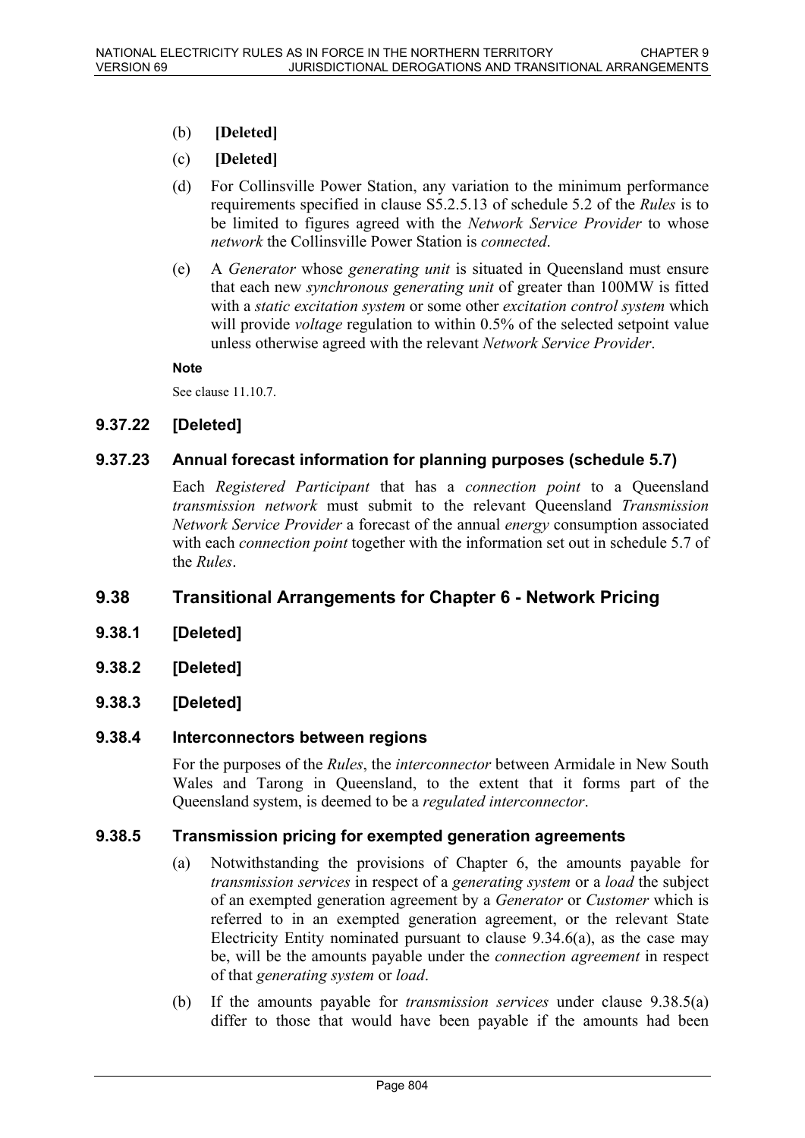- (b) **[Deleted]**
- (c) **[Deleted]**
- (d) For Collinsville Power Station, any variation to the minimum performance requirements specified in clause S5.2.5.13 of schedule 5.2 of the *Rules* is to be limited to figures agreed with the *Network Service Provider* to whose *network* the Collinsville Power Station is *connected*.
- (e) A *Generator* whose *generating unit* is situated in Queensland must ensure that each new *synchronous generating unit* of greater than 100MW is fitted with a *static excitation system* or some other *excitation control system* which will provide *voltage* regulation to within 0.5% of the selected setpoint value unless otherwise agreed with the relevant *Network Service Provider*.

#### **Note**

See clause 11.10.7.

### **9.37.22 [Deleted]**

### **9.37.23 Annual forecast information for planning purposes (schedule 5.7)**

Each *Registered Participant* that has a *connection point* to a Queensland *transmission network* must submit to the relevant Queensland *Transmission Network Service Provider* a forecast of the annual *energy* consumption associated with each *connection point* together with the information set out in schedule 5.7 of the *Rules*.

### **9.38 Transitional Arrangements for Chapter 6 - Network Pricing**

- **9.38.1 [Deleted]**
- **9.38.2 [Deleted]**
- **9.38.3 [Deleted]**

#### **9.38.4 Interconnectors between regions**

For the purposes of the *Rules*, the *interconnector* between Armidale in New South Wales and Tarong in Queensland, to the extent that it forms part of the Queensland system, is deemed to be a *regulated interconnector*.

#### **9.38.5 Transmission pricing for exempted generation agreements**

- (a) Notwithstanding the provisions of Chapter 6, the amounts payable for *transmission services* in respect of a *generating system* or a *load* the subject of an exempted generation agreement by a *Generator* or *Customer* which is referred to in an exempted generation agreement, or the relevant State Electricity Entity nominated pursuant to clause 9.34.6(a), as the case may be, will be the amounts payable under the *connection agreement* in respect of that *generating system* or *load*.
- (b) If the amounts payable for *transmission services* under clause 9.38.5(a) differ to those that would have been payable if the amounts had been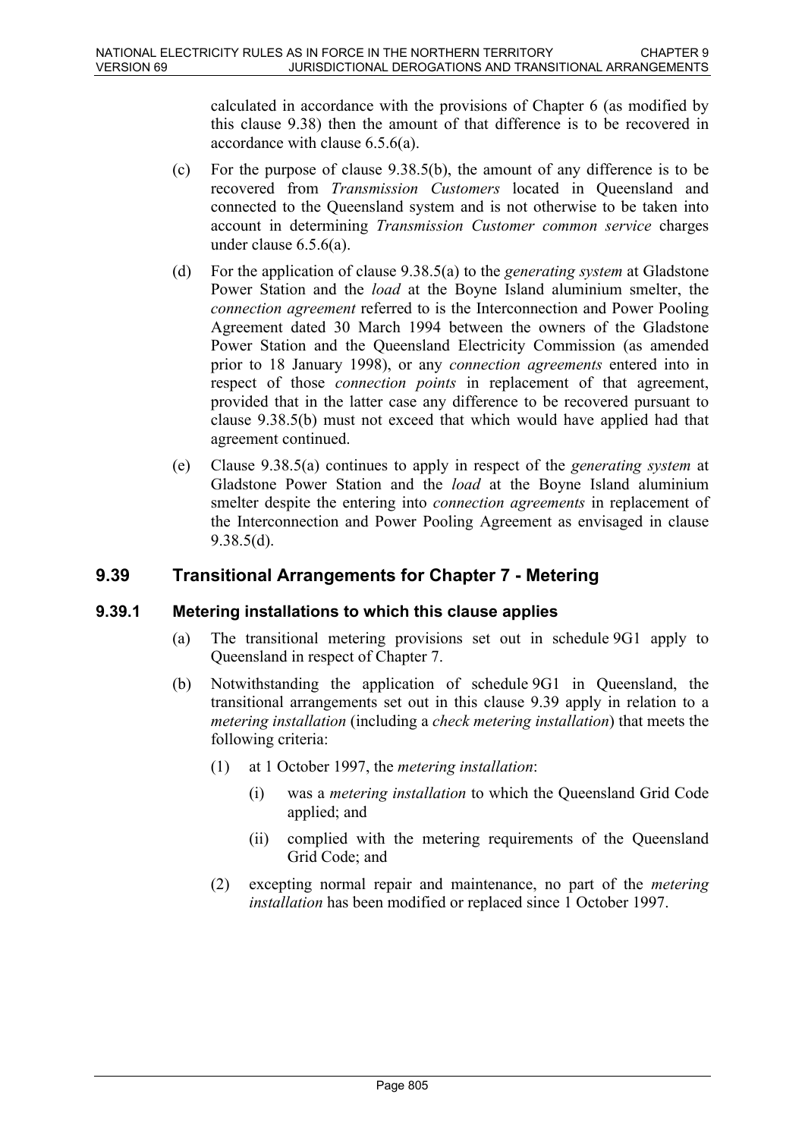calculated in accordance with the provisions of Chapter 6 (as modified by this clause 9.38) then the amount of that difference is to be recovered in accordance with clause 6.5.6(a).

- (c) For the purpose of clause 9.38.5(b), the amount of any difference is to be recovered from *Transmission Customers* located in Queensland and connected to the Queensland system and is not otherwise to be taken into account in determining *Transmission Customer common service* charges under clause 6.5.6(a).
- (d) For the application of clause 9.38.5(a) to the *generating system* at Gladstone Power Station and the *load* at the Boyne Island aluminium smelter, the *connection agreement* referred to is the Interconnection and Power Pooling Agreement dated 30 March 1994 between the owners of the Gladstone Power Station and the Queensland Electricity Commission (as amended prior to 18 January 1998), or any *connection agreements* entered into in respect of those *connection points* in replacement of that agreement, provided that in the latter case any difference to be recovered pursuant to clause 9.38.5(b) must not exceed that which would have applied had that agreement continued.
- (e) Clause 9.38.5(a) continues to apply in respect of the *generating system* at Gladstone Power Station and the *load* at the Boyne Island aluminium smelter despite the entering into *connection agreements* in replacement of the Interconnection and Power Pooling Agreement as envisaged in clause 9.38.5(d).

# **9.39 Transitional Arrangements for Chapter 7 - Metering**

### **9.39.1 Metering installations to which this clause applies**

- (a) The transitional metering provisions set out in schedule 9G1 apply to Queensland in respect of Chapter 7.
- (b) Notwithstanding the application of schedule 9G1 in Queensland, the transitional arrangements set out in this clause 9.39 apply in relation to a *metering installation* (including a *check metering installation*) that meets the following criteria:
	- (1) at 1 October 1997, the *metering installation*:
		- (i) was a *metering installation* to which the Queensland Grid Code applied; and
		- (ii) complied with the metering requirements of the Queensland Grid Code; and
	- (2) excepting normal repair and maintenance, no part of the *metering installation* has been modified or replaced since 1 October 1997.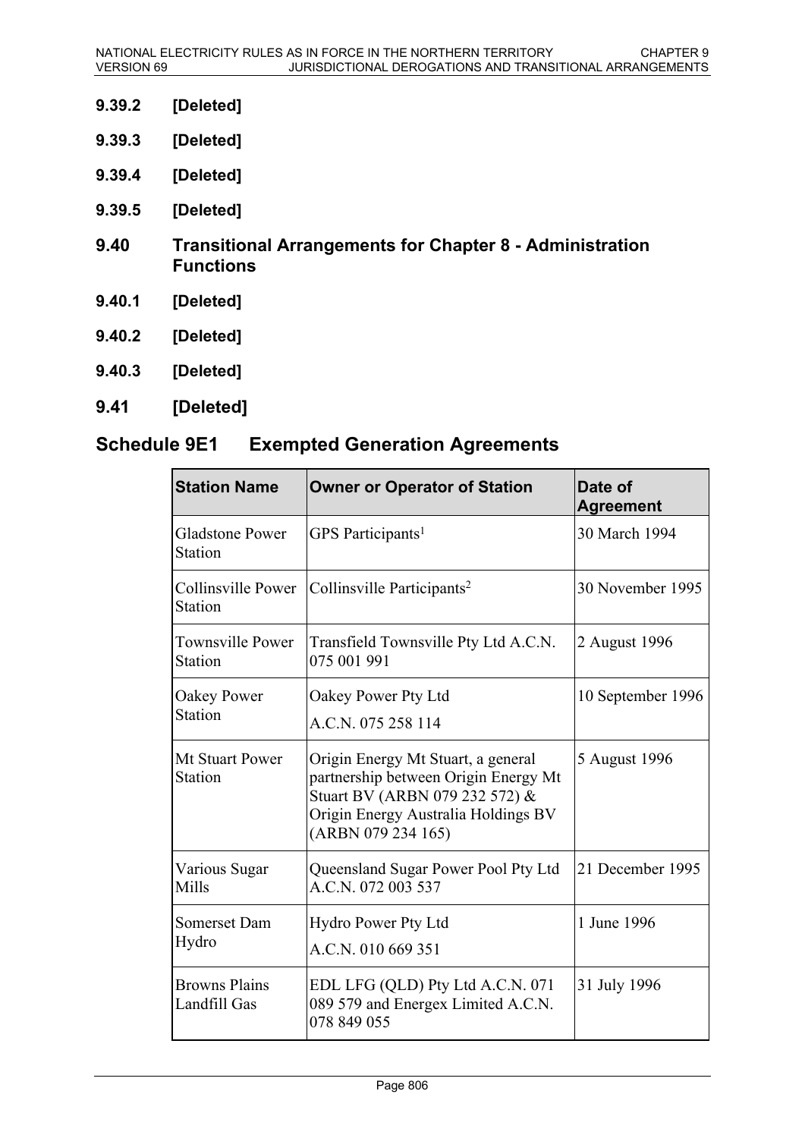- **9.39.2 [Deleted]**
- **9.39.3 [Deleted]**
- **9.39.4 [Deleted]**
- **9.39.5 [Deleted]**
- **9.40 Transitional Arrangements for Chapter 8 Administration Functions**
- **9.40.1 [Deleted]**
- **9.40.2 [Deleted]**
- **9.40.3 [Deleted]**
- **9.41 [Deleted]**

# **Schedule 9E1 Exempted Generation Agreements**

| <b>Station Name</b>                      | <b>Owner or Operator of Station</b>                                                                                                                                       | Date of<br><b>Agreement</b> |
|------------------------------------------|---------------------------------------------------------------------------------------------------------------------------------------------------------------------------|-----------------------------|
| <b>Gladstone Power</b><br><b>Station</b> | GPS Participants <sup>1</sup>                                                                                                                                             | 30 March 1994               |
| Collinsville Power<br>Station            | Collinsville Participants <sup>2</sup>                                                                                                                                    | 30 November 1995            |
| <b>Townsville Power</b><br>Station       | Transfield Townsville Pty Ltd A.C.N.<br>075 001 991                                                                                                                       | 2 August 1996               |
| Oakey Power<br>Station                   | Oakey Power Pty Ltd<br>A.C.N. 075 258 114                                                                                                                                 | 10 September 1996           |
| Mt Stuart Power<br>Station               | Origin Energy Mt Stuart, a general<br>partnership between Origin Energy Mt<br>Stuart BV (ARBN 079 232 572) &<br>Origin Energy Australia Holdings BV<br>(ARBN 079 234 165) | 5 August 1996               |
| Various Sugar<br>Mills                   | Queensland Sugar Power Pool Pty Ltd<br>A.C.N. 072 003 537                                                                                                                 | 21 December 1995            |
| Somerset Dam<br>Hydro                    | <b>Hydro Power Pty Ltd</b><br>A.C.N. 010 669 351                                                                                                                          | 1 June 1996                 |
| <b>Browns Plains</b><br>Landfill Gas     | EDL LFG (QLD) Pty Ltd A.C.N. 071<br>31 July 1996<br>089 579 and Energex Limited A.C.N.<br>078 849 055                                                                     |                             |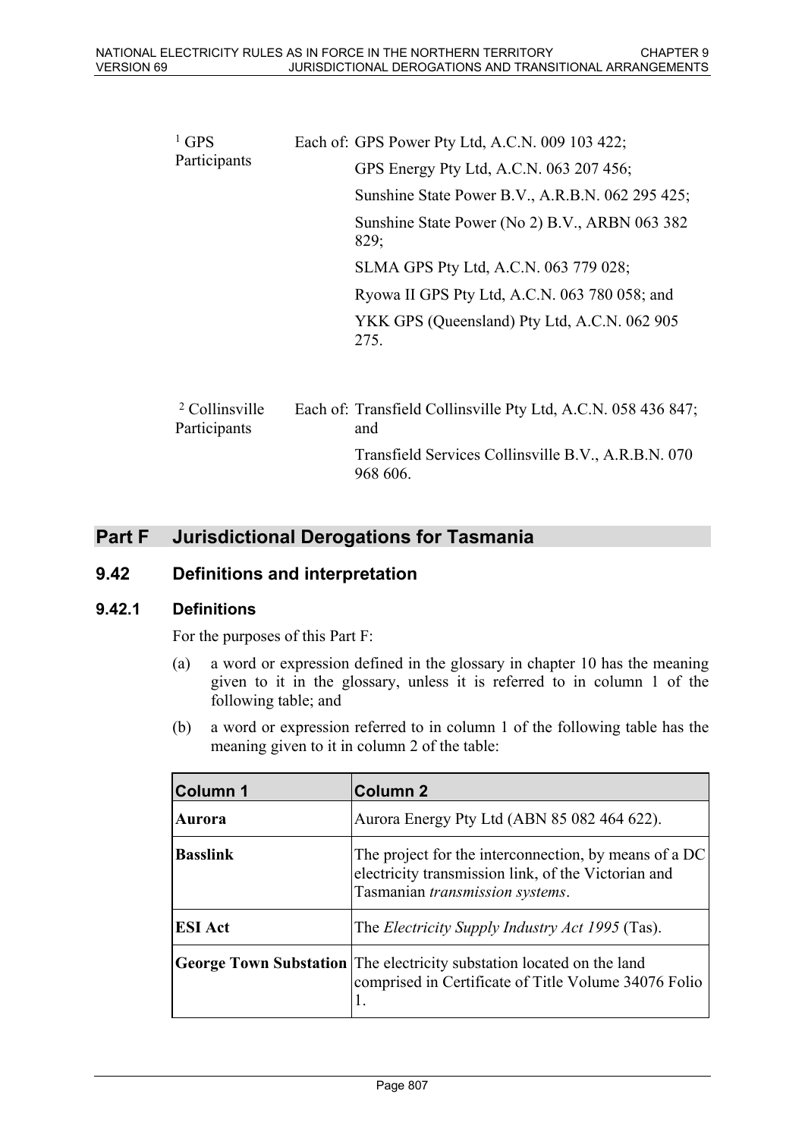| $1$ GPS<br>Participants | Each of: GPS Power Pty Ltd, A.C.N. 009 103 422;        |
|-------------------------|--------------------------------------------------------|
|                         | GPS Energy Pty Ltd, A.C.N. 063 207 456;                |
|                         | Sunshine State Power B.V., A.R.B.N. 062 295 425;       |
|                         | Sunshine State Power (No 2) B.V., ARBN 063 382<br>829; |
|                         | SLMA GPS Pty Ltd, A.C.N. 063 779 028;                  |
|                         | Ryowa II GPS Pty Ltd, A.C.N. 063 780 058; and          |
|                         | YKK GPS (Queensland) Pty Ltd, A.C.N. 062 905<br>275.   |
|                         |                                                        |

| <sup>2</sup> Collinsville<br>Participants | Each of: Transfield Collinsville Pty Ltd, A.C.N. 058 436 847;<br>and |
|-------------------------------------------|----------------------------------------------------------------------|
|                                           | Transfield Services Collinsville B.V., A.R.B.N. 070<br>968 606.      |

# **Part F Jurisdictional Derogations for Tasmania**

### **9.42 Definitions and interpretation**

### **9.42.1 Definitions**

For the purposes of this Part F:

- (a) a word or expression defined in the glossary in chapter 10 has the meaning given to it in the glossary, unless it is referred to in column 1 of the following table; and
- (b) a word or expression referred to in column 1 of the following table has the meaning given to it in column 2 of the table:

| <b>Column 1</b> | <b>Column 2</b>                                                                                                                                 |
|-----------------|-------------------------------------------------------------------------------------------------------------------------------------------------|
| Aurora          | Aurora Energy Pty Ltd (ABN 85 082 464 622).                                                                                                     |
| <b>Basslink</b> | The project for the interconnection, by means of a DC<br>electricity transmission link, of the Victorian and<br>Tasmanian transmission systems. |
| <b>ESI</b> Act  | The <i>Electricity Supply Industry Act 1995</i> (Tas).                                                                                          |
|                 | George Town Substation The electricity substation located on the land<br>comprised in Certificate of Title Volume 34076 Folio                   |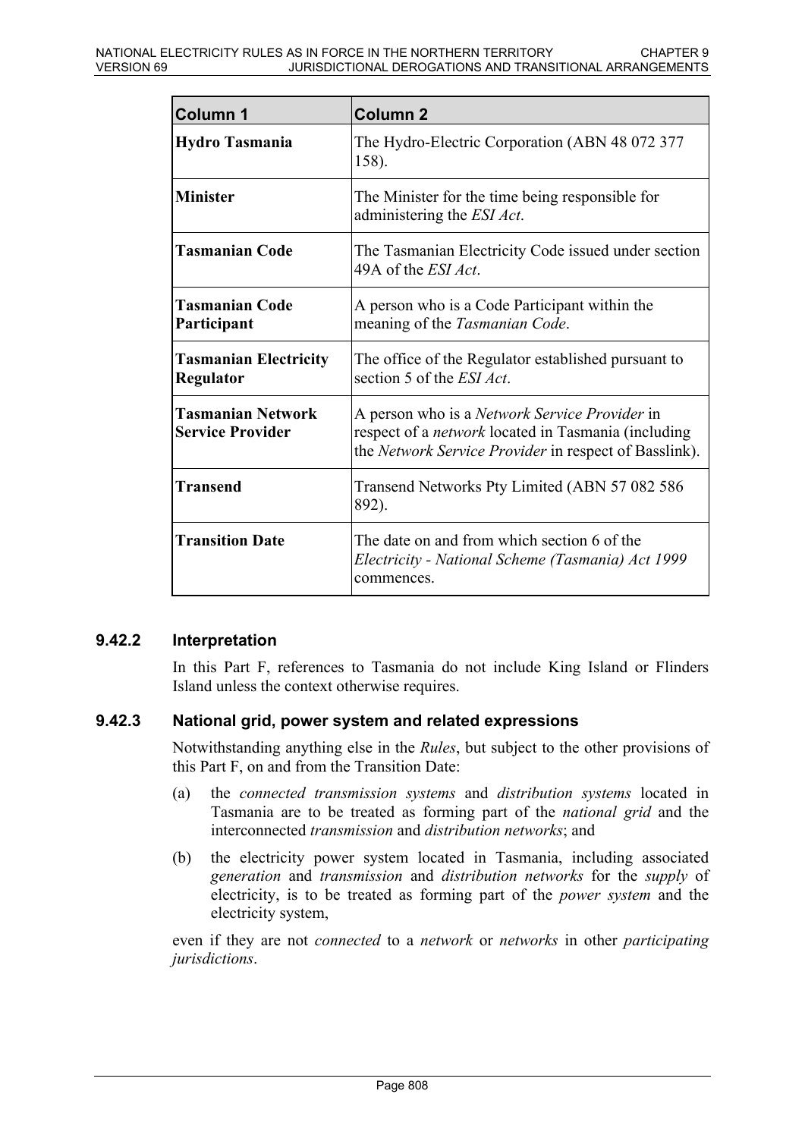| <b>Column 1</b>                                     | <b>Column 2</b>                                                                                                                                                             |
|-----------------------------------------------------|-----------------------------------------------------------------------------------------------------------------------------------------------------------------------------|
| <b>Hydro Tasmania</b>                               | The Hydro-Electric Corporation (ABN 48 072 377<br>158).                                                                                                                     |
| <b>Minister</b>                                     | The Minister for the time being responsible for<br>administering the <i>ESI Act</i> .                                                                                       |
| <b>Tasmanian Code</b>                               | The Tasmanian Electricity Code issued under section<br>49A of the <i>ESI Act</i> .                                                                                          |
| <b>Tasmanian Code</b><br>Participant                | A person who is a Code Participant within the<br>meaning of the Tasmanian Code.                                                                                             |
| <b>Tasmanian Electricity</b><br>Regulator           | The office of the Regulator established pursuant to<br>section 5 of the <i>ESI Act</i> .                                                                                    |
| <b>Tasmanian Network</b><br><b>Service Provider</b> | A person who is a <i>Network Service Provider</i> in<br>respect of a <i>network</i> located in Tasmania (including<br>the Network Service Provider in respect of Basslink). |
| <b>Transend</b>                                     | Transend Networks Pty Limited (ABN 57 082 586)<br>892).                                                                                                                     |
| <b>Transition Date</b>                              | The date on and from which section 6 of the<br>Electricity - National Scheme (Tasmania) Act 1999<br>commences.                                                              |

#### **9.42.2 Interpretation**

In this Part F, references to Tasmania do not include King Island or Flinders Island unless the context otherwise requires.

### **9.42.3 National grid, power system and related expressions**

Notwithstanding anything else in the *Rules*, but subject to the other provisions of this Part F, on and from the Transition Date:

- (a) the *connected transmission systems* and *distribution systems* located in Tasmania are to be treated as forming part of the *national grid* and the interconnected *transmission* and *distribution networks*; and
- (b) the electricity power system located in Tasmania, including associated *generation* and *transmission* and *distribution networks* for the *supply* of electricity, is to be treated as forming part of the *power system* and the electricity system,

even if they are not *connected* to a *network* or *networks* in other *participating jurisdictions*.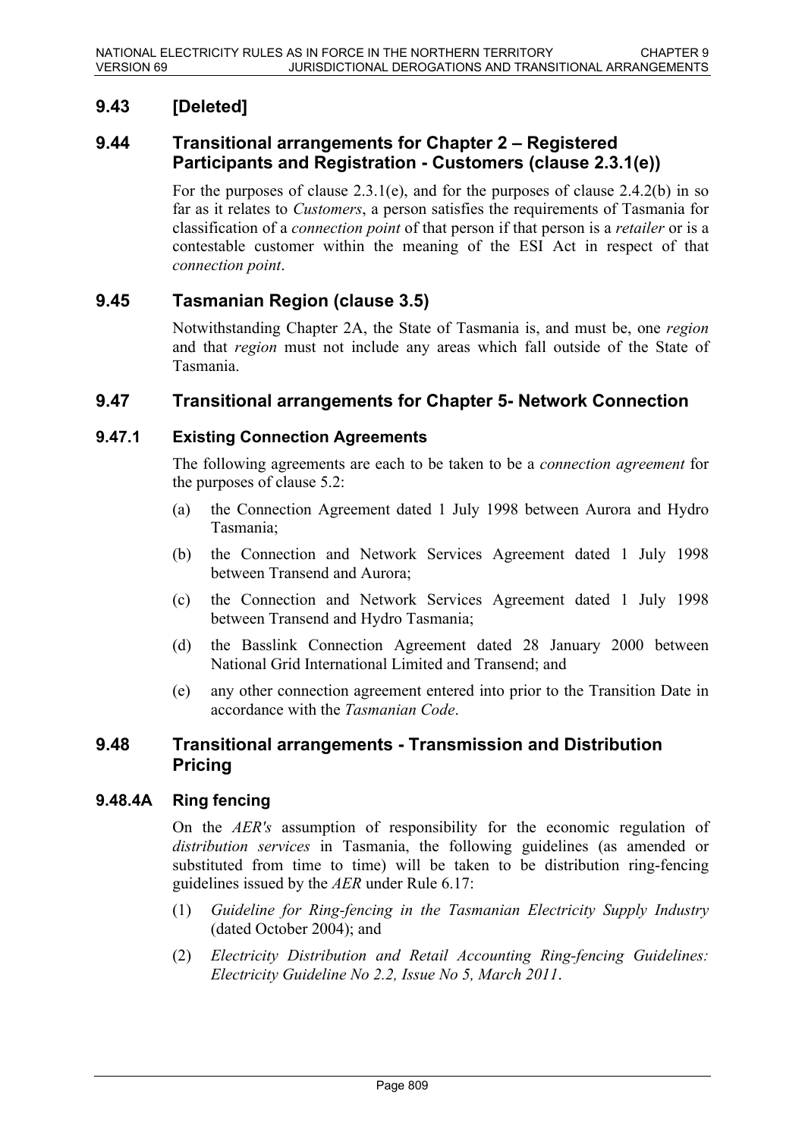# **9.43 [Deleted]**

### **9.44 Transitional arrangements for Chapter 2 – Registered Participants and Registration - Customers (clause 2.3.1(e))**

For the purposes of clause 2.3.1(e), and for the purposes of clause 2.4.2(b) in so far as it relates to *Customers*, a person satisfies the requirements of Tasmania for classification of a *connection point* of that person if that person is a *retailer* or is a contestable customer within the meaning of the ESI Act in respect of that *connection point*.

## **9.45 Tasmanian Region (clause 3.5)**

Notwithstanding Chapter 2A, the State of Tasmania is, and must be, one *region* and that *region* must not include any areas which fall outside of the State of Tasmania.

### **9.47 Transitional arrangements for Chapter 5- Network Connection**

### **9.47.1 Existing Connection Agreements**

The following agreements are each to be taken to be a *connection agreement* for the purposes of clause 5.2:

- (a) the Connection Agreement dated 1 July 1998 between Aurora and Hydro Tasmania;
- (b) the Connection and Network Services Agreement dated 1 July 1998 between Transend and Aurora;
- (c) the Connection and Network Services Agreement dated 1 July 1998 between Transend and Hydro Tasmania;
- (d) the Basslink Connection Agreement dated 28 January 2000 between National Grid International Limited and Transend; and
- (e) any other connection agreement entered into prior to the Transition Date in accordance with the *Tasmanian Code*.

### **9.48 Transitional arrangements - Transmission and Distribution Pricing**

### **9.48.4A Ring fencing**

On the *AER's* assumption of responsibility for the economic regulation of *distribution services* in Tasmania, the following guidelines (as amended or substituted from time to time) will be taken to be distribution ring-fencing guidelines issued by the *AER* under Rule 6.17:

- (1) *Guideline for Ring-fencing in the Tasmanian Electricity Supply Industry* (dated October 2004); and
- (2) *Electricity Distribution and Retail Accounting Ring-fencing Guidelines: Electricity Guideline No 2.2, Issue No 5, March 2011*.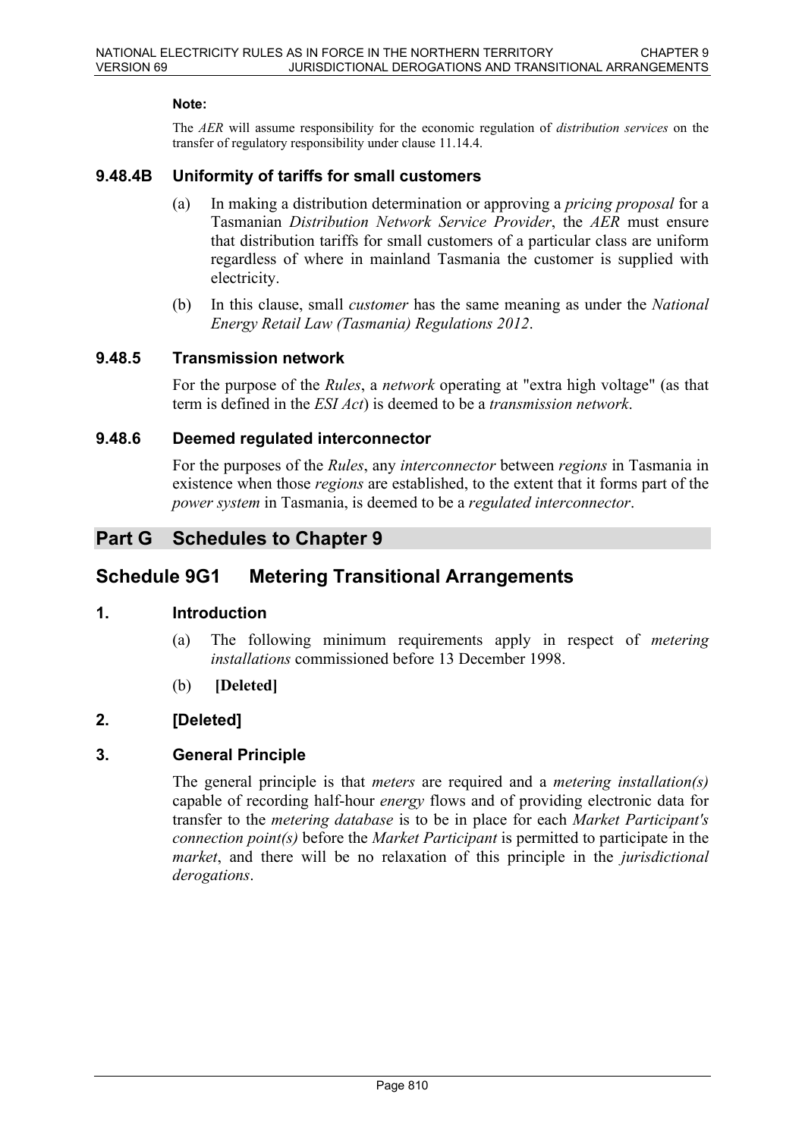#### **Note:**

The *AER* will assume responsibility for the economic regulation of *distribution services* on the transfer of regulatory responsibility under clause 11.14.4.

#### **9.48.4B Uniformity of tariffs for small customers**

- (a) In making a distribution determination or approving a *pricing proposal* for a Tasmanian *Distribution Network Service Provider*, the *AER* must ensure that distribution tariffs for small customers of a particular class are uniform regardless of where in mainland Tasmania the customer is supplied with electricity.
- (b) In this clause, small *customer* has the same meaning as under the *National Energy Retail Law (Tasmania) Regulations 2012*.

#### **9.48.5 Transmission network**

For the purpose of the *Rules*, a *network* operating at "extra high voltage" (as that term is defined in the *ESI Act*) is deemed to be a *transmission network*.

#### **9.48.6 Deemed regulated interconnector**

For the purposes of the *Rules*, any *interconnector* between *regions* in Tasmania in existence when those *regions* are established, to the extent that it forms part of the *power system* in Tasmania, is deemed to be a *regulated interconnector*.

## **Part G Schedules to Chapter 9**

## **Schedule 9G1 Metering Transitional Arrangements**

### **1. Introduction**

- (a) The following minimum requirements apply in respect of *metering installations* commissioned before 13 December 1998.
- (b) **[Deleted]**

### **2. [Deleted]**

### **3. General Principle**

The general principle is that *meters* are required and a *metering installation(s)* capable of recording half-hour *energy* flows and of providing electronic data for transfer to the *metering database* is to be in place for each *Market Participant's connection point(s)* before the *Market Participant* is permitted to participate in the *market*, and there will be no relaxation of this principle in the *jurisdictional derogations*.